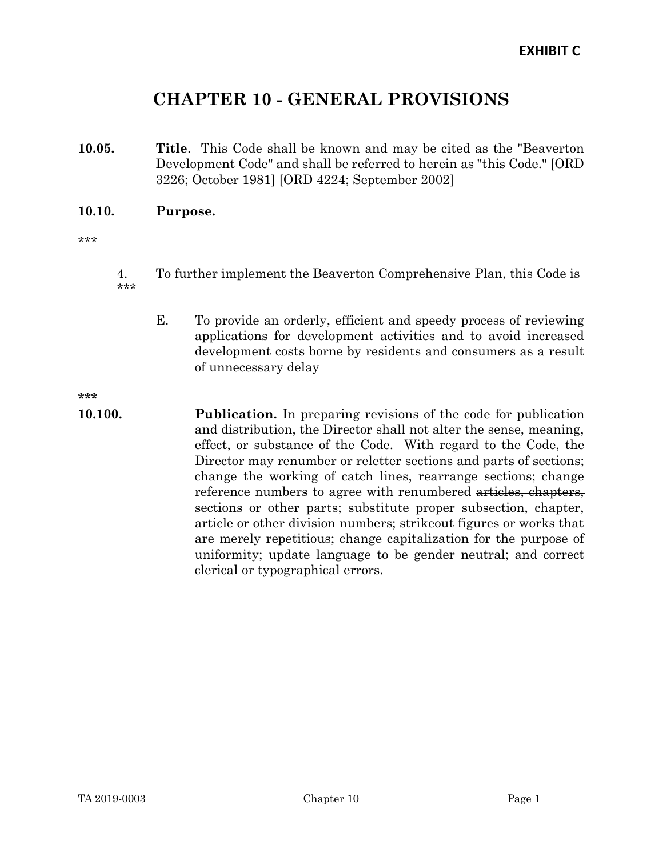# CHAPTER 10 - GENERAL PROVISIONS

10.05. Title. This Code shall be known and may be cited as the "Beaverton Development Code" and shall be referred to herein as "this Code." [ORD 3226; October 1981] [ORD 4224; September 2002]

#### 10.10. Purpose.

\*\*\*

- 4. To further implement the Beaverton Comprehensive Plan, this Code is \*\*\*
	- E. To provide an orderly, efficient and speedy process of reviewing applications for development activities and to avoid increased development costs borne by residents and consumers as a result of unnecessary delay

\*\*\*

10.100. Publication. In preparing revisions of the code for publication and distribution, the Director shall not alter the sense, meaning, effect, or substance of the Code. With regard to the Code, the Director may renumber or reletter sections and parts of sections; change the working of catch lines, rearrange sections; change reference numbers to agree with renumbered articles, chapters, sections or other parts; substitute proper subsection, chapter, article or other division numbers; strikeout figures or works that are merely repetitious; change capitalization for the purpose of uniformity; update language to be gender neutral; and correct clerical or typographical errors.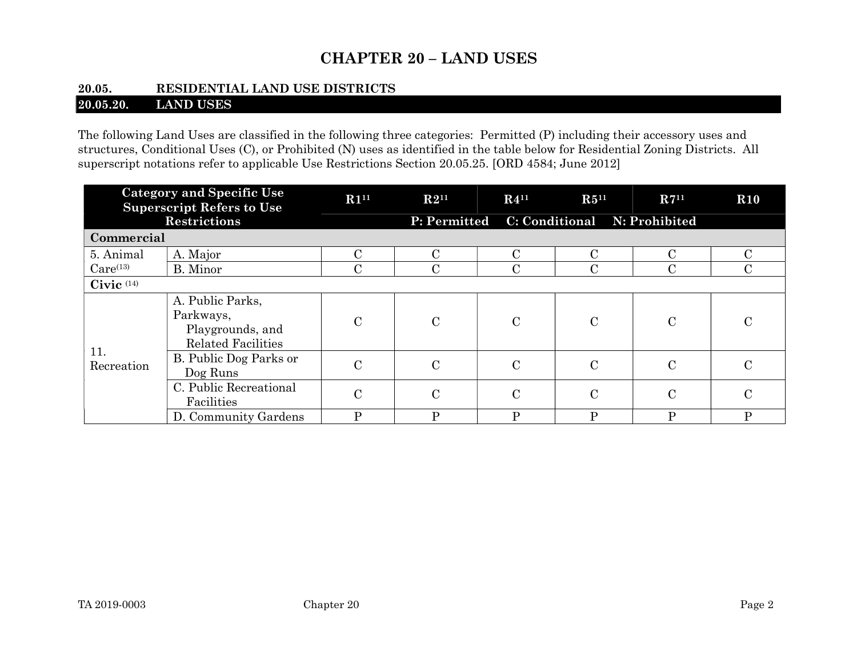# CHAPTER 20 – LAND USES

# 20.05. RESIDENTIAL LAND USE DISTRICTS

# 20.05.20. LAND USES

The following Land Uses are classified in the following three categories: Permitted (P) including their accessory uses and structures, Conditional Uses (C), or Prohibited (N) uses as identified in the table below for Residential Zoning Districts. All superscript notations refer to applicable Use Restrictions Section 20.05.25. [ORD 4584; June 2012]

| <b>Category and Specific Use</b><br><b>Superscript Refers to Use</b> |                                                                                | R1 <sup>11</sup> | $R4^{11}$<br>$R2^{11}$                    |               | $R5^{11}$      | $R7^{11}$     | $\bf R10$     |  |
|----------------------------------------------------------------------|--------------------------------------------------------------------------------|------------------|-------------------------------------------|---------------|----------------|---------------|---------------|--|
| <b>Restrictions</b>                                                  |                                                                                |                  | P: Permitted C: Conditional N: Prohibited |               |                |               |               |  |
| Commercial                                                           |                                                                                |                  |                                           |               |                |               |               |  |
| 5. Animal                                                            | A. Major                                                                       | C                | $\rm C$                                   | $\mathcal{C}$ | $\rm C$        | C             |               |  |
| $Care^{(13)}$                                                        | B. Minor                                                                       | С                | $\mathbf C$                               | $\mathcal{C}$ | $\mathbf C$    | C             |               |  |
| Civic $(14)$                                                         |                                                                                |                  |                                           |               |                |               |               |  |
| 11.<br>Recreation                                                    | A. Public Parks,<br>Parkways,<br>Playgrounds, and<br><b>Related Facilities</b> | $\mathcal{C}$    | $\mathcal{C}$                             | $\mathbf C$   | $\mathbf C$    | $\mathcal{C}$ | C             |  |
|                                                                      | B. Public Dog Parks or<br>Dog Runs                                             | $\overline{C}$   | $\mathcal{C}$                             | $\mathcal{C}$ | $\mathcal{C}$  | $\mathcal{C}$ | $\mathcal{C}$ |  |
|                                                                      | C. Public Recreational<br>Facilities                                           | $\overline{C}$   | $\mathcal{C}$                             | $\mathbf C$   | $\mathcal{C}$  | $\mathcal{C}$ | $\mathcal{C}$ |  |
|                                                                      | D. Community Gardens                                                           | P                | P                                         | P             | $\overline{P}$ | P             | D             |  |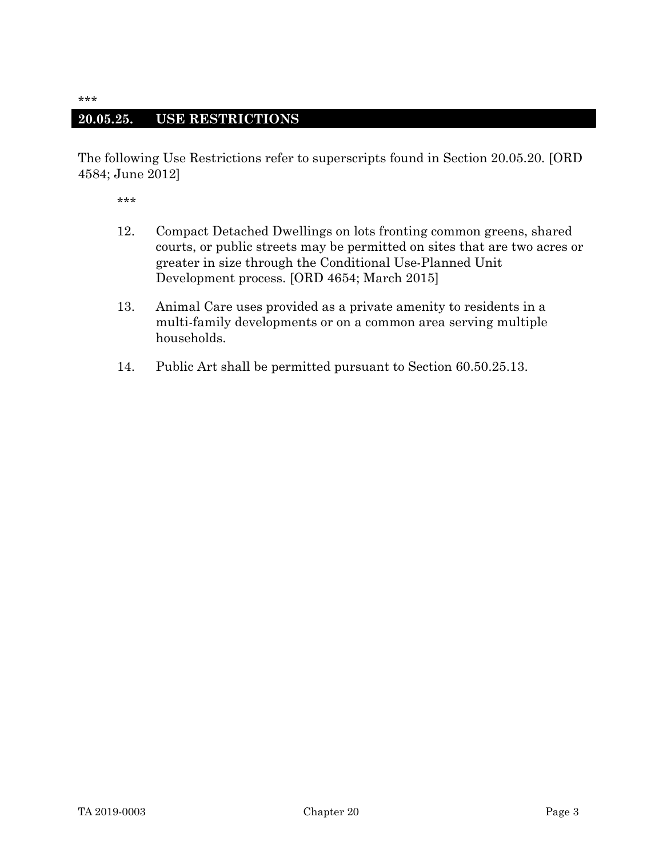#### 20.05.25. USE RESTRICTIONS

The following Use Restrictions refer to superscripts found in Section 20.05.20. [ORD 4584; June 2012]

- 12. Compact Detached Dwellings on lots fronting common greens, shared courts, or public streets may be permitted on sites that are two acres or greater in size through the Conditional Use-Planned Unit Development process. [ORD 4654; March 2015]
- 13. Animal Care uses provided as a private amenity to residents in a multi-family developments or on a common area serving multiple households.
- 14. Public Art shall be permitted pursuant to Section 60.50.25.13.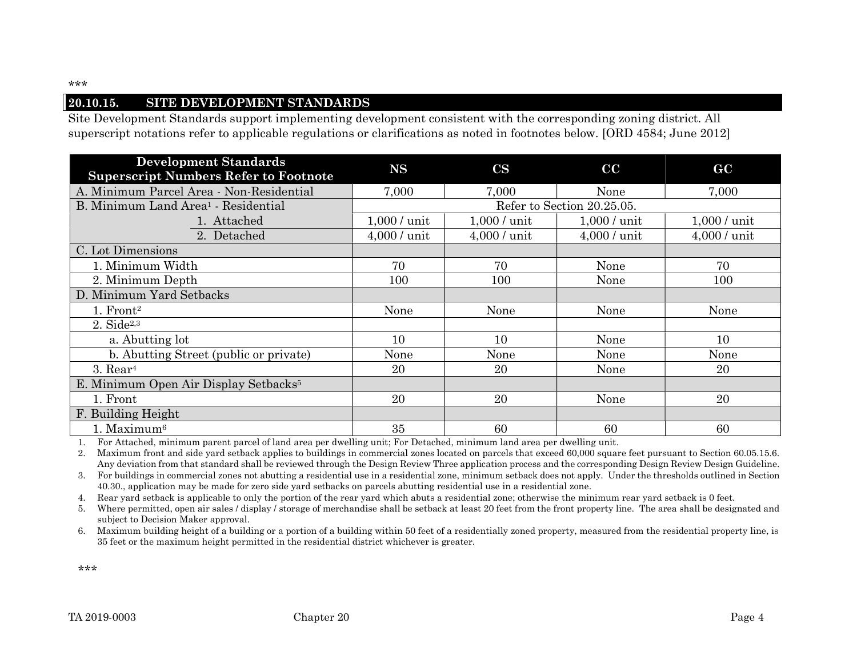#### 20.10.15. SITE DEVELOPMENT STANDARDS

Site Development Standards support implementing development consistent with the corresponding zoning district. All superscript notations refer to applicable regulations or clarifications as noted in footnotes below. [ORD 4584; June 2012]

| <b>Development Standards</b><br><b>Superscript Numbers Refer to Footnote</b> | <b>NS</b>                  | $\mathbf{CS}$                   | $\bf CC$     | $\bf GC$      |  |  |  |  |
|------------------------------------------------------------------------------|----------------------------|---------------------------------|--------------|---------------|--|--|--|--|
| A. Minimum Parcel Area - Non-Residential                                     | 7.000                      | 7,000                           | None         | 7,000         |  |  |  |  |
| B. Minimum Land Area <sup>1</sup> - Residential                              | Refer to Section 20.25.05. |                                 |              |               |  |  |  |  |
| 1. Attached                                                                  | $1,000/$ unit              | $1,000/$ unit<br>$1,000$ / unit |              | $1,000/$ unit |  |  |  |  |
| 2. Detached                                                                  | 4,000 / unit               | $4,000/$ unit                   | 4,000 / unit | 4,000 / unit  |  |  |  |  |
| C. Lot Dimensions                                                            |                            |                                 |              |               |  |  |  |  |
| 1. Minimum Width                                                             | 70                         | 70                              | None         | 70            |  |  |  |  |
| 2. Minimum Depth                                                             | 100                        | 100                             | None         | 100           |  |  |  |  |
| D. Minimum Yard Setbacks                                                     |                            |                                 |              |               |  |  |  |  |
| $1.$ Front <sup>2</sup>                                                      | None                       | None                            | None         | None          |  |  |  |  |
| $2. \text{ Side}^{2,3}$                                                      |                            |                                 |              |               |  |  |  |  |
| a. Abutting lot                                                              | 10                         | 10                              | None         | 10            |  |  |  |  |
| b. Abutting Street (public or private)                                       | None                       | None                            | None         | None          |  |  |  |  |
| $3.$ Rear <sup>4</sup>                                                       | 20                         | 20                              | None         | 20            |  |  |  |  |
| E. Minimum Open Air Display Setbacks <sup>5</sup>                            |                            |                                 |              |               |  |  |  |  |
| 1. Front                                                                     | 20                         | 20                              | None         | 20            |  |  |  |  |
| F. Building Height                                                           |                            |                                 |              |               |  |  |  |  |
| 1. Maximum <sup>6</sup>                                                      | 35                         | 60                              | 60           | 60            |  |  |  |  |

1. For Attached, minimum parent parcel of land area per dwelling unit; For Detached, minimum land area per dwelling unit.

2. Maximum front and side yard setback applies to buildings in commercial zones located on parcels that exceed 60,000 square feet pursuant to Section 60.05.15.6. Any deviation from that standard shall be reviewed through the Design Review Three application process and the corresponding Design Review Design Guideline.

3. For buildings in commercial zones not abutting a residential use in a residential zone, minimum setback does not apply. Under the thresholds outlined in Section 40.30., application may be made for zero side yard setbacks on parcels abutting residential use in a residential zone.

4. Rear yard setback is applicable to only the portion of the rear yard which abuts a residential zone; otherwise the minimum rear yard setback is 0 feet.

5. Where permitted, open air sales / display / storage of merchandise shall be setback at least 20 feet from the front property line. The area shall be designated and subject to Decision Maker approval.

6. Maximum building height of a building or a portion of a building within 50 feet of a residentially zoned property, measured from the residential property line, is 35 feet or the maximum height permitted in the residential district whichever is greater.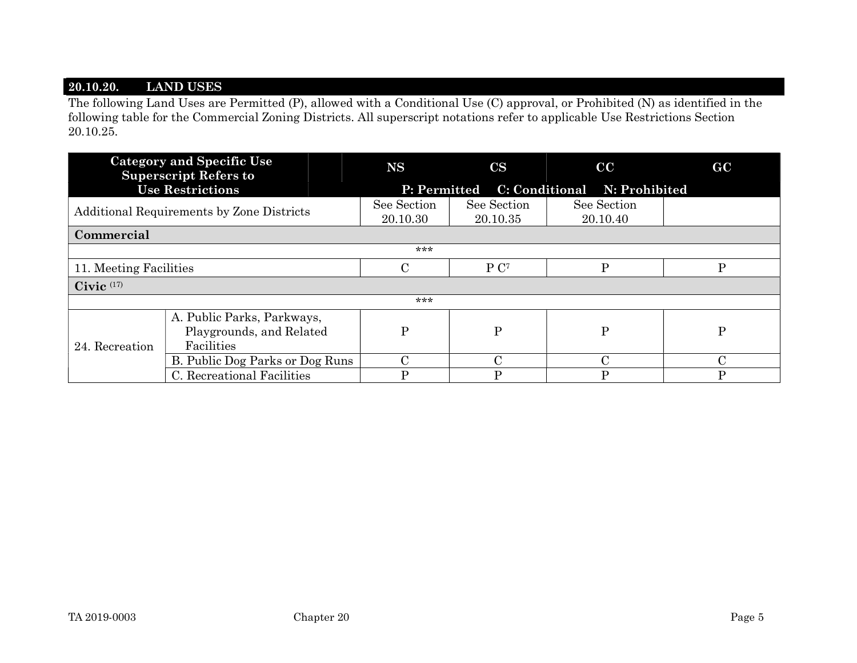#### 20.10.20. LAND USES

The following Land Uses are Permitted (P), allowed with a Conditional Use (C) approval, or Prohibited (N) as identified in the following table for the Commercial Zoning Districts. All superscript notations refer to applicable Use Restrictions Section 20.10.25.

|                                           | <b>Category and Specific Use</b><br><b>Superscript Refers to</b> | <b>NS</b>                                 | $\mathbf{CS}$           | cc                      | GC            |  |  |  |  |
|-------------------------------------------|------------------------------------------------------------------|-------------------------------------------|-------------------------|-------------------------|---------------|--|--|--|--|
|                                           | <b>Use Restrictions</b>                                          | P: Permitted C: Conditional N: Prohibited |                         |                         |               |  |  |  |  |
| Additional Requirements by Zone Districts |                                                                  | See Section<br>20.10.30                   | See Section<br>20.10.35 | See Section<br>20.10.40 |               |  |  |  |  |
| Commercial                                |                                                                  |                                           |                         |                         |               |  |  |  |  |
| ***                                       |                                                                  |                                           |                         |                         |               |  |  |  |  |
| 11. Meeting Facilities                    |                                                                  | C                                         | P C <sup>7</sup>        | $\mathbf{P}$            | $\mathbf{P}$  |  |  |  |  |
| Civic $(17)$                              |                                                                  |                                           |                         |                         |               |  |  |  |  |
| ***                                       |                                                                  |                                           |                         |                         |               |  |  |  |  |
| 24. Recreation                            | A. Public Parks, Parkways,<br>Playgrounds, and Related           | Ρ                                         | P                       | $\mathbf P$             | $\mathbf{P}$  |  |  |  |  |
|                                           | Facilities                                                       |                                           |                         |                         |               |  |  |  |  |
|                                           | B. Public Dog Parks or Dog Runs                                  | C                                         | $\mathcal{C}$           | $\mathcal{C}$           | $\mathcal{C}$ |  |  |  |  |
|                                           | C. Recreational Facilities                                       | D                                         | D                       | P                       | D             |  |  |  |  |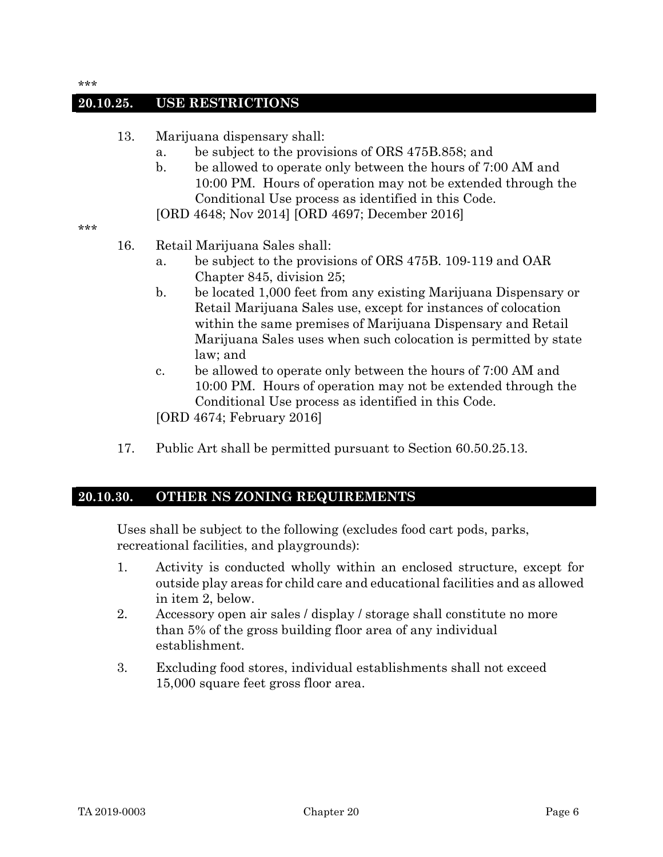#### 20.10.25. USE RESTRICTIONS

- 13. Marijuana dispensary shall:
	- a. be subject to the provisions of ORS 475B.858; and
	- b. be allowed to operate only between the hours of 7:00 AM and 10:00 PM. Hours of operation may not be extended through the Conditional Use process as identified in this Code.
	- [ORD 4648; Nov 2014] [ORD 4697; December 2016]

\*\*\*

- 16. Retail Marijuana Sales shall:
	- a. be subject to the provisions of ORS 475B. 109-119 and OAR Chapter 845, division 25;
	- b. be located 1,000 feet from any existing Marijuana Dispensary or Retail Marijuana Sales use, except for instances of colocation within the same premises of Marijuana Dispensary and Retail Marijuana Sales uses when such colocation is permitted by state law; and
	- c. be allowed to operate only between the hours of 7:00 AM and 10:00 PM. Hours of operation may not be extended through the Conditional Use process as identified in this Code.
	- [ORD 4674; February 2016]
- 17. Public Art shall be permitted pursuant to Section 60.50.25.13.

#### 20.10.30. OTHER NS ZONING REQUIREMENTS

Uses shall be subject to the following (excludes food cart pods, parks, recreational facilities, and playgrounds):

- 1. Activity is conducted wholly within an enclosed structure, except for outside play areas for child care and educational facilities and as allowed in item 2, below.
- 2. Accessory open air sales / display / storage shall constitute no more than 5% of the gross building floor area of any individual establishment.
- 3. Excluding food stores, individual establishments shall not exceed 15,000 square feet gross floor area.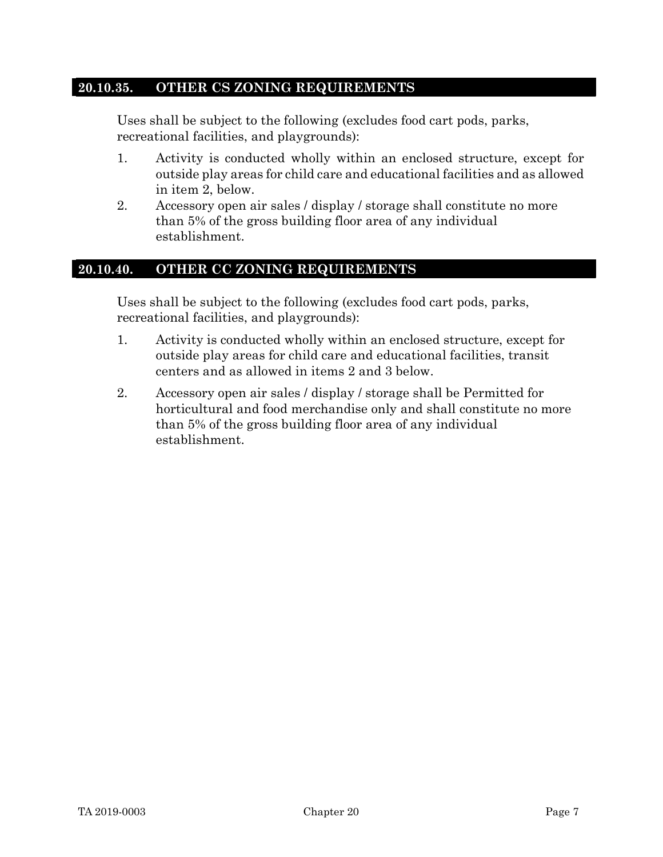#### 20.10.35. OTHER CS ZONING REQUIREMENTS

Uses shall be subject to the following (excludes food cart pods, parks, recreational facilities, and playgrounds):

- 1. Activity is conducted wholly within an enclosed structure, except for outside play areas for child care and educational facilities and as allowed in item 2, below.
- 2. Accessory open air sales / display / storage shall constitute no more than 5% of the gross building floor area of any individual establishment.

## 20.10.40. OTHER CC ZONING REQUIREMENTS

Uses shall be subject to the following (excludes food cart pods, parks, recreational facilities, and playgrounds):

- 1. Activity is conducted wholly within an enclosed structure, except for outside play areas for child care and educational facilities, transit centers and as allowed in items 2 and 3 below.
- 2. Accessory open air sales / display / storage shall be Permitted for horticultural and food merchandise only and shall constitute no more than 5% of the gross building floor area of any individual establishment.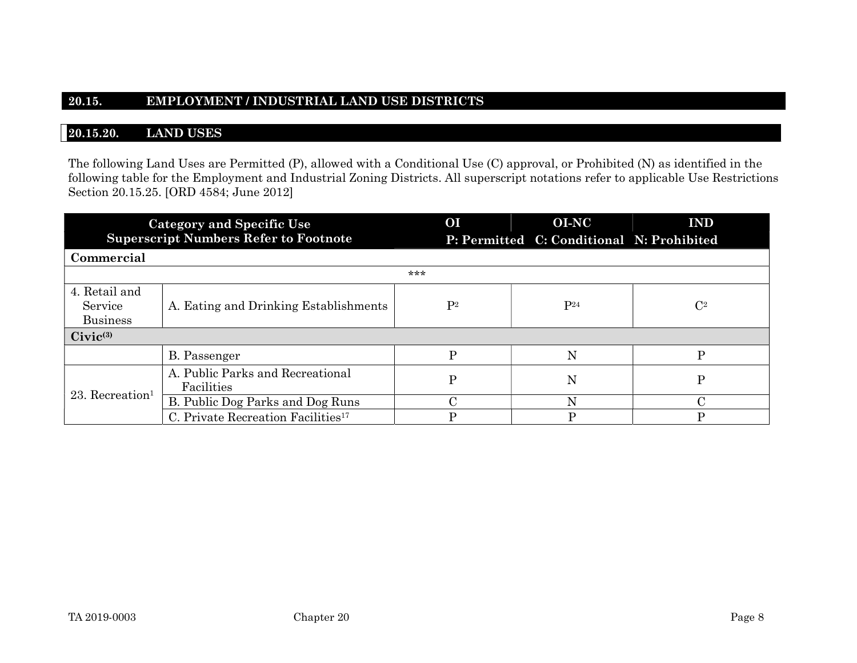#### 20.15. EMPLOYMENT / INDUSTRIAL LAND USE DISTRICTS

#### 20.15.20. LAND USES

The following Land Uses are Permitted (P), allowed with a Conditional Use (C) approval, or Prohibited (N) as identified in the following table for the Employment and Industrial Zoning Districts. All superscript notations refer to applicable Use Restrictions Section 20.15.25. [ORD 4584; June 2012]

|                                             | <b>Category and Specific Use</b>               | <b>OI</b>      |  | <b>OI-NC</b>                              | <b>IND</b>     |  |  |  |  |  |
|---------------------------------------------|------------------------------------------------|----------------|--|-------------------------------------------|----------------|--|--|--|--|--|
|                                             | <b>Superscript Numbers Refer to Footnote</b>   |                |  | P: Permitted C: Conditional N: Prohibited |                |  |  |  |  |  |
| Commercial                                  |                                                |                |  |                                           |                |  |  |  |  |  |
| ***                                         |                                                |                |  |                                           |                |  |  |  |  |  |
| 4. Retail and<br>Service<br><b>Business</b> | A. Eating and Drinking Establishments          | P <sup>2</sup> |  | P <sup>24</sup>                           | $\mathbb{C}^2$ |  |  |  |  |  |
| $Civic^{(3)}$                               |                                                |                |  |                                           |                |  |  |  |  |  |
|                                             | B. Passenger                                   | P              |  | N                                         | P              |  |  |  |  |  |
| $23.$ Recreation <sup>1</sup>               | A. Public Parks and Recreational<br>Facilities | P              |  | N                                         | P              |  |  |  |  |  |
|                                             | B. Public Dog Parks and Dog Runs               | C              |  |                                           |                |  |  |  |  |  |
|                                             | C. Private Recreation Facilities <sup>17</sup> |                |  | D                                         | D              |  |  |  |  |  |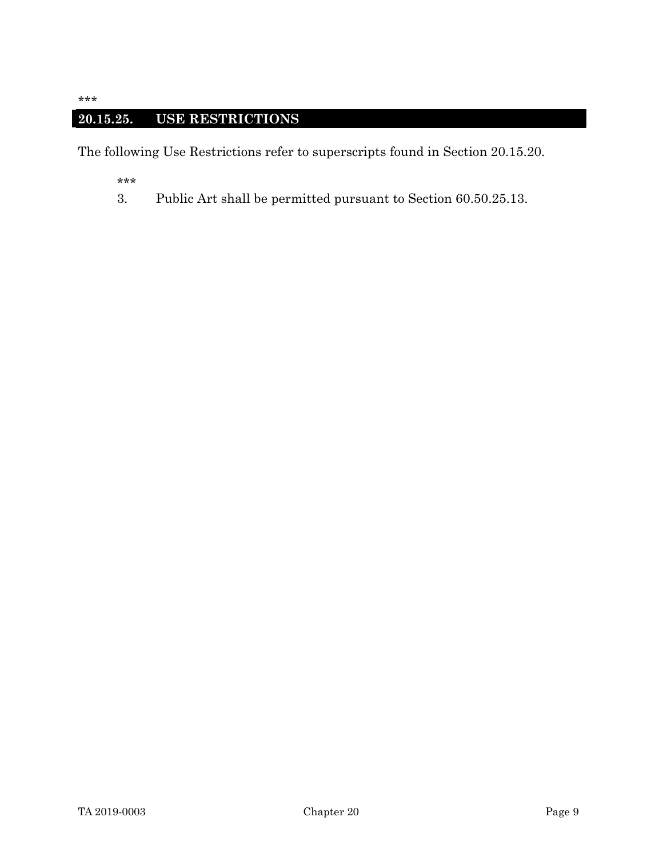# 20.15.25. USE RESTRICTIONS

The following Use Restrictions refer to superscripts found in Section 20.15.20.

\*\*\*

3. Public Art shall be permitted pursuant to Section 60.50.25.13.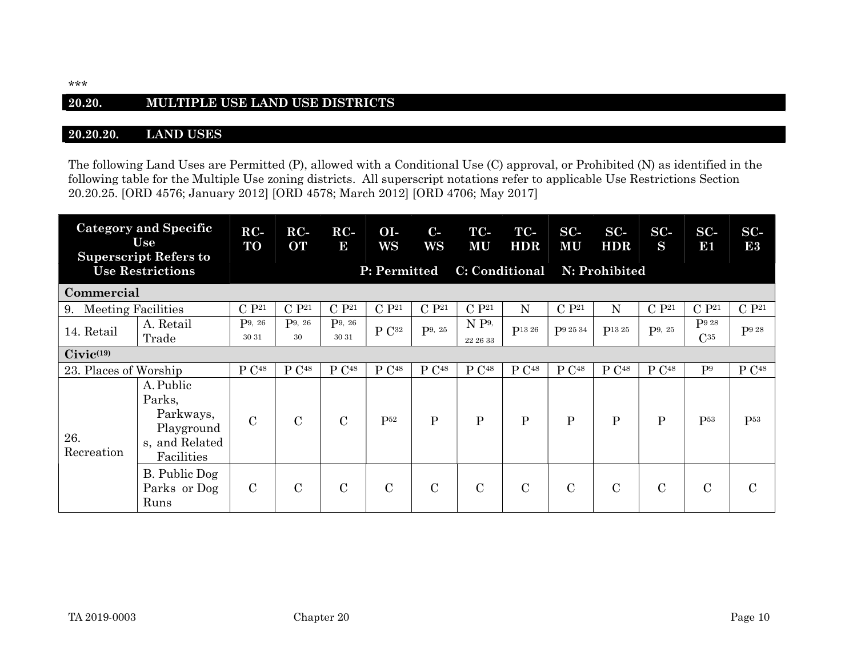#### 20.20. MULTIPLE USE LAND USE DISTRICTS

#### 20.20.20. LAND USES

The following Land Uses are Permitted (P), allowed with a Conditional Use (C) approval, or Prohibited (N) as identified in the following table for the Multiple Use zoning districts. All superscript notations refer to applicable Use Restrictions Section 20.20.25. [ORD 4576; January 2012] [ORD 4578; March 2012] [ORD 4706; May 2017]

| <b>Category and Specific</b><br>Use<br><b>Superscript Refers to</b><br><b>Use Restrictions</b> |                                                                                | $RC-$<br>TO        | $RC-$<br><b>OT</b> | $RC-$<br>$\overline{5}$        | O <sub>I</sub><br>WS | $C-$<br>WS         | TC-<br><b>MU</b>  | TC-<br><b>HDR</b>  | $SC-$<br><b>MU</b> | $SC-$<br><b>HDR</b> | $SC-$<br>S         | $SC-$<br>131    | $SC-$<br>E3          |
|------------------------------------------------------------------------------------------------|--------------------------------------------------------------------------------|--------------------|--------------------|--------------------------------|----------------------|--------------------|-------------------|--------------------|--------------------|---------------------|--------------------|-----------------|----------------------|
|                                                                                                |                                                                                |                    |                    | P: Permitted<br>C: Conditional |                      |                    |                   |                    | N: Prohibited      |                     |                    |                 |                      |
| Commercial                                                                                     |                                                                                |                    |                    |                                |                      |                    |                   |                    |                    |                     |                    |                 |                      |
| <b>Meeting Facilities</b><br>9.                                                                |                                                                                | C P <sup>21</sup>  | $C P^{21}$         | C P <sup>21</sup>              | C P <sup>21</sup>    | C P <sup>21</sup>  | C P <sup>21</sup> | $\mathbf N$        | C P <sup>21</sup>  | $\mathbf N$         | C P <sup>21</sup>  | $C P^{21}$      | C P <sup>21</sup>    |
| 14. Retail                                                                                     | A. Retail                                                                      | P <sup>9, 26</sup> | P <sup>9, 26</sup> | P9, 26                         | $P C^{32}$           | P <sup>9, 25</sup> | $N P^{9}$         | P <sub>13</sub> 26 | P9 25 34           | P <sub>13</sub> 25  | P <sup>9, 25</sup> | P9 28           | P9 28                |
|                                                                                                | Trade                                                                          | 30 31              | 30                 | 30 31                          |                      |                    | 22 26 33          |                    |                    |                     |                    | $C^{35}$        |                      |
| $Civic^{(19)}$                                                                                 |                                                                                |                    |                    |                                |                      |                    |                   |                    |                    |                     |                    |                 |                      |
| 23. Places of Worship                                                                          |                                                                                | P C <sup>48</sup>  | P C <sup>48</sup>  | P C <sup>48</sup>              | P C <sup>48</sup>    | P C <sup>48</sup>  | P C <sup>48</sup> | P C <sup>48</sup>  | P C <sup>48</sup>  | P C <sup>48</sup>   | P C <sup>48</sup>  | P <sup>9</sup>  | $\rm P$ $\rm C^{48}$ |
| 26.<br>Recreation                                                                              | A. Public<br>Parks,<br>Parkways,<br>Playground<br>s, and Related<br>Facilities | $\mathcal{C}$      | $\overline{C}$     | $\mathbf C$                    | $P^{52}$             | P                  | $\mathbf{P}$      | $\mathbf{P}$       | $\mathbf{P}$       | $\mathbf{P}$        | $\mathbf{P}$       | P <sub>53</sub> | P <sup>53</sup>      |
|                                                                                                | B. Public Dog<br>Parks or Dog<br>Runs                                          | $\mathbf C$        | $\overline{C}$     | $\mathbf C$                    | $\mathcal{C}$        | $\mathcal{C}$      | $\mathcal{C}$     | $\mathcal{C}$      | $\mathcal{C}$      | $\overline{C}$      | $\mathcal{C}$      | $\mathbf C$     | $\mathcal{C}$        |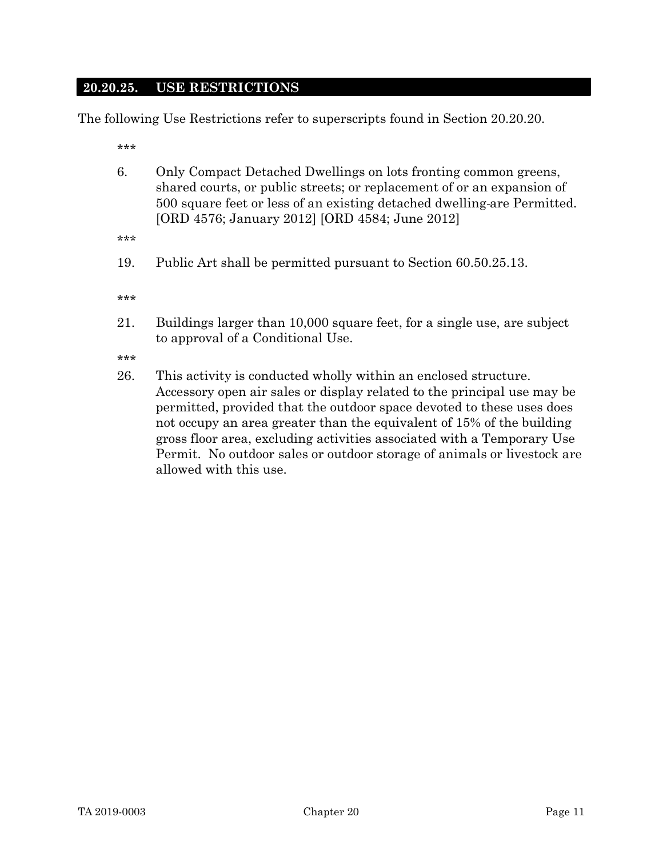#### 20.20.25. USE RESTRICTIONS

The following Use Restrictions refer to superscripts found in Section 20.20.20.

\*\*\*

- 6. Only Compact Detached Dwellings on lots fronting common greens, shared courts, or public streets; or replacement of or an expansion of 500 square feet or less of an existing detached dwelling are Permitted. [ORD 4576; January 2012] [ORD 4584; June 2012]
- \*\*\*
- 19. Public Art shall be permitted pursuant to Section 60.50.25.13.

\*\*\*

21. Buildings larger than 10,000 square feet, for a single use, are subject to approval of a Conditional Use.

\*\*\*

26. This activity is conducted wholly within an enclosed structure. Accessory open air sales or display related to the principal use may be permitted, provided that the outdoor space devoted to these uses does not occupy an area greater than the equivalent of 15% of the building gross floor area, excluding activities associated with a Temporary Use Permit. No outdoor sales or outdoor storage of animals or livestock are allowed with this use.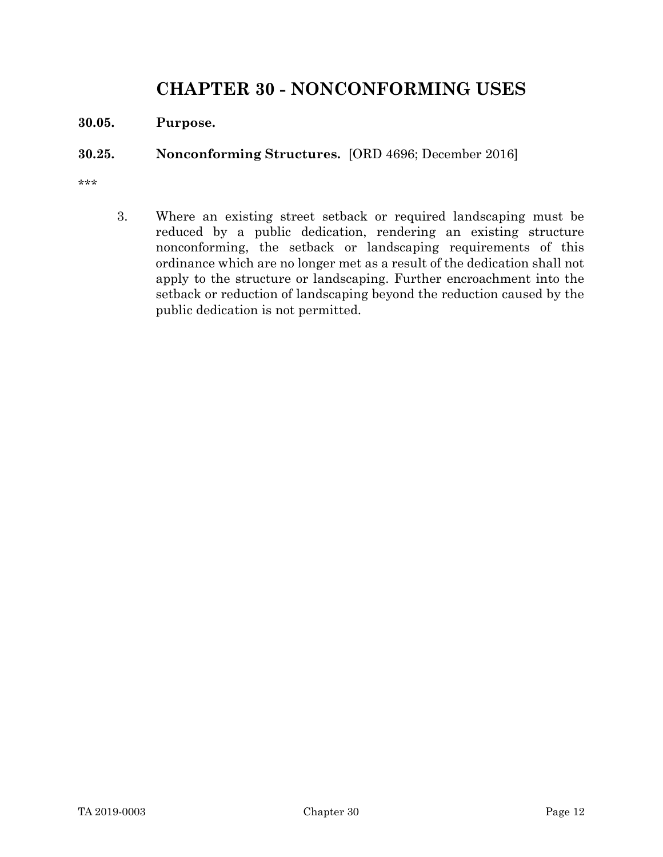# CHAPTER 30 - NONCONFORMING USES

30.05. Purpose.

#### 30.25. Nonconforming Structures. [ORD 4696; December 2016]

\*\*\*

 3. Where an existing street setback or required landscaping must be reduced by a public dedication, rendering an existing structure nonconforming, the setback or landscaping requirements of this ordinance which are no longer met as a result of the dedication shall not apply to the structure or landscaping. Further encroachment into the setback or reduction of landscaping beyond the reduction caused by the public dedication is not permitted.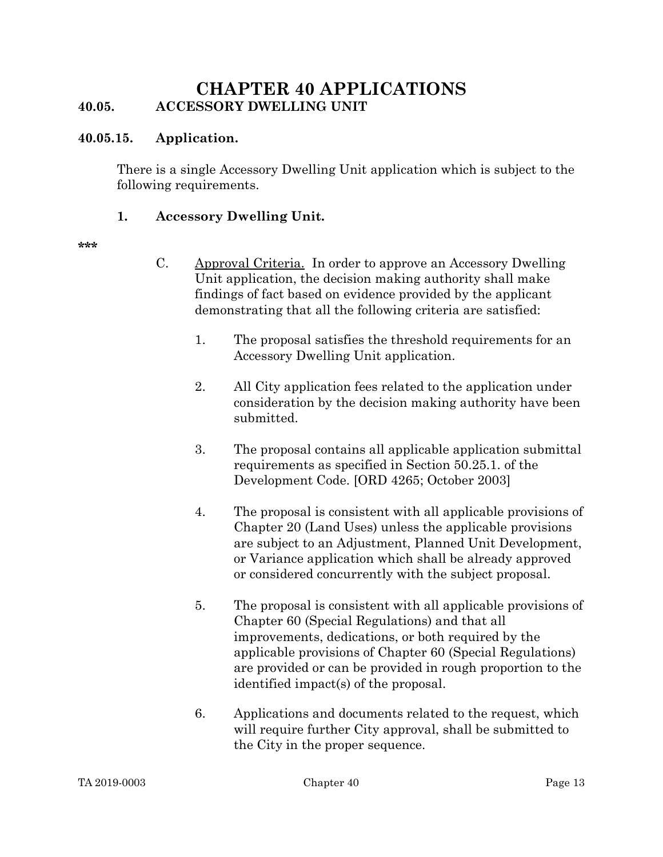# CHAPTER 40 APPLICATIONS 40.05. ACCESSORY DWELLING UNIT

#### 40.05.15. Application.

There is a single Accessory Dwelling Unit application which is subject to the following requirements.

#### 1. Accessory Dwelling Unit.

\*\*\*\*

- C. Approval Criteria. In order to approve an Accessory Dwelling Unit application, the decision making authority shall make findings of fact based on evidence provided by the applicant demonstrating that all the following criteria are satisfied:
	- 1. The proposal satisfies the threshold requirements for an Accessory Dwelling Unit application.
	- 2. All City application fees related to the application under consideration by the decision making authority have been submitted.
	- 3. The proposal contains all applicable application submittal requirements as specified in Section 50.25.1. of the Development Code. [ORD 4265; October 2003]
	- 4. The proposal is consistent with all applicable provisions of Chapter 20 (Land Uses) unless the applicable provisions are subject to an Adjustment, Planned Unit Development, or Variance application which shall be already approved or considered concurrently with the subject proposal.
	- 5. The proposal is consistent with all applicable provisions of Chapter 60 (Special Regulations) and that all improvements, dedications, or both required by the applicable provisions of Chapter 60 (Special Regulations) are provided or can be provided in rough proportion to the identified impact(s) of the proposal.
	- 6. Applications and documents related to the request, which will require further City approval, shall be submitted to the City in the proper sequence.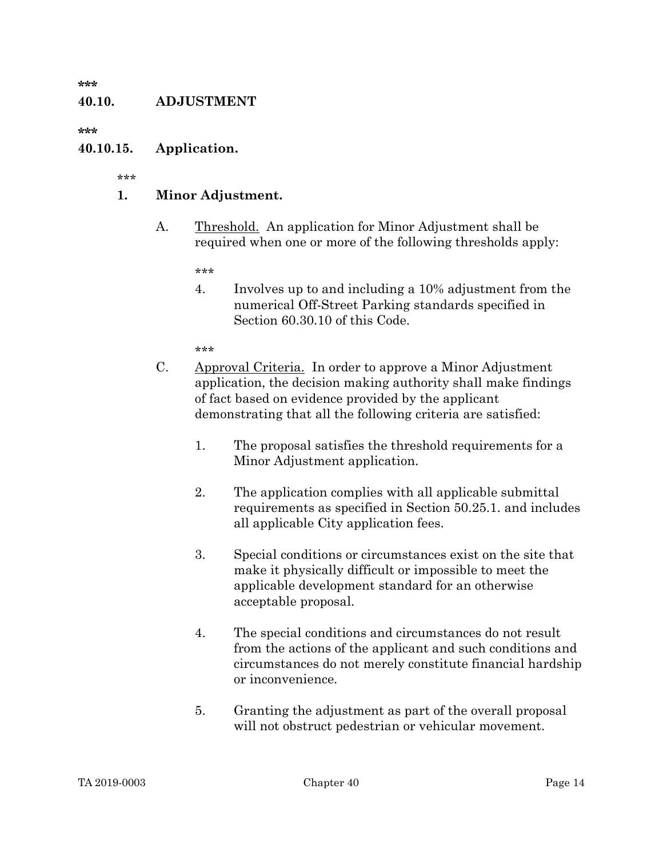#### 40.10. ADJUSTMENT

\*\*\*\*\*

#### 40.10.15. Application.

\*\*\*

#### 1. Minor Adjustment.

A. Threshold. An application for Minor Adjustment shall be required when one or more of the following thresholds apply:

\*\*\*

4. Involves up to and including a 10% adjustment from the numerical Off-Street Parking standards specified in Section 60.30.10 of this Code.

- C. Approval Criteria. In order to approve a Minor Adjustment application, the decision making authority shall make findings of fact based on evidence provided by the applicant demonstrating that all the following criteria are satisfied:
	- 1. The proposal satisfies the threshold requirements for a Minor Adjustment application.
	- 2. The application complies with all applicable submittal requirements as specified in Section 50.25.1. and includes all applicable City application fees.
	- 3. Special conditions or circumstances exist on the site that make it physically difficult or impossible to meet the applicable development standard for an otherwise acceptable proposal.
	- 4. The special conditions and circumstances do not result from the actions of the applicant and such conditions and circumstances do not merely constitute financial hardship or inconvenience.
	- 5. Granting the adjustment as part of the overall proposal will not obstruct pedestrian or vehicular movement.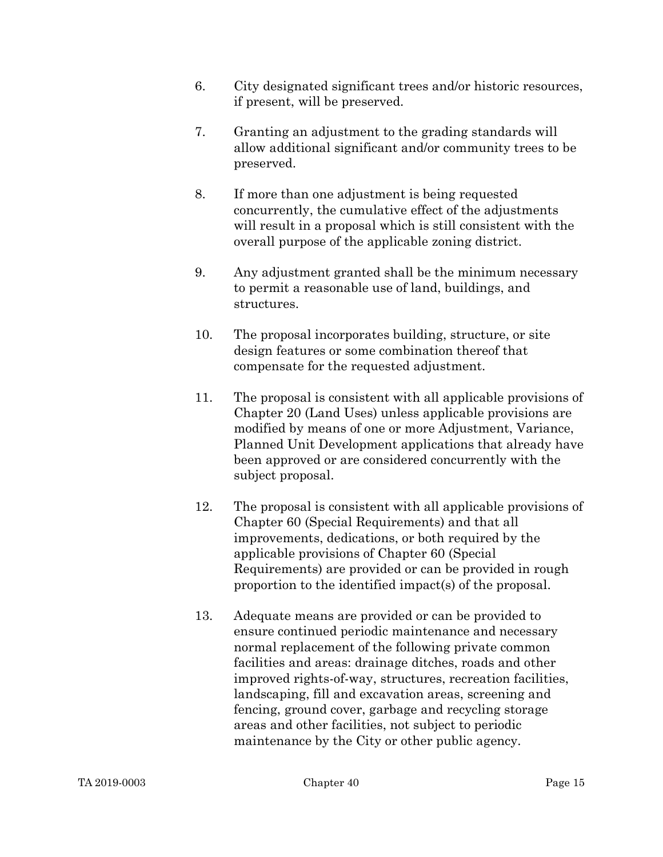- 6. City designated significant trees and/or historic resources, if present, will be preserved.
- 7. Granting an adjustment to the grading standards will allow additional significant and/or community trees to be preserved.
- 8. If more than one adjustment is being requested concurrently, the cumulative effect of the adjustments will result in a proposal which is still consistent with the overall purpose of the applicable zoning district.
- 9. Any adjustment granted shall be the minimum necessary to permit a reasonable use of land, buildings, and structures.
- 10. The proposal incorporates building, structure, or site design features or some combination thereof that compensate for the requested adjustment.
- 11. The proposal is consistent with all applicable provisions of Chapter 20 (Land Uses) unless applicable provisions are modified by means of one or more Adjustment, Variance, Planned Unit Development applications that already have been approved or are considered concurrently with the subject proposal.
- 12. The proposal is consistent with all applicable provisions of Chapter 60 (Special Requirements) and that all improvements, dedications, or both required by the applicable provisions of Chapter 60 (Special Requirements) are provided or can be provided in rough proportion to the identified impact(s) of the proposal.
- 13. Adequate means are provided or can be provided to ensure continued periodic maintenance and necessary normal replacement of the following private common facilities and areas: drainage ditches, roads and other improved rights-of-way, structures, recreation facilities, landscaping, fill and excavation areas, screening and fencing, ground cover, garbage and recycling storage areas and other facilities, not subject to periodic maintenance by the City or other public agency.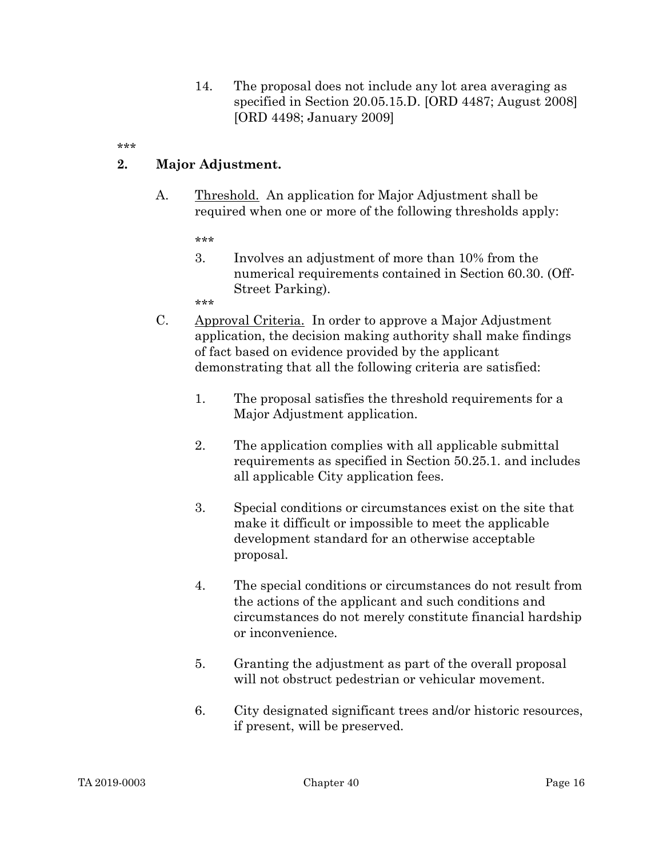14. The proposal does not include any lot area averaging as specified in Section 20.05.15.D. [ORD 4487; August 2008] [ORD 4498; January 2009]

\*\*\*

#### 2. Major Adjustment.

A. Threshold. An application for Major Adjustment shall be required when one or more of the following thresholds apply:

\*\*\*

3. Involves an adjustment of more than 10% from the numerical requirements contained in Section 60.30. (Off-Street Parking).

- C. Approval Criteria. In order to approve a Major Adjustment application, the decision making authority shall make findings of fact based on evidence provided by the applicant demonstrating that all the following criteria are satisfied:
	- 1. The proposal satisfies the threshold requirements for a Major Adjustment application.
	- 2. The application complies with all applicable submittal requirements as specified in Section 50.25.1. and includes all applicable City application fees.
	- 3. Special conditions or circumstances exist on the site that make it difficult or impossible to meet the applicable development standard for an otherwise acceptable proposal.
	- 4. The special conditions or circumstances do not result from the actions of the applicant and such conditions and circumstances do not merely constitute financial hardship or inconvenience.
	- 5. Granting the adjustment as part of the overall proposal will not obstruct pedestrian or vehicular movement.
	- 6. City designated significant trees and/or historic resources, if present, will be preserved.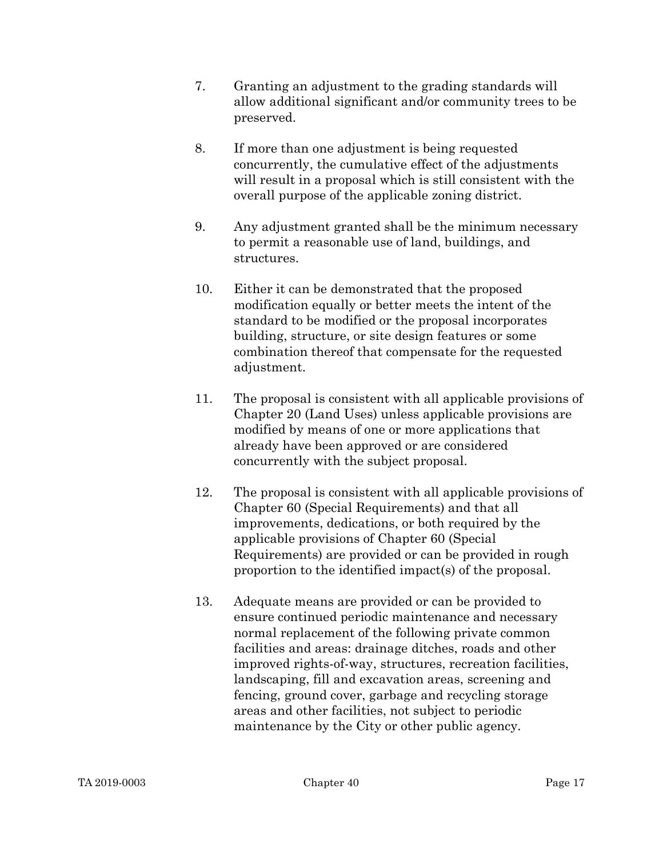- 7. Granting an adjustment to the grading standards will allow additional significant and/or community trees to be preserved.
- 8. If more than one adjustment is being requested concurrently, the cumulative effect of the adjustments will result in a proposal which is still consistent with the overall purpose of the applicable zoning district.
- 9. Any adjustment granted shall be the minimum necessary to permit a reasonable use of land, buildings, and structures.
- 10. Either it can be demonstrated that the proposed modification equally or better meets the intent of the standard to be modified or the proposal incorporates building, structure, or site design features or some combination thereof that compensate for the requested adjustment.
- 11. The proposal is consistent with all applicable provisions of Chapter 20 (Land Uses) unless applicable provisions are modified by means of one or more applications that already have been approved or are considered concurrently with the subject proposal.
- 12. The proposal is consistent with all applicable provisions of Chapter 60 (Special Requirements) and that all improvements, dedications, or both required by the applicable provisions of Chapter 60 (Special Requirements) are provided or can be provided in rough proportion to the identified impact(s) of the proposal.
- 13. Adequate means are provided or can be provided to ensure continued periodic maintenance and necessary normal replacement of the following private common facilities and areas: drainage ditches, roads and other improved rights-of-way, structures, recreation facilities, landscaping, fill and excavation areas, screening and fencing, ground cover, garbage and recycling storage areas and other facilities, not subject to periodic maintenance by the City or other public agency.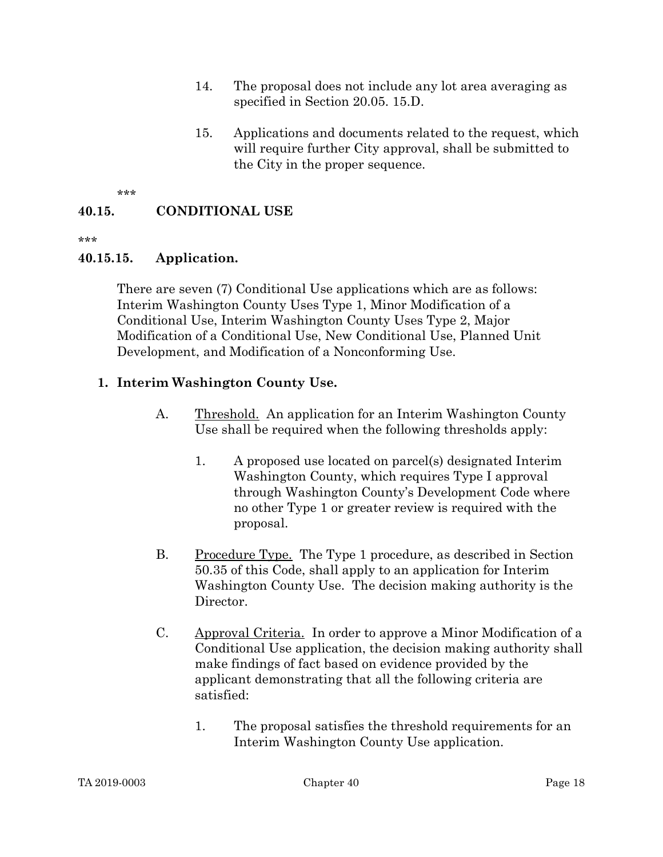- 14. The proposal does not include any lot area averaging as specified in Section 20.05. 15.D.
- 15. Applications and documents related to the request, which will require further City approval, shall be submitted to the City in the proper sequence.

## 40.15. CONDITIONAL USE

\*\*\*

#### 40.15.15. Application.

There are seven (7) Conditional Use applications which are as follows: Interim Washington County Uses Type 1, Minor Modification of a Conditional Use, Interim Washington County Uses Type 2, Major Modification of a Conditional Use, New Conditional Use, Planned Unit Development, and Modification of a Nonconforming Use.

### 1. Interim Washington County Use.

- A. Threshold. An application for an Interim Washington County Use shall be required when the following thresholds apply:
	- 1. A proposed use located on parcel(s) designated Interim Washington County, which requires Type I approval through Washington County's Development Code where no other Type 1 or greater review is required with the proposal.
- B. Procedure Type. The Type 1 procedure, as described in Section 50.35 of this Code, shall apply to an application for Interim Washington County Use. The decision making authority is the Director.
- C. Approval Criteria. In order to approve a Minor Modification of a Conditional Use application, the decision making authority shall make findings of fact based on evidence provided by the applicant demonstrating that all the following criteria are satisfied:
	- 1. The proposal satisfies the threshold requirements for an Interim Washington County Use application.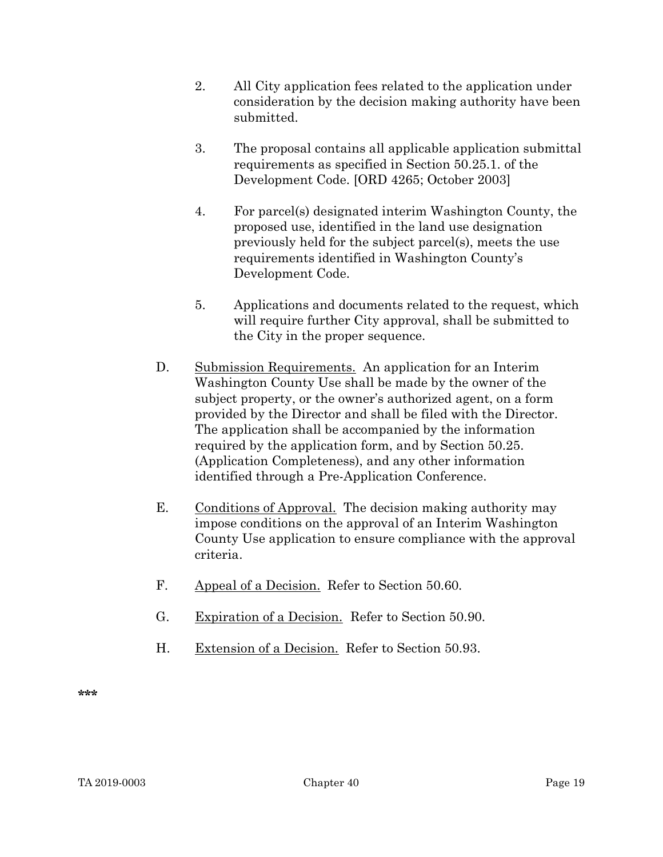- 2. All City application fees related to the application under consideration by the decision making authority have been submitted.
- 3. The proposal contains all applicable application submittal requirements as specified in Section 50.25.1. of the Development Code. [ORD 4265; October 2003]
- 4. For parcel(s) designated interim Washington County, the proposed use, identified in the land use designation previously held for the subject parcel(s), meets the use requirements identified in Washington County's Development Code.
- 5. Applications and documents related to the request, which will require further City approval, shall be submitted to the City in the proper sequence.
- D. Submission Requirements. An application for an Interim Washington County Use shall be made by the owner of the subject property, or the owner's authorized agent, on a form provided by the Director and shall be filed with the Director. The application shall be accompanied by the information required by the application form, and by Section 50.25. (Application Completeness), and any other information identified through a Pre-Application Conference.
- E. Conditions of Approval. The decision making authority may impose conditions on the approval of an Interim Washington County Use application to ensure compliance with the approval criteria.
- F. Appeal of a Decision. Refer to Section 50.60.
- G. Expiration of a Decision. Refer to Section 50.90.
- H. Extension of a Decision. Refer to Section 50.93.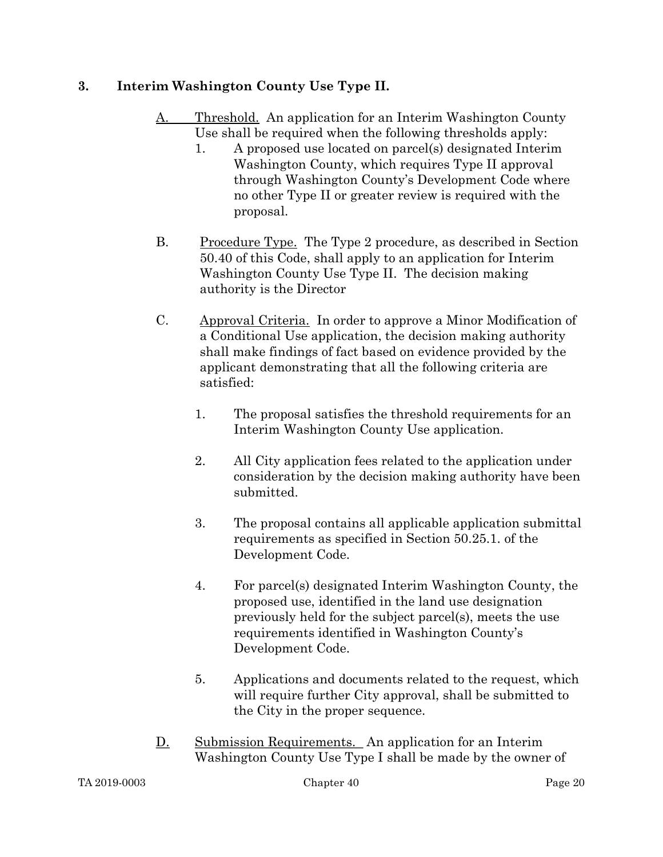## 3. Interim Washington County Use Type II.

- A. Threshold. An application for an Interim Washington County Use shall be required when the following thresholds apply:
	- 1. A proposed use located on parcel(s) designated Interim Washington County, which requires Type II approval through Washington County's Development Code where no other Type II or greater review is required with the proposal.
- B. Procedure Type. The Type 2 procedure, as described in Section 50.40 of this Code, shall apply to an application for Interim Washington County Use Type II. The decision making authority is the Director
- C. Approval Criteria. In order to approve a Minor Modification of a Conditional Use application, the decision making authority shall make findings of fact based on evidence provided by the applicant demonstrating that all the following criteria are satisfied:
	- 1. The proposal satisfies the threshold requirements for an Interim Washington County Use application.
	- 2. All City application fees related to the application under consideration by the decision making authority have been submitted.
	- 3. The proposal contains all applicable application submittal requirements as specified in Section 50.25.1. of the Development Code.
	- 4. For parcel(s) designated Interim Washington County, the proposed use, identified in the land use designation previously held for the subject parcel(s), meets the use requirements identified in Washington County's Development Code.
	- 5. Applications and documents related to the request, which will require further City approval, shall be submitted to the City in the proper sequence.
- D. Submission Requirements. An application for an Interim Washington County Use Type I shall be made by the owner of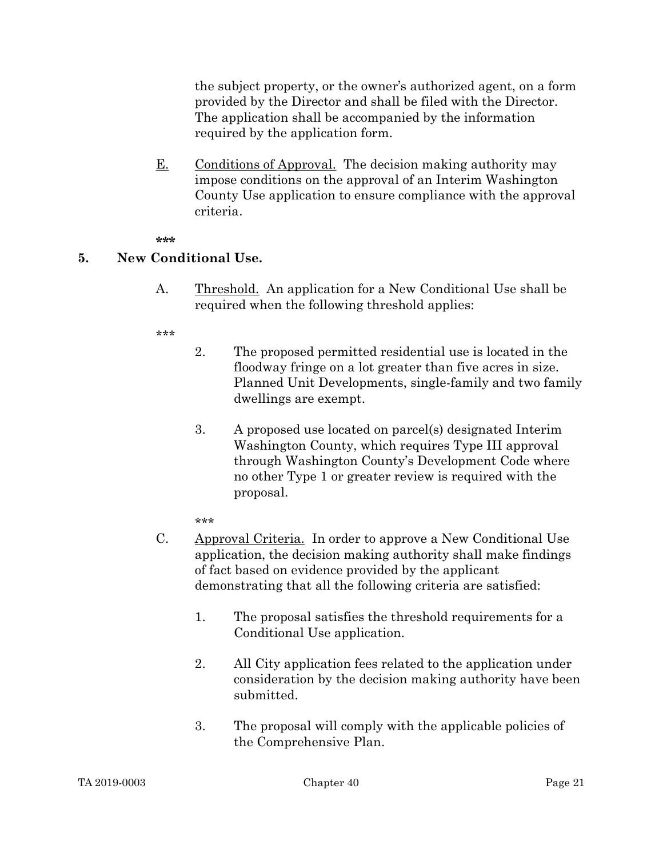the subject property, or the owner's authorized agent, on a form provided by the Director and shall be filed with the Director. The application shall be accompanied by the information required by the application form.

E. Conditions of Approval. The decision making authority may impose conditions on the approval of an Interim Washington County Use application to ensure compliance with the approval criteria.

#### \*\*\*

#### 5. New Conditional Use.

A. Threshold. An application for a New Conditional Use shall be required when the following threshold applies:

#### \*\*\*

- 2. The proposed permitted residential use is located in the floodway fringe on a lot greater than five acres in size. Planned Unit Developments, single-family and two family dwellings are exempt.
- 3. A proposed use located on parcel(s) designated Interim Washington County, which requires Type III approval through Washington County's Development Code where no other Type 1 or greater review is required with the proposal.

- C. Approval Criteria. In order to approve a New Conditional Use application, the decision making authority shall make findings of fact based on evidence provided by the applicant demonstrating that all the following criteria are satisfied:
	- 1. The proposal satisfies the threshold requirements for a Conditional Use application.
	- 2. All City application fees related to the application under consideration by the decision making authority have been submitted.
	- 3. The proposal will comply with the applicable policies of the Comprehensive Plan.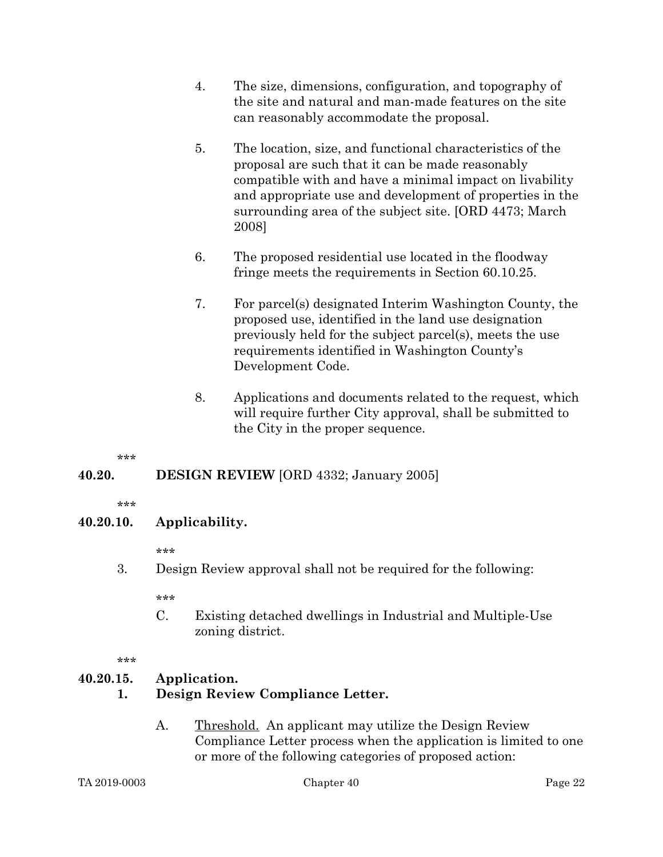- 4. The size, dimensions, configuration, and topography of the site and natural and man-made features on the site can reasonably accommodate the proposal.
- 5. The location, size, and functional characteristics of the proposal are such that it can be made reasonably compatible with and have a minimal impact on livability and appropriate use and development of properties in the surrounding area of the subject site. [ORD 4473; March 2008]
- 6. The proposed residential use located in the floodway fringe meets the requirements in Section 60.10.25.
- 7. For parcel(s) designated Interim Washington County, the proposed use, identified in the land use designation previously held for the subject parcel(s), meets the use requirements identified in Washington County's Development Code.
- 8. Applications and documents related to the request, which will require further City approval, shall be submitted to the City in the proper sequence.

### 40.20. DESIGN REVIEW [ORD 4332; January 2005]

\*\*\*

### 40.20.10. Applicability.

\*\*\*

3. Design Review approval shall not be required for the following:

\*\*\*

C. Existing detached dwellings in Industrial and Multiple-Use zoning district.

\*\*\*

# 40.20.15. Application.

# 1. Design Review Compliance Letter.

A. Threshold. An applicant may utilize the Design Review Compliance Letter process when the application is limited to one or more of the following categories of proposed action: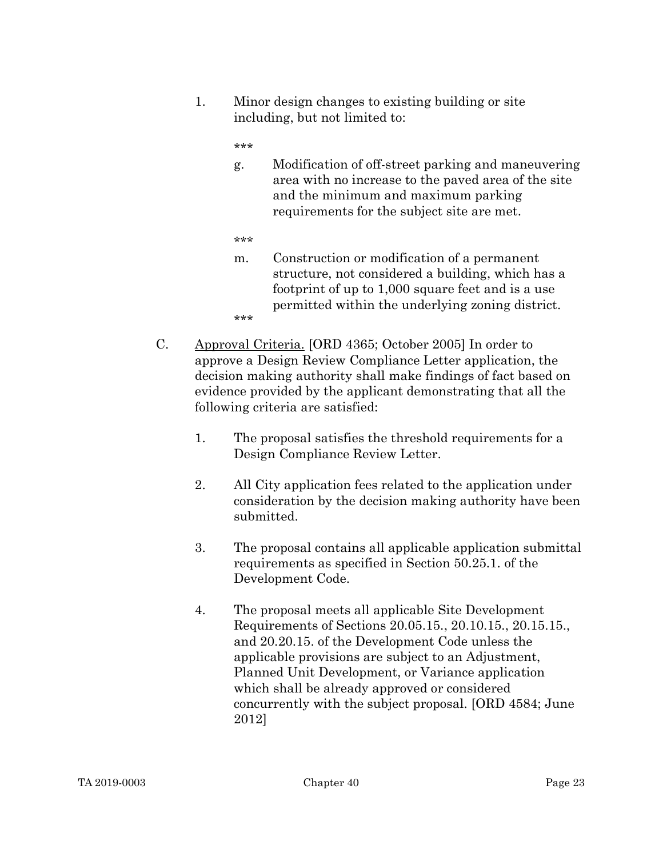1. Minor design changes to existing building or site including, but not limited to:

- g. Modification of off-street parking and maneuvering area with no increase to the paved area of the site and the minimum and maximum parking requirements for the subject site are met.
- \*\*\*
- m. Construction or modification of a permanent structure, not considered a building, which has a footprint of up to 1,000 square feet and is a use permitted within the underlying zoning district. \*\*\*
- C. Approval Criteria. [ORD 4365; October 2005] In order to approve a Design Review Compliance Letter application, the decision making authority shall make findings of fact based on evidence provided by the applicant demonstrating that all the following criteria are satisfied:
	- 1. The proposal satisfies the threshold requirements for a Design Compliance Review Letter.
	- 2. All City application fees related to the application under consideration by the decision making authority have been submitted.
	- 3. The proposal contains all applicable application submittal requirements as specified in Section 50.25.1. of the Development Code.
	- 4. The proposal meets all applicable Site Development Requirements of Sections 20.05.15., 20.10.15., 20.15.15., and 20.20.15. of the Development Code unless the applicable provisions are subject to an Adjustment, Planned Unit Development, or Variance application which shall be already approved or considered concurrently with the subject proposal. [ORD 4584; June 2012]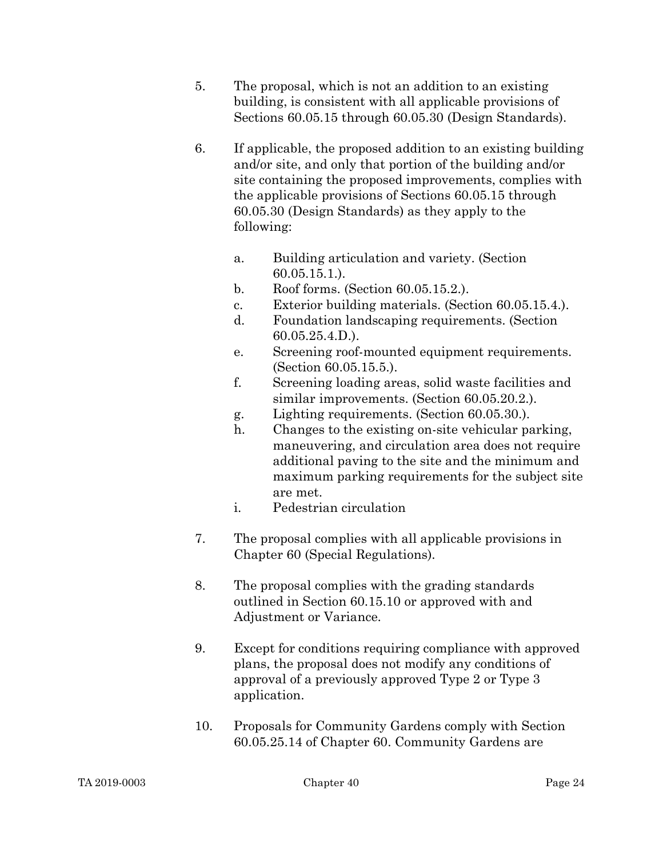- 5. The proposal, which is not an addition to an existing building, is consistent with all applicable provisions of Sections 60.05.15 through 60.05.30 (Design Standards).
- 6. If applicable, the proposed addition to an existing building and/or site, and only that portion of the building and/or site containing the proposed improvements, complies with the applicable provisions of Sections 60.05.15 through 60.05.30 (Design Standards) as they apply to the following:
	- a. Building articulation and variety. (Section 60.05.15.1.).
	- b. Roof forms. (Section 60.05.15.2.).
	- c. Exterior building materials. (Section 60.05.15.4.).
	- d. Foundation landscaping requirements. (Section 60.05.25.4.D.).
	- e. Screening roof-mounted equipment requirements. (Section 60.05.15.5.).
	- f. Screening loading areas, solid waste facilities and similar improvements. (Section 60.05.20.2.).
	- g. Lighting requirements. (Section 60.05.30.).
	- h. Changes to the existing on-site vehicular parking, maneuvering, and circulation area does not require additional paving to the site and the minimum and maximum parking requirements for the subject site are met.
	- i. Pedestrian circulation
- 7. The proposal complies with all applicable provisions in Chapter 60 (Special Regulations).
- 8. The proposal complies with the grading standards outlined in Section 60.15.10 or approved with and Adjustment or Variance.
- 9. Except for conditions requiring compliance with approved plans, the proposal does not modify any conditions of approval of a previously approved Type 2 or Type 3 application.
- 10. Proposals for Community Gardens comply with Section 60.05.25.14 of Chapter 60. Community Gardens are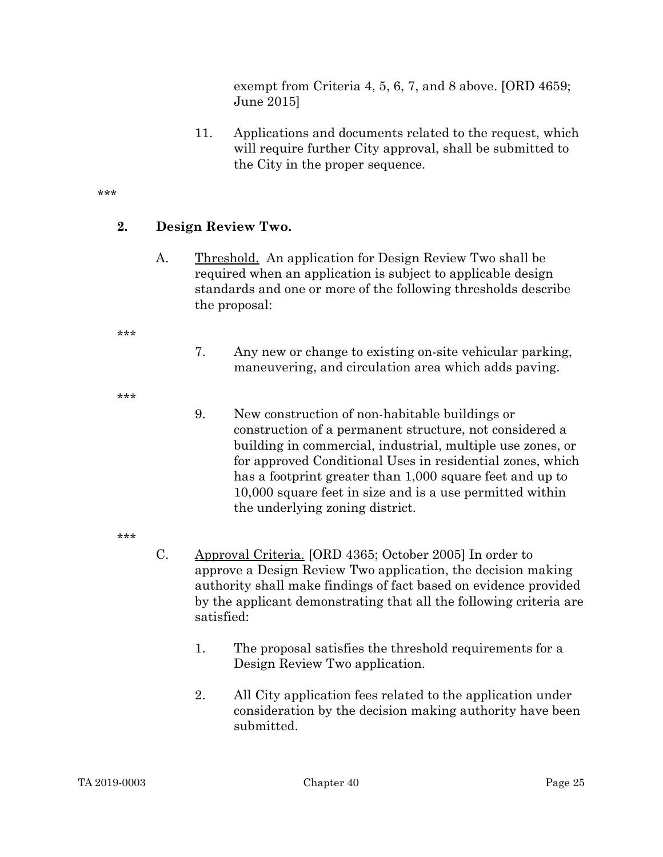exempt from Criteria 4, 5, 6, 7, and 8 above. [ORD 4659; June 2015]

11. Applications and documents related to the request, which will require further City approval, shall be submitted to the City in the proper sequence.

\*\*\*

### 2. Design Review Two.

A. Threshold. An application for Design Review Two shall be required when an application is subject to applicable design standards and one or more of the following thresholds describe the proposal:

\*\*\*

7. Any new or change to existing on-site vehicular parking, maneuvering, and circulation area which adds paving.

\*\*\*

9. New construction of non-habitable buildings or construction of a permanent structure, not considered a building in commercial, industrial, multiple use zones, or for approved Conditional Uses in residential zones, which has a footprint greater than 1,000 square feet and up to 10,000 square feet in size and is a use permitted within the underlying zoning district.

- C. Approval Criteria. [ORD 4365; October 2005] In order to approve a Design Review Two application, the decision making authority shall make findings of fact based on evidence provided by the applicant demonstrating that all the following criteria are satisfied:
	- 1. The proposal satisfies the threshold requirements for a Design Review Two application.
	- 2. All City application fees related to the application under consideration by the decision making authority have been submitted.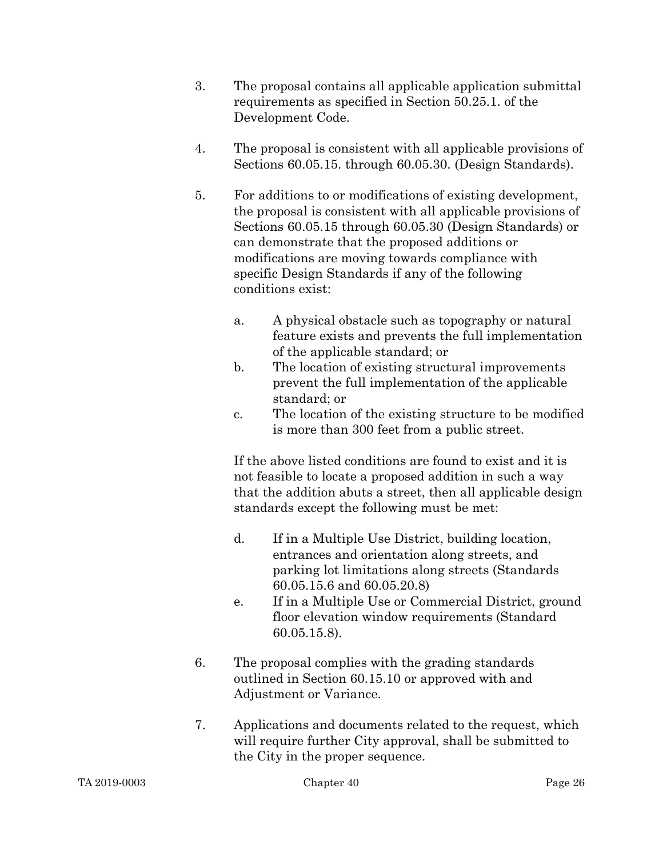- 3. The proposal contains all applicable application submittal requirements as specified in Section 50.25.1. of the Development Code.
- 4. The proposal is consistent with all applicable provisions of Sections 60.05.15. through 60.05.30. (Design Standards).
- 5. For additions to or modifications of existing development, the proposal is consistent with all applicable provisions of Sections 60.05.15 through 60.05.30 (Design Standards) or can demonstrate that the proposed additions or modifications are moving towards compliance with specific Design Standards if any of the following conditions exist:
	- a. A physical obstacle such as topography or natural feature exists and prevents the full implementation of the applicable standard; or
	- b. The location of existing structural improvements prevent the full implementation of the applicable standard; or
	- c. The location of the existing structure to be modified is more than 300 feet from a public street.

If the above listed conditions are found to exist and it is not feasible to locate a proposed addition in such a way that the addition abuts a street, then all applicable design standards except the following must be met:

- d. If in a Multiple Use District, building location, entrances and orientation along streets, and parking lot limitations along streets (Standards 60.05.15.6 and 60.05.20.8)
- e. If in a Multiple Use or Commercial District, ground floor elevation window requirements (Standard 60.05.15.8).
- 6. The proposal complies with the grading standards outlined in Section 60.15.10 or approved with and Adjustment or Variance.
- 7. Applications and documents related to the request, which will require further City approval, shall be submitted to the City in the proper sequence.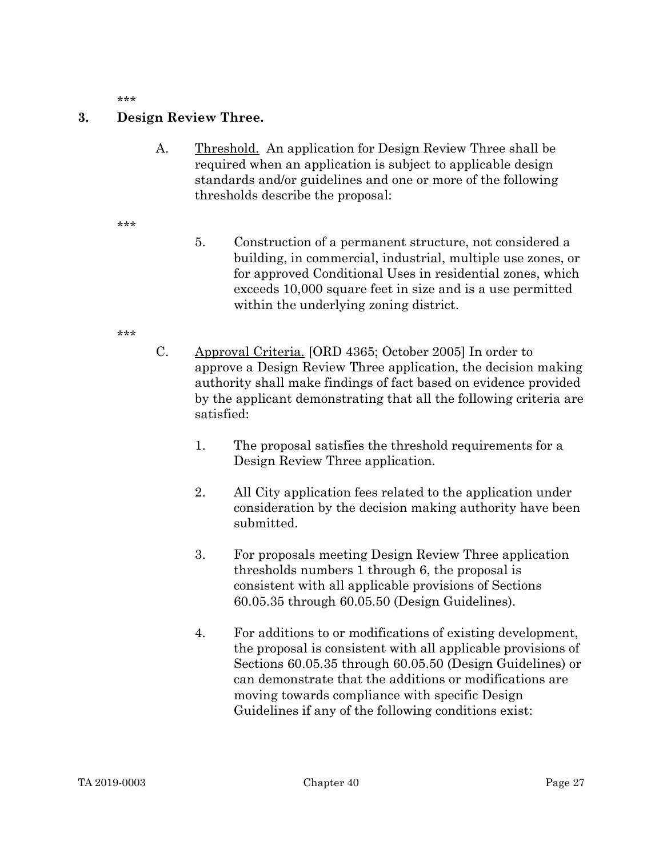#### 3. Design Review Three.

A. Threshold. An application for Design Review Three shall be required when an application is subject to applicable design standards and/or guidelines and one or more of the following thresholds describe the proposal:

- 5. Construction of a permanent structure, not considered a building, in commercial, industrial, multiple use zones, or for approved Conditional Uses in residential zones, which exceeds 10,000 square feet in size and is a use permitted within the underlying zoning district.
- \*\*\*
- C. Approval Criteria. [ORD 4365; October 2005] In order to approve a Design Review Three application, the decision making authority shall make findings of fact based on evidence provided by the applicant demonstrating that all the following criteria are satisfied:
	- 1. The proposal satisfies the threshold requirements for a Design Review Three application.
	- 2. All City application fees related to the application under consideration by the decision making authority have been submitted.
	- 3. For proposals meeting Design Review Three application thresholds numbers 1 through 6, the proposal is consistent with all applicable provisions of Sections 60.05.35 through 60.05.50 (Design Guidelines).
	- 4. For additions to or modifications of existing development, the proposal is consistent with all applicable provisions of Sections 60.05.35 through 60.05.50 (Design Guidelines) or can demonstrate that the additions or modifications are moving towards compliance with specific Design Guidelines if any of the following conditions exist: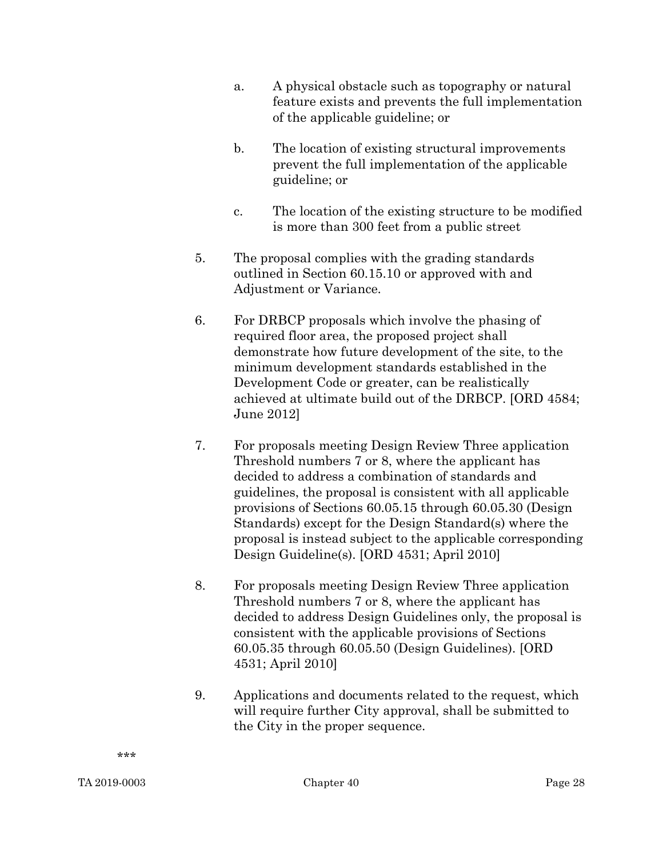- a. A physical obstacle such as topography or natural feature exists and prevents the full implementation of the applicable guideline; or
- b. The location of existing structural improvements prevent the full implementation of the applicable guideline; or
- c. The location of the existing structure to be modified is more than 300 feet from a public street
- 5. The proposal complies with the grading standards outlined in Section 60.15.10 or approved with and Adjustment or Variance.
- 6. For DRBCP proposals which involve the phasing of required floor area, the proposed project shall demonstrate how future development of the site, to the minimum development standards established in the Development Code or greater, can be realistically achieved at ultimate build out of the DRBCP. [ORD 4584; June 2012]
- 7. For proposals meeting Design Review Three application Threshold numbers 7 or 8, where the applicant has decided to address a combination of standards and guidelines, the proposal is consistent with all applicable provisions of Sections 60.05.15 through 60.05.30 (Design Standards) except for the Design Standard(s) where the proposal is instead subject to the applicable corresponding Design Guideline(s). [ORD 4531; April 2010]
- 8. For proposals meeting Design Review Three application Threshold numbers 7 or 8, where the applicant has decided to address Design Guidelines only, the proposal is consistent with the applicable provisions of Sections 60.05.35 through 60.05.50 (Design Guidelines). [ORD 4531; April 2010]
- 9. Applications and documents related to the request, which will require further City approval, shall be submitted to the City in the proper sequence.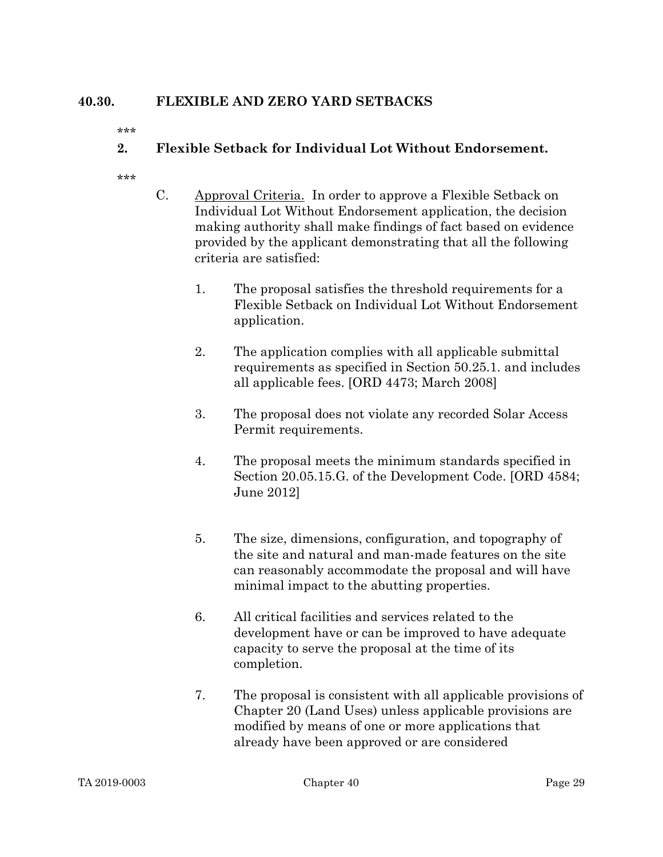### 40.30. FLEXIBLE AND ZERO YARD SETBACKS

\*\*\*

### 2. Flexible Setback for Individual Lot Without Endorsement.

- C. Approval Criteria. In order to approve a Flexible Setback on Individual Lot Without Endorsement application, the decision making authority shall make findings of fact based on evidence provided by the applicant demonstrating that all the following criteria are satisfied:
	- 1. The proposal satisfies the threshold requirements for a Flexible Setback on Individual Lot Without Endorsement application.
	- 2. The application complies with all applicable submittal requirements as specified in Section 50.25.1. and includes all applicable fees. [ORD 4473; March 2008]
	- 3. The proposal does not violate any recorded Solar Access Permit requirements.
	- 4. The proposal meets the minimum standards specified in Section 20.05.15.G. of the Development Code. [ORD 4584; June 2012]
	- 5. The size, dimensions, configuration, and topography of the site and natural and man-made features on the site can reasonably accommodate the proposal and will have minimal impact to the abutting properties.
	- 6. All critical facilities and services related to the development have or can be improved to have adequate capacity to serve the proposal at the time of its completion.
	- 7. The proposal is consistent with all applicable provisions of Chapter 20 (Land Uses) unless applicable provisions are modified by means of one or more applications that already have been approved or are considered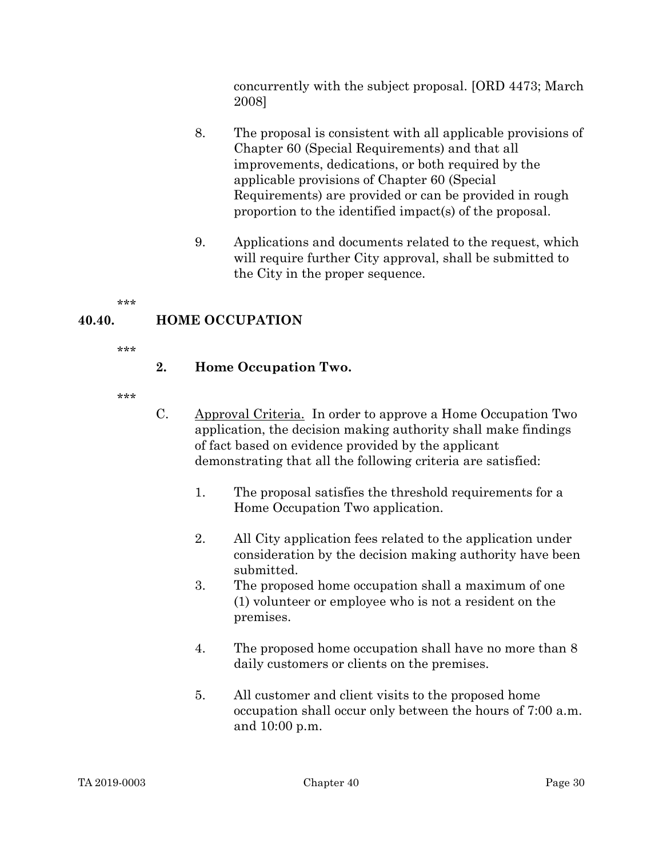concurrently with the subject proposal. [ORD 4473; March 2008]

- 8. The proposal is consistent with all applicable provisions of Chapter 60 (Special Requirements) and that all improvements, dedications, or both required by the applicable provisions of Chapter 60 (Special Requirements) are provided or can be provided in rough proportion to the identified impact(s) of the proposal.
- 9. Applications and documents related to the request, which will require further City approval, shall be submitted to the City in the proper sequence.

\*\*\*

### 40.40. HOME OCCUPATION

\*\*\*

### 2. Home Occupation Two.

- C. Approval Criteria. In order to approve a Home Occupation Two application, the decision making authority shall make findings of fact based on evidence provided by the applicant demonstrating that all the following criteria are satisfied:
	- 1. The proposal satisfies the threshold requirements for a Home Occupation Two application.
	- 2. All City application fees related to the application under consideration by the decision making authority have been submitted.
	- 3. The proposed home occupation shall a maximum of one (1) volunteer or employee who is not a resident on the premises.
	- 4. The proposed home occupation shall have no more than 8 daily customers or clients on the premises.
	- 5. All customer and client visits to the proposed home occupation shall occur only between the hours of 7:00 a.m. and 10:00 p.m.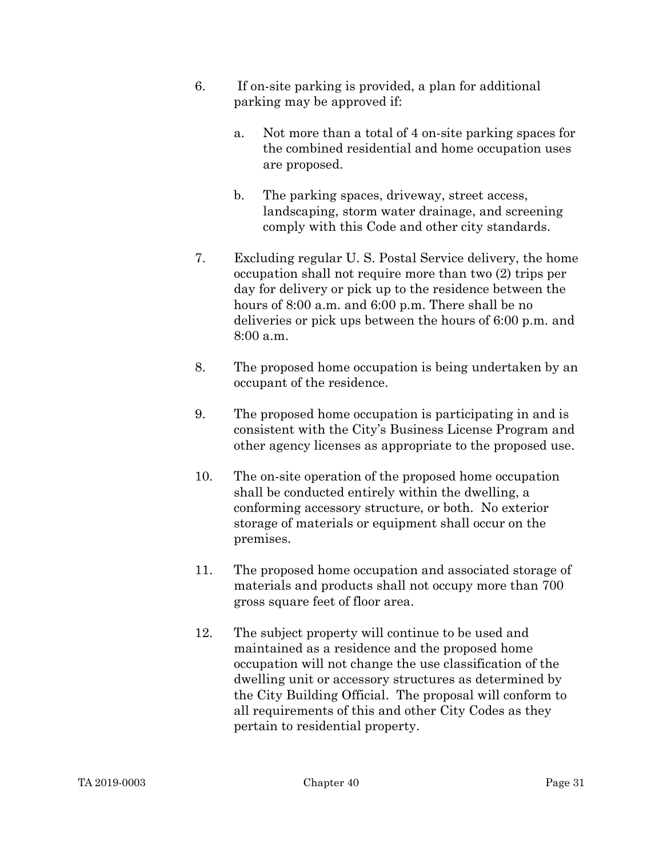- 6. If on-site parking is provided, a plan for additional parking may be approved if:
	- a. Not more than a total of 4 on-site parking spaces for the combined residential and home occupation uses are proposed.
	- b. The parking spaces, driveway, street access, landscaping, storm water drainage, and screening comply with this Code and other city standards.
- 7. Excluding regular U. S. Postal Service delivery, the home occupation shall not require more than two (2) trips per day for delivery or pick up to the residence between the hours of 8:00 a.m. and 6:00 p.m. There shall be no deliveries or pick ups between the hours of 6:00 p.m. and 8:00 a.m.
- 8. The proposed home occupation is being undertaken by an occupant of the residence.
- 9. The proposed home occupation is participating in and is consistent with the City's Business License Program and other agency licenses as appropriate to the proposed use.
- 10. The on-site operation of the proposed home occupation shall be conducted entirely within the dwelling, a conforming accessory structure, or both. No exterior storage of materials or equipment shall occur on the premises.
- 11. The proposed home occupation and associated storage of materials and products shall not occupy more than 700 gross square feet of floor area.
- 12. The subject property will continue to be used and maintained as a residence and the proposed home occupation will not change the use classification of the dwelling unit or accessory structures as determined by the City Building Official. The proposal will conform to all requirements of this and other City Codes as they pertain to residential property.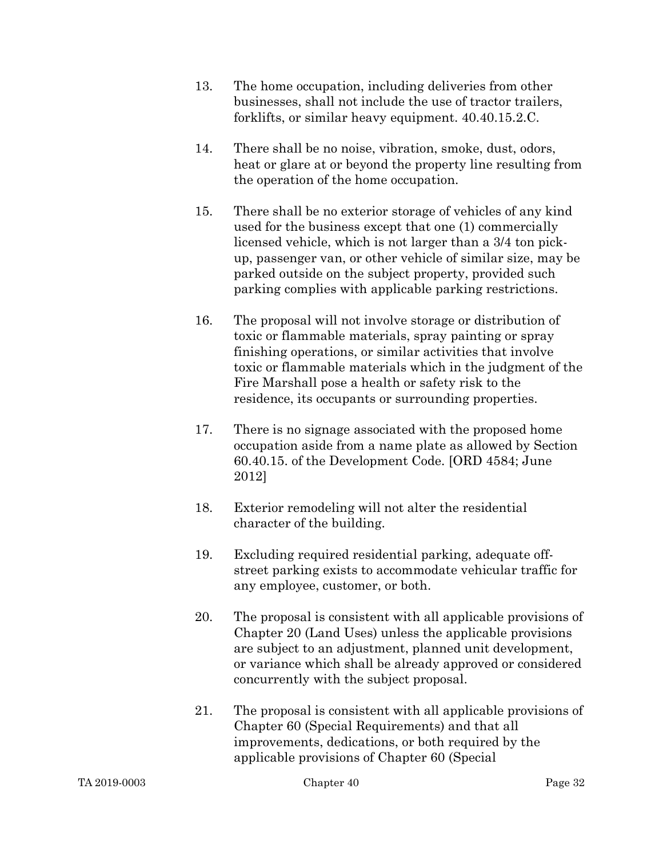- 13. The home occupation, including deliveries from other businesses, shall not include the use of tractor trailers, forklifts, or similar heavy equipment. 40.40.15.2.C.
- 14. There shall be no noise, vibration, smoke, dust, odors, heat or glare at or beyond the property line resulting from the operation of the home occupation.
- 15. There shall be no exterior storage of vehicles of any kind used for the business except that one (1) commercially licensed vehicle, which is not larger than a 3/4 ton pickup, passenger van, or other vehicle of similar size, may be parked outside on the subject property, provided such parking complies with applicable parking restrictions.
- 16. The proposal will not involve storage or distribution of toxic or flammable materials, spray painting or spray finishing operations, or similar activities that involve toxic or flammable materials which in the judgment of the Fire Marshall pose a health or safety risk to the residence, its occupants or surrounding properties.
- 17. There is no signage associated with the proposed home occupation aside from a name plate as allowed by Section 60.40.15. of the Development Code. [ORD 4584; June 2012]
- 18. Exterior remodeling will not alter the residential character of the building.
- 19. Excluding required residential parking, adequate offstreet parking exists to accommodate vehicular traffic for any employee, customer, or both.
- 20. The proposal is consistent with all applicable provisions of Chapter 20 (Land Uses) unless the applicable provisions are subject to an adjustment, planned unit development, or variance which shall be already approved or considered concurrently with the subject proposal.
- 21. The proposal is consistent with all applicable provisions of Chapter 60 (Special Requirements) and that all improvements, dedications, or both required by the applicable provisions of Chapter 60 (Special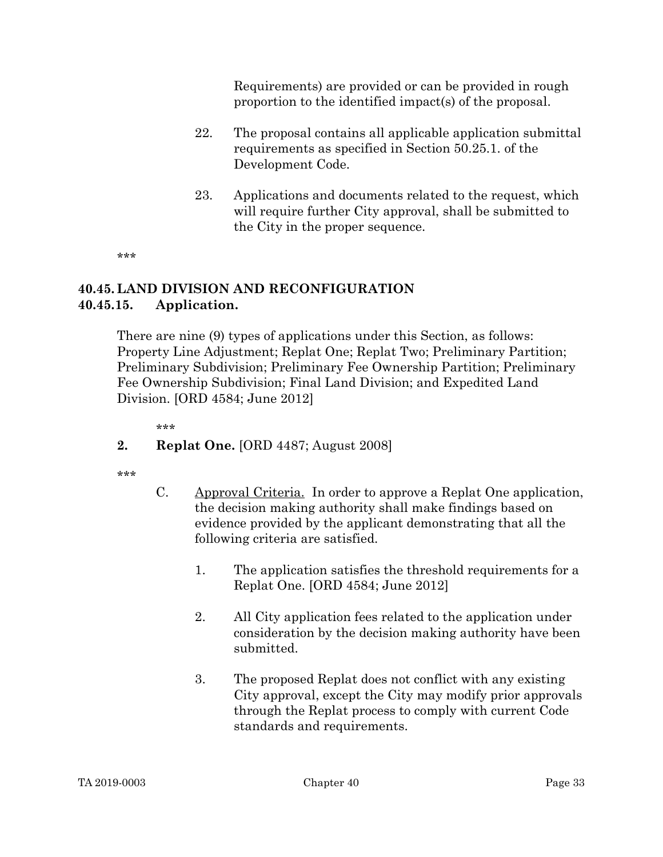Requirements) are provided or can be provided in rough proportion to the identified impact(s) of the proposal.

- 22. The proposal contains all applicable application submittal requirements as specified in Section 50.25.1. of the Development Code.
- 23. Applications and documents related to the request, which will require further City approval, shall be submitted to the City in the proper sequence.

\*\*\*

#### 40.45. LAND DIVISION AND RECONFIGURATION 40.45.15. Application.

There are nine (9) types of applications under this Section, as follows: Property Line Adjustment; Replat One; Replat Two; Preliminary Partition; Preliminary Subdivision; Preliminary Fee Ownership Partition; Preliminary Fee Ownership Subdivision; Final Land Division; and Expedited Land Division. [ORD 4584; June 2012]

\*\*\*

### 2. Replat One. [ORD 4487; August 2008]

- C. Approval Criteria. In order to approve a Replat One application, the decision making authority shall make findings based on evidence provided by the applicant demonstrating that all the following criteria are satisfied.
	- 1. The application satisfies the threshold requirements for a Replat One. [ORD 4584; June 2012]
	- 2. All City application fees related to the application under consideration by the decision making authority have been submitted.
	- 3. The proposed Replat does not conflict with any existing City approval, except the City may modify prior approvals through the Replat process to comply with current Code standards and requirements.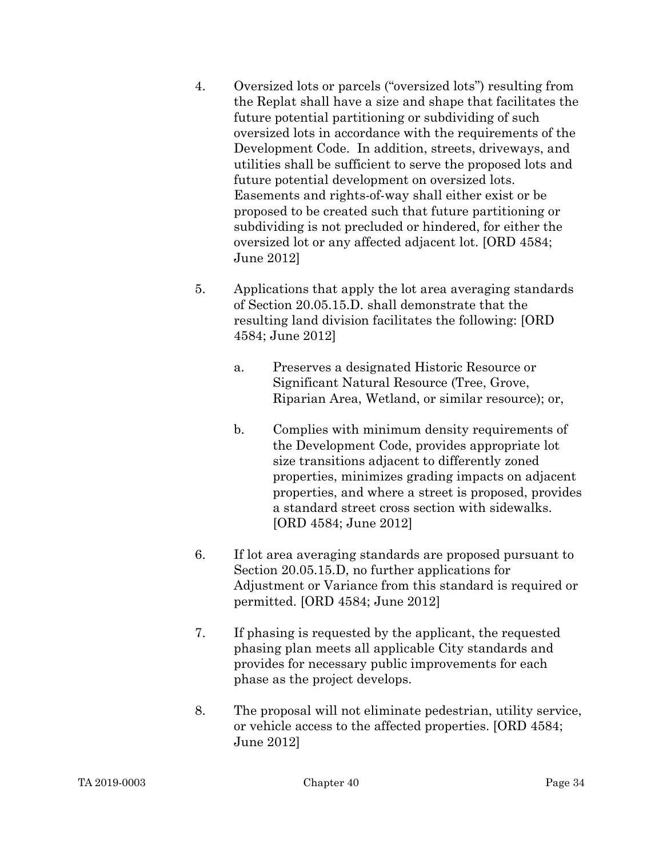- 4. Oversized lots or parcels ("oversized lots") resulting from the Replat shall have a size and shape that facilitates the future potential partitioning or subdividing of such oversized lots in accordance with the requirements of the Development Code. In addition, streets, driveways, and utilities shall be sufficient to serve the proposed lots and future potential development on oversized lots. Easements and rights-of-way shall either exist or be proposed to be created such that future partitioning or subdividing is not precluded or hindered, for either the oversized lot or any affected adjacent lot. [ORD 4584; June 2012]
- 5. Applications that apply the lot area averaging standards of Section 20.05.15.D. shall demonstrate that the resulting land division facilitates the following: [ORD 4584; June 2012]
	- a. Preserves a designated Historic Resource or Significant Natural Resource (Tree, Grove, Riparian Area, Wetland, or similar resource); or,
	- b. Complies with minimum density requirements of the Development Code, provides appropriate lot size transitions adjacent to differently zoned properties, minimizes grading impacts on adjacent properties, and where a street is proposed, provides a standard street cross section with sidewalks. [ORD 4584; June 2012]
- 6. If lot area averaging standards are proposed pursuant to Section 20.05.15.D, no further applications for Adjustment or Variance from this standard is required or permitted. [ORD 4584; June 2012]
- 7. If phasing is requested by the applicant, the requested phasing plan meets all applicable City standards and provides for necessary public improvements for each phase as the project develops.
- 8. The proposal will not eliminate pedestrian, utility service, or vehicle access to the affected properties. [ORD 4584; June 2012]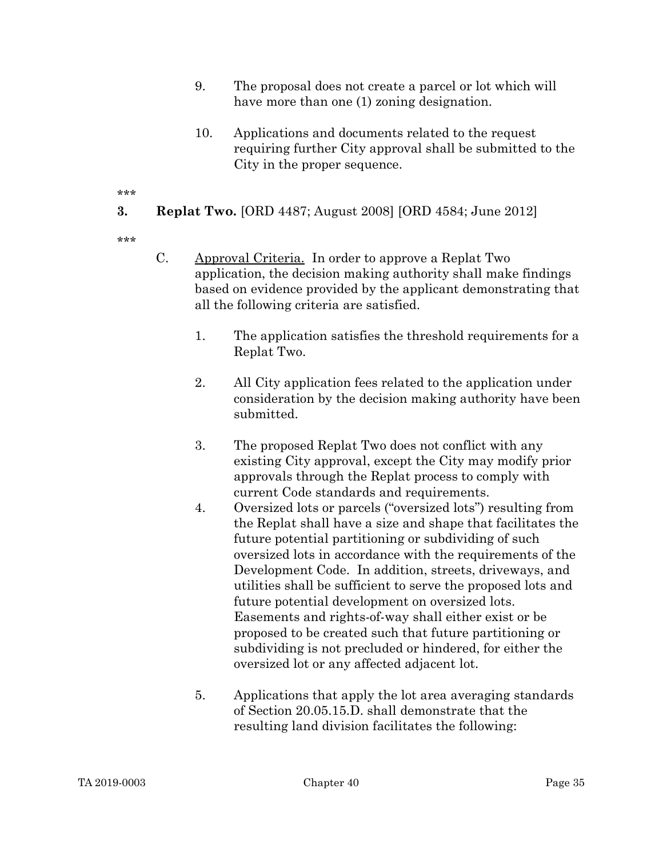- 9. The proposal does not create a parcel or lot which will have more than one (1) zoning designation.
- 10. Applications and documents related to the request requiring further City approval shall be submitted to the City in the proper sequence.

**3.** Replat Two. [ORD 4487; August 2008] [ORD 4584; June 2012]

- C. Approval Criteria. In order to approve a Replat Two application, the decision making authority shall make findings based on evidence provided by the applicant demonstrating that all the following criteria are satisfied.
	- 1. The application satisfies the threshold requirements for a Replat Two.
	- 2. All City application fees related to the application under consideration by the decision making authority have been submitted.
	- 3. The proposed Replat Two does not conflict with any existing City approval, except the City may modify prior approvals through the Replat process to comply with current Code standards and requirements.
	- 4. Oversized lots or parcels ("oversized lots") resulting from the Replat shall have a size and shape that facilitates the future potential partitioning or subdividing of such oversized lots in accordance with the requirements of the Development Code. In addition, streets, driveways, and utilities shall be sufficient to serve the proposed lots and future potential development on oversized lots. Easements and rights-of-way shall either exist or be proposed to be created such that future partitioning or subdividing is not precluded or hindered, for either the oversized lot or any affected adjacent lot.
	- 5. Applications that apply the lot area averaging standards of Section 20.05.15.D. shall demonstrate that the resulting land division facilitates the following: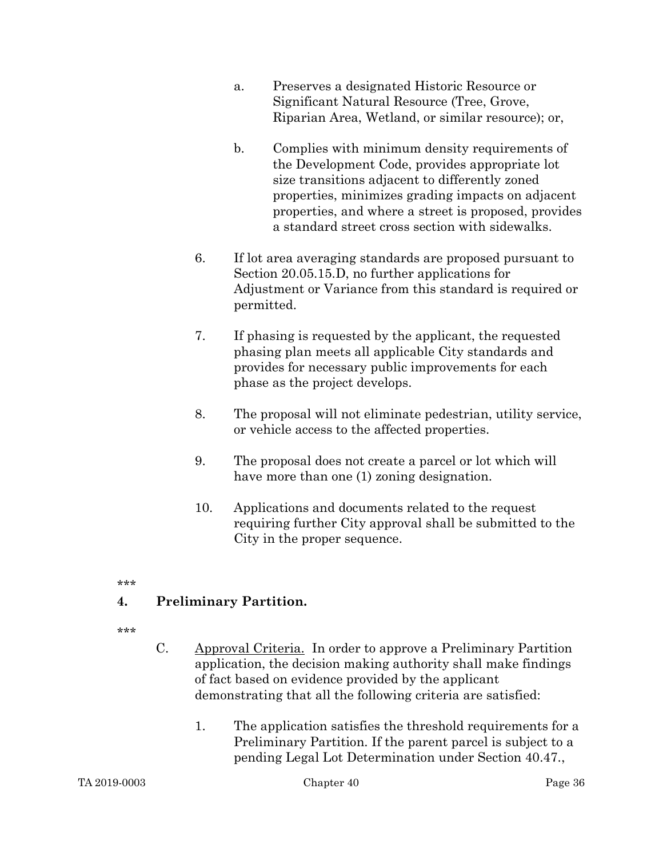- a. Preserves a designated Historic Resource or Significant Natural Resource (Tree, Grove, Riparian Area, Wetland, or similar resource); or,
- b. Complies with minimum density requirements of the Development Code, provides appropriate lot size transitions adjacent to differently zoned properties, minimizes grading impacts on adjacent properties, and where a street is proposed, provides a standard street cross section with sidewalks.
- 6. If lot area averaging standards are proposed pursuant to Section 20.05.15.D, no further applications for Adjustment or Variance from this standard is required or permitted.
- 7. If phasing is requested by the applicant, the requested phasing plan meets all applicable City standards and provides for necessary public improvements for each phase as the project develops.
- 8. The proposal will not eliminate pedestrian, utility service, or vehicle access to the affected properties.
- 9. The proposal does not create a parcel or lot which will have more than one (1) zoning designation.
- 10. Applications and documents related to the request requiring further City approval shall be submitted to the City in the proper sequence.
- \*\*\*

# 4. Preliminary Partition.

- \*\*\*
- C. Approval Criteria. In order to approve a Preliminary Partition application, the decision making authority shall make findings of fact based on evidence provided by the applicant demonstrating that all the following criteria are satisfied:
	- 1. The application satisfies the threshold requirements for a Preliminary Partition. If the parent parcel is subject to a pending Legal Lot Determination under Section 40.47.,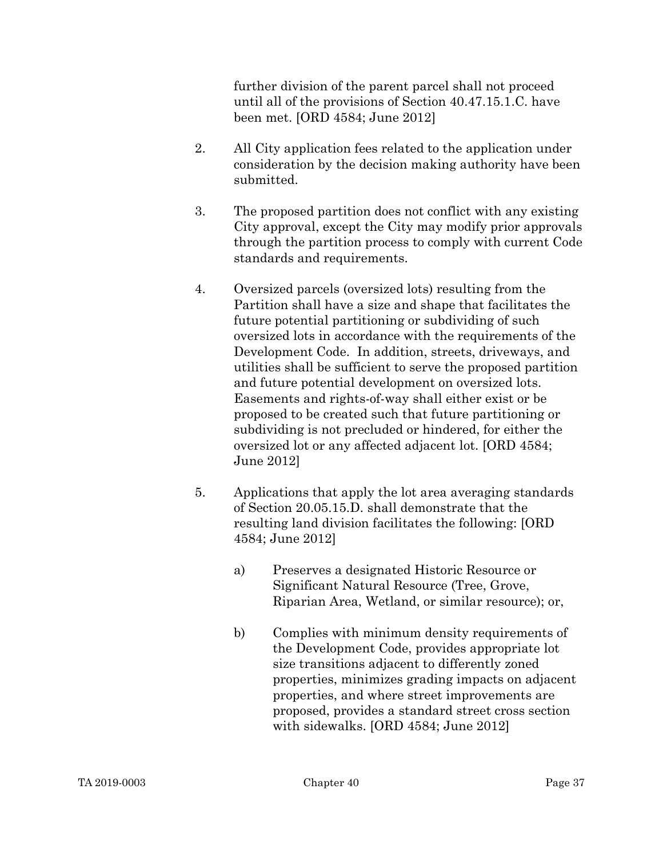further division of the parent parcel shall not proceed until all of the provisions of Section 40.47.15.1.C. have been met. [ORD 4584; June 2012]

- 2. All City application fees related to the application under consideration by the decision making authority have been submitted.
- 3. The proposed partition does not conflict with any existing City approval, except the City may modify prior approvals through the partition process to comply with current Code standards and requirements.
- 4. Oversized parcels (oversized lots) resulting from the Partition shall have a size and shape that facilitates the future potential partitioning or subdividing of such oversized lots in accordance with the requirements of the Development Code. In addition, streets, driveways, and utilities shall be sufficient to serve the proposed partition and future potential development on oversized lots. Easements and rights-of-way shall either exist or be proposed to be created such that future partitioning or subdividing is not precluded or hindered, for either the oversized lot or any affected adjacent lot. [ORD 4584; June 2012]
- 5. Applications that apply the lot area averaging standards of Section 20.05.15.D. shall demonstrate that the resulting land division facilitates the following: [ORD 4584; June 2012]
	- a) Preserves a designated Historic Resource or Significant Natural Resource (Tree, Grove, Riparian Area, Wetland, or similar resource); or,
	- b) Complies with minimum density requirements of the Development Code, provides appropriate lot size transitions adjacent to differently zoned properties, minimizes grading impacts on adjacent properties, and where street improvements are proposed, provides a standard street cross section with sidewalks. [ORD 4584; June 2012]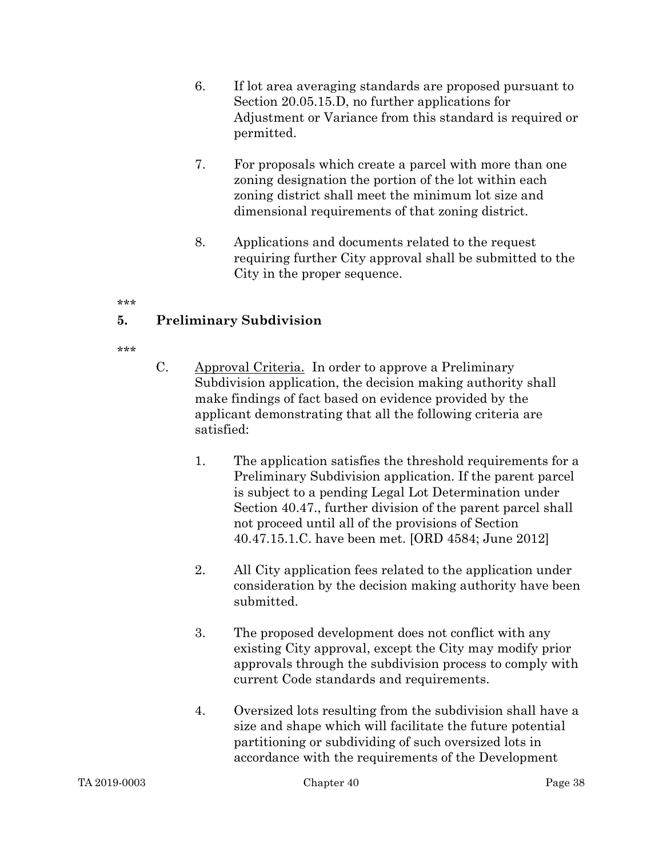- 6. If lot area averaging standards are proposed pursuant to Section 20.05.15.D, no further applications for Adjustment or Variance from this standard is required or permitted.
- 7. For proposals which create a parcel with more than one zoning designation the portion of the lot within each zoning district shall meet the minimum lot size and dimensional requirements of that zoning district.
- 8. Applications and documents related to the request requiring further City approval shall be submitted to the City in the proper sequence.

#### \*\*\*

# 5. Preliminary Subdivision

- C. Approval Criteria. In order to approve a Preliminary Subdivision application, the decision making authority shall make findings of fact based on evidence provided by the applicant demonstrating that all the following criteria are satisfied:
	- 1. The application satisfies the threshold requirements for a Preliminary Subdivision application. If the parent parcel is subject to a pending Legal Lot Determination under Section 40.47., further division of the parent parcel shall not proceed until all of the provisions of Section 40.47.15.1.C. have been met. [ORD 4584; June 2012]
	- 2. All City application fees related to the application under consideration by the decision making authority have been submitted.
	- 3. The proposed development does not conflict with any existing City approval, except the City may modify prior approvals through the subdivision process to comply with current Code standards and requirements.
	- 4. Oversized lots resulting from the subdivision shall have a size and shape which will facilitate the future potential partitioning or subdividing of such oversized lots in accordance with the requirements of the Development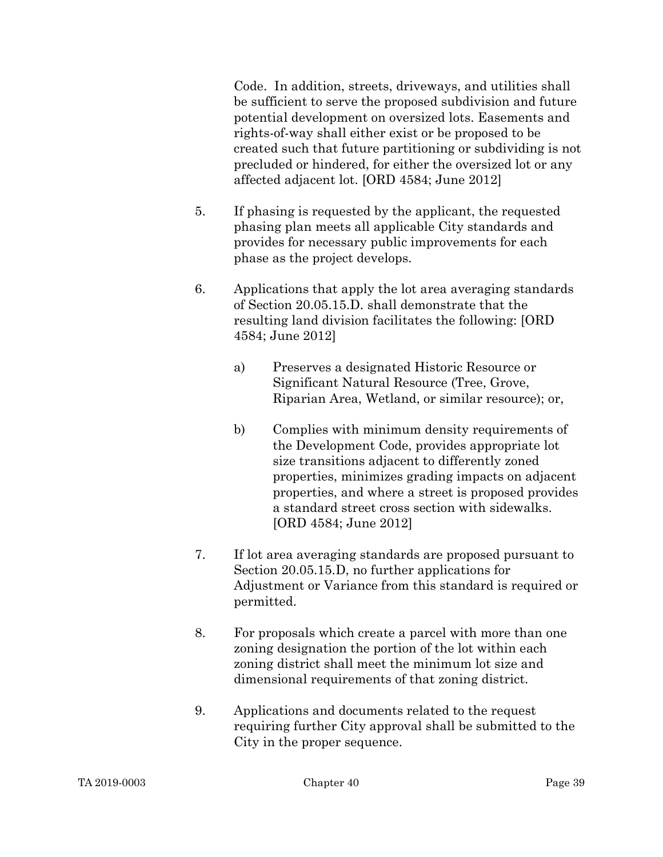Code. In addition, streets, driveways, and utilities shall be sufficient to serve the proposed subdivision and future potential development on oversized lots. Easements and rights-of-way shall either exist or be proposed to be created such that future partitioning or subdividing is not precluded or hindered, for either the oversized lot or any affected adjacent lot. [ORD 4584; June 2012]

- 5. If phasing is requested by the applicant, the requested phasing plan meets all applicable City standards and provides for necessary public improvements for each phase as the project develops.
- 6. Applications that apply the lot area averaging standards of Section 20.05.15.D. shall demonstrate that the resulting land division facilitates the following: [ORD 4584; June 2012]
	- a) Preserves a designated Historic Resource or Significant Natural Resource (Tree, Grove, Riparian Area, Wetland, or similar resource); or,
	- b) Complies with minimum density requirements of the Development Code, provides appropriate lot size transitions adjacent to differently zoned properties, minimizes grading impacts on adjacent properties, and where a street is proposed provides a standard street cross section with sidewalks. [ORD 4584; June 2012]
- 7. If lot area averaging standards are proposed pursuant to Section 20.05.15.D, no further applications for Adjustment or Variance from this standard is required or permitted.
- 8. For proposals which create a parcel with more than one zoning designation the portion of the lot within each zoning district shall meet the minimum lot size and dimensional requirements of that zoning district.
- 9. Applications and documents related to the request requiring further City approval shall be submitted to the City in the proper sequence.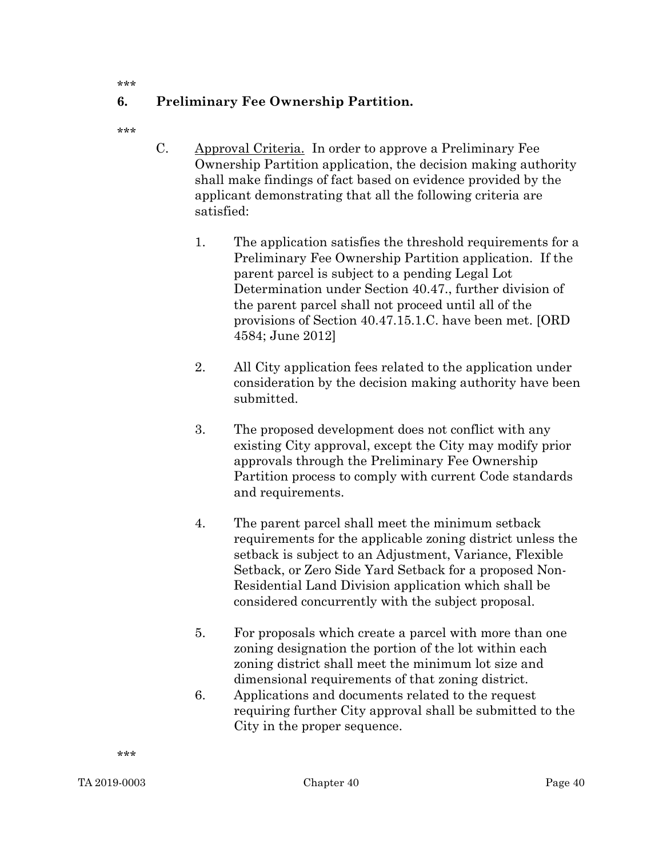\*\*\*

# 6. Preliminary Fee Ownership Partition.

\*\*\*

- C. Approval Criteria. In order to approve a Preliminary Fee Ownership Partition application, the decision making authority shall make findings of fact based on evidence provided by the applicant demonstrating that all the following criteria are satisfied:
	- 1. The application satisfies the threshold requirements for a Preliminary Fee Ownership Partition application. If the parent parcel is subject to a pending Legal Lot Determination under Section 40.47., further division of the parent parcel shall not proceed until all of the provisions of Section 40.47.15.1.C. have been met. [ORD 4584; June 2012]
	- 2. All City application fees related to the application under consideration by the decision making authority have been submitted.
	- 3. The proposed development does not conflict with any existing City approval, except the City may modify prior approvals through the Preliminary Fee Ownership Partition process to comply with current Code standards and requirements.
	- 4. The parent parcel shall meet the minimum setback requirements for the applicable zoning district unless the setback is subject to an Adjustment, Variance, Flexible Setback, or Zero Side Yard Setback for a proposed Non-Residential Land Division application which shall be considered concurrently with the subject proposal.
	- 5. For proposals which create a parcel with more than one zoning designation the portion of the lot within each zoning district shall meet the minimum lot size and dimensional requirements of that zoning district.
	- 6. Applications and documents related to the request requiring further City approval shall be submitted to the City in the proper sequence.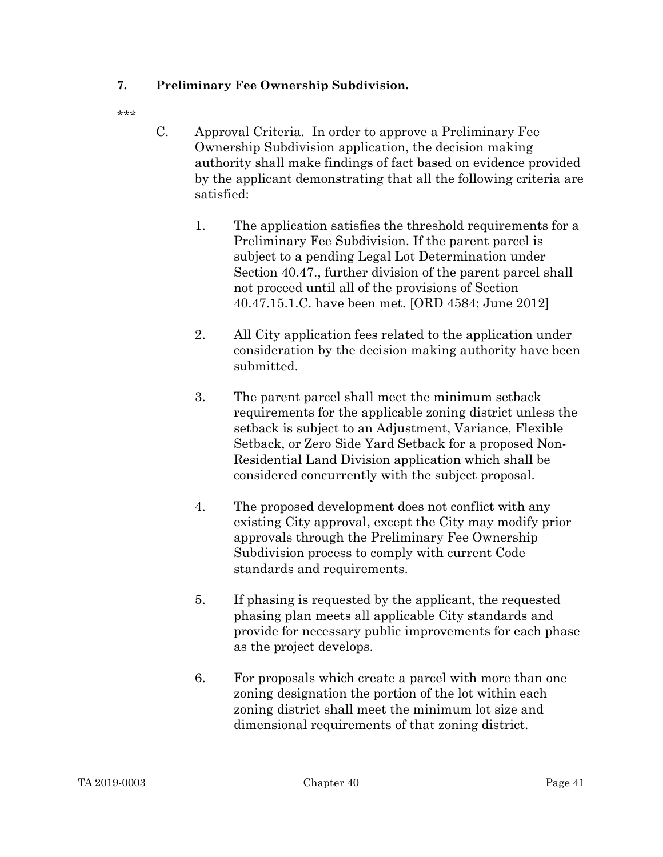# 7. Preliminary Fee Ownership Subdivision.

- C. Approval Criteria. In order to approve a Preliminary Fee Ownership Subdivision application, the decision making authority shall make findings of fact based on evidence provided by the applicant demonstrating that all the following criteria are satisfied:
	- 1. The application satisfies the threshold requirements for a Preliminary Fee Subdivision. If the parent parcel is subject to a pending Legal Lot Determination under Section 40.47., further division of the parent parcel shall not proceed until all of the provisions of Section 40.47.15.1.C. have been met. [ORD 4584; June 2012]
	- 2. All City application fees related to the application under consideration by the decision making authority have been submitted.
	- 3. The parent parcel shall meet the minimum setback requirements for the applicable zoning district unless the setback is subject to an Adjustment, Variance, Flexible Setback, or Zero Side Yard Setback for a proposed Non-Residential Land Division application which shall be considered concurrently with the subject proposal.
	- 4. The proposed development does not conflict with any existing City approval, except the City may modify prior approvals through the Preliminary Fee Ownership Subdivision process to comply with current Code standards and requirements.
	- 5. If phasing is requested by the applicant, the requested phasing plan meets all applicable City standards and provide for necessary public improvements for each phase as the project develops.
	- 6. For proposals which create a parcel with more than one zoning designation the portion of the lot within each zoning district shall meet the minimum lot size and dimensional requirements of that zoning district.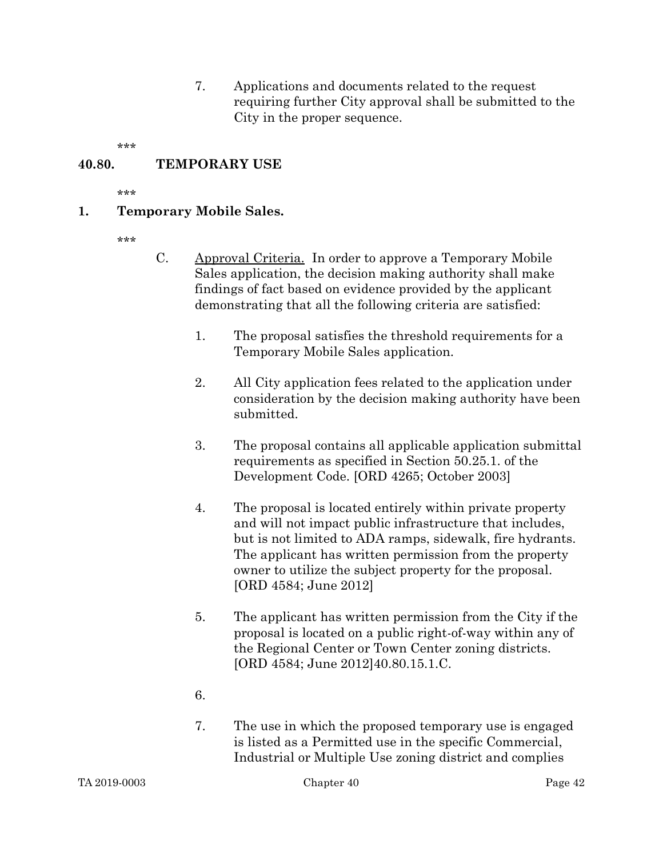7. Applications and documents related to the request requiring further City approval shall be submitted to the City in the proper sequence.

\*\*\*

### 40.80. TEMPORARY USE

\*\*\*

#### 1. Temporary Mobile Sales.

- \*\*\*
- C. Approval Criteria. In order to approve a Temporary Mobile Sales application, the decision making authority shall make findings of fact based on evidence provided by the applicant demonstrating that all the following criteria are satisfied:
	- 1. The proposal satisfies the threshold requirements for a Temporary Mobile Sales application.
	- 2. All City application fees related to the application under consideration by the decision making authority have been submitted.
	- 3. The proposal contains all applicable application submittal requirements as specified in Section 50.25.1. of the Development Code. [ORD 4265; October 2003]
	- 4. The proposal is located entirely within private property and will not impact public infrastructure that includes, but is not limited to ADA ramps, sidewalk, fire hydrants. The applicant has written permission from the property owner to utilize the subject property for the proposal. [ORD 4584; June 2012]
	- 5. The applicant has written permission from the City if the proposal is located on a public right-of-way within any of the Regional Center or Town Center zoning districts. [ORD 4584; June 2012]40.80.15.1.C.
	- 6.
	- 7. The use in which the proposed temporary use is engaged is listed as a Permitted use in the specific Commercial, Industrial or Multiple Use zoning district and complies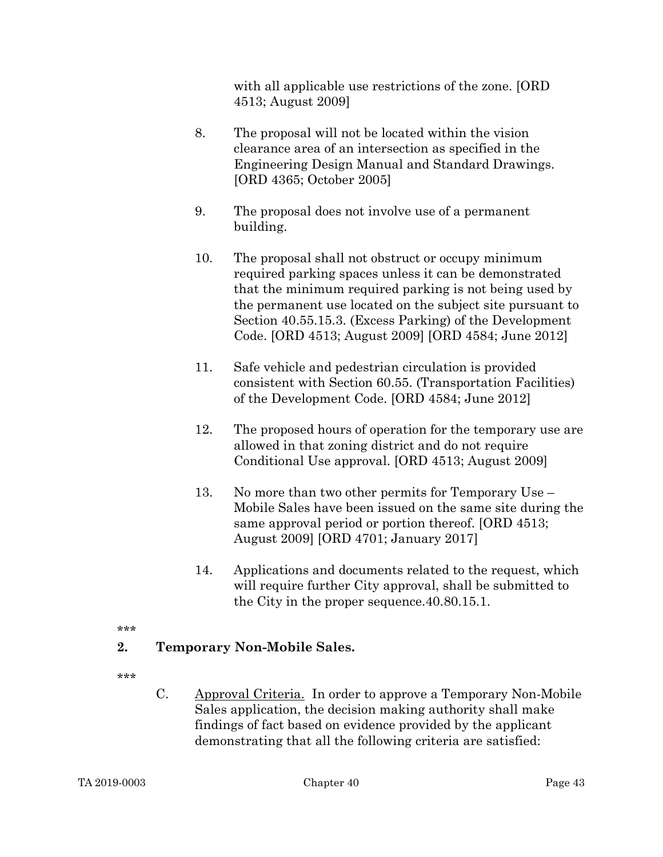with all applicable use restrictions of the zone. [ORD 4513; August 2009]

- 8. The proposal will not be located within the vision clearance area of an intersection as specified in the Engineering Design Manual and Standard Drawings. [ORD 4365; October 2005]
- 9. The proposal does not involve use of a permanent building.
- 10. The proposal shall not obstruct or occupy minimum required parking spaces unless it can be demonstrated that the minimum required parking is not being used by the permanent use located on the subject site pursuant to Section 40.55.15.3. (Excess Parking) of the Development Code. [ORD 4513; August 2009] [ORD 4584; June 2012]
- 11. Safe vehicle and pedestrian circulation is provided consistent with Section 60.55. (Transportation Facilities) of the Development Code. [ORD 4584; June 2012]
- 12. The proposed hours of operation for the temporary use are allowed in that zoning district and do not require Conditional Use approval. [ORD 4513; August 2009]
- 13. No more than two other permits for Temporary Use Mobile Sales have been issued on the same site during the same approval period or portion thereof. [ORD 4513; August 2009] [ORD 4701; January 2017]
- 14. Applications and documents related to the request, which will require further City approval, shall be submitted to the City in the proper sequence.40.80.15.1.

#### \*\*\*

# 2. Temporary Non-Mobile Sales.

\*\*\*

C. Approval Criteria. In order to approve a Temporary Non-Mobile Sales application, the decision making authority shall make findings of fact based on evidence provided by the applicant demonstrating that all the following criteria are satisfied: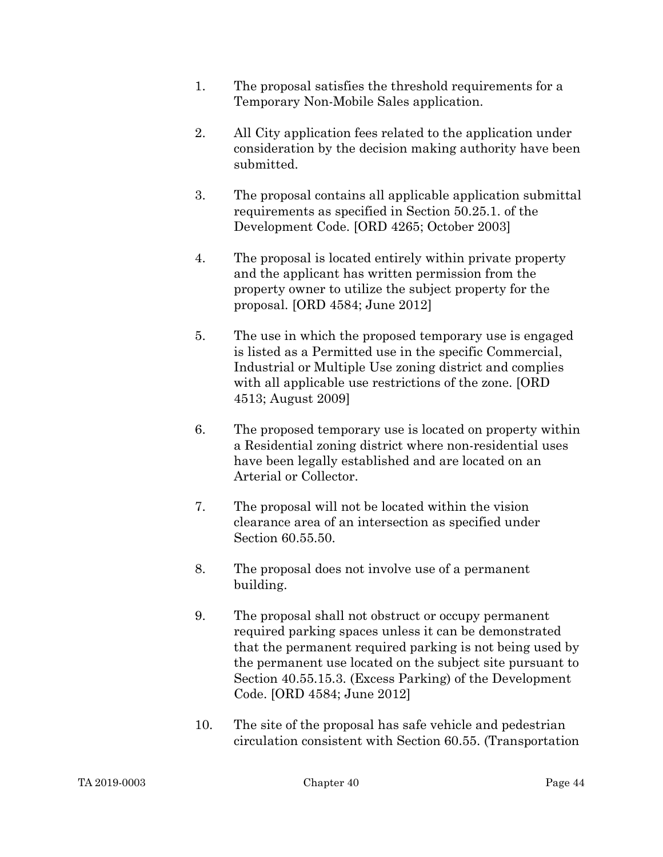- 1. The proposal satisfies the threshold requirements for a Temporary Non-Mobile Sales application.
- 2. All City application fees related to the application under consideration by the decision making authority have been submitted.
- 3. The proposal contains all applicable application submittal requirements as specified in Section 50.25.1. of the Development Code. [ORD 4265; October 2003]
- 4. The proposal is located entirely within private property and the applicant has written permission from the property owner to utilize the subject property for the proposal. [ORD 4584; June 2012]
- 5. The use in which the proposed temporary use is engaged is listed as a Permitted use in the specific Commercial, Industrial or Multiple Use zoning district and complies with all applicable use restrictions of the zone. [ORD 4513; August 2009]
- 6. The proposed temporary use is located on property within a Residential zoning district where non-residential uses have been legally established and are located on an Arterial or Collector.
- 7. The proposal will not be located within the vision clearance area of an intersection as specified under Section 60.55.50.
- 8. The proposal does not involve use of a permanent building.
- 9. The proposal shall not obstruct or occupy permanent required parking spaces unless it can be demonstrated that the permanent required parking is not being used by the permanent use located on the subject site pursuant to Section 40.55.15.3. (Excess Parking) of the Development Code. [ORD 4584; June 2012]
- 10. The site of the proposal has safe vehicle and pedestrian circulation consistent with Section 60.55. (Transportation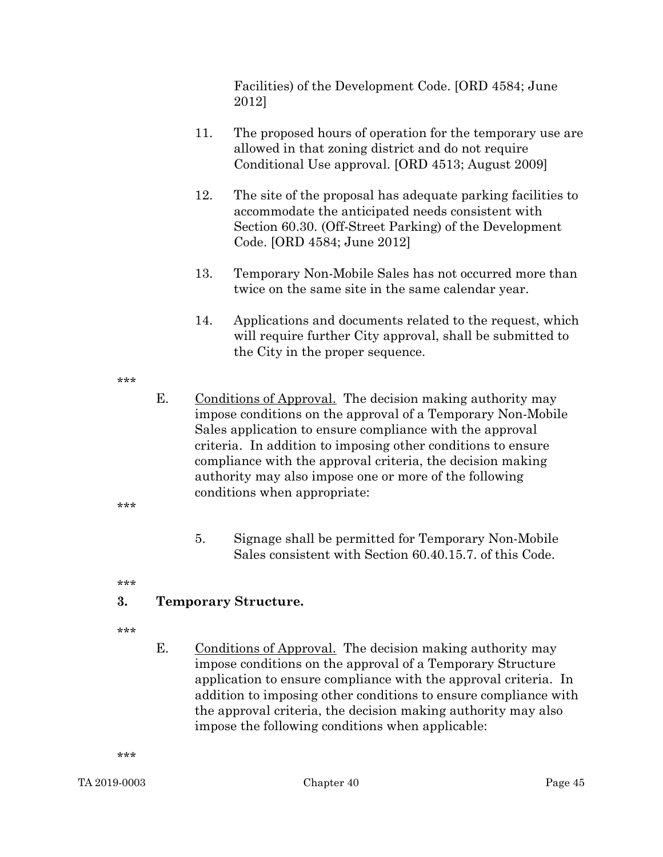Facilities) of the Development Code. [ORD 4584; June 2012]

- 11. The proposed hours of operation for the temporary use are allowed in that zoning district and do not require Conditional Use approval. [ORD 4513; August 2009]
- 12. The site of the proposal has adequate parking facilities to accommodate the anticipated needs consistent with Section 60.30. (Off-Street Parking) of the Development Code. [ORD 4584; June 2012]
- 13. Temporary Non-Mobile Sales has not occurred more than twice on the same site in the same calendar year.
- 14. Applications and documents related to the request, which will require further City approval, shall be submitted to the City in the proper sequence.

#### \*\*\*

- E. Conditions of Approval. The decision making authority may impose conditions on the approval of a Temporary Non-Mobile Sales application to ensure compliance with the approval criteria. In addition to imposing other conditions to ensure compliance with the approval criteria, the decision making authority may also impose one or more of the following conditions when appropriate:
	- 5. Signage shall be permitted for Temporary Non-Mobile Sales consistent with Section 60.40.15.7. of this Code.

\*\*\*

\*\*\*

# 3. Temporary Structure.

- \*\*\*
- E. Conditions of Approval. The decision making authority may impose conditions on the approval of a Temporary Structure application to ensure compliance with the approval criteria. In addition to imposing other conditions to ensure compliance with the approval criteria, the decision making authority may also impose the following conditions when applicable: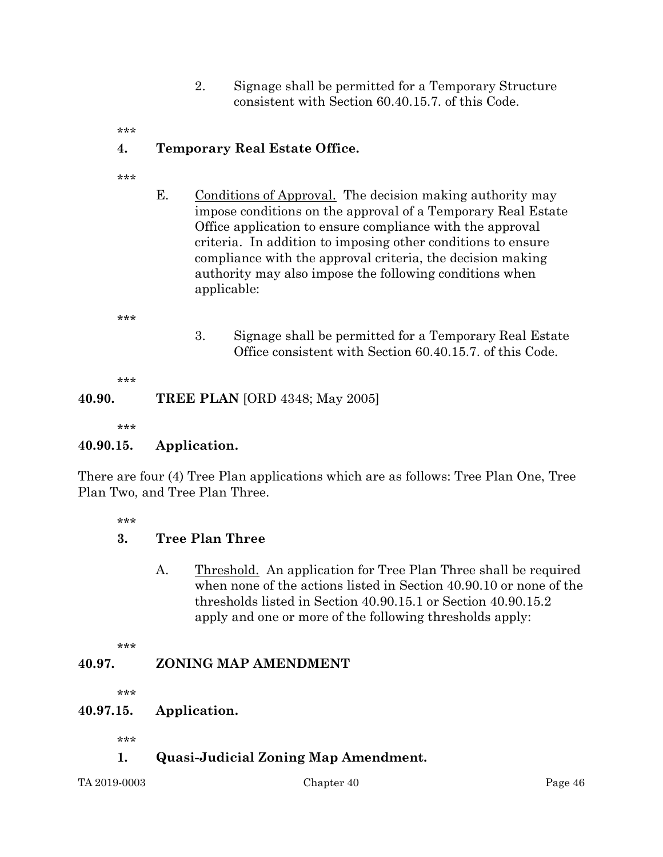- 2. Signage shall be permitted for a Temporary Structure consistent with Section 60.40.15.7. of this Code.
- \*\*\*

# 4. Temporary Real Estate Office.

- \*\*\*
- E. Conditions of Approval. The decision making authority may impose conditions on the approval of a Temporary Real Estate Office application to ensure compliance with the approval criteria. In addition to imposing other conditions to ensure compliance with the approval criteria, the decision making authority may also impose the following conditions when applicable:

\*\*\*

3. Signage shall be permitted for a Temporary Real Estate Office consistent with Section 60.40.15.7. of this Code.

\*\*\*

# **40.90. TREE PLAN** [ORD 4348; May 2005]

\*\*\*

#### 40.90.15. Application.

There are four (4) Tree Plan applications which are as follows: Tree Plan One, Tree Plan Two, and Tree Plan Three.

\*\*\*

# 3. Tree Plan Three

A. Threshold. An application for Tree Plan Three shall be required when none of the actions listed in Section 40.90.10 or none of the thresholds listed in Section 40.90.15.1 or Section 40.90.15.2 apply and one or more of the following thresholds apply:

\*\*\*

# 40.97. ZONING MAP AMENDMENT

\*\*\*

#### 40.97.15. Application.

\*\*\*

1. Quasi-Judicial Zoning Map Amendment.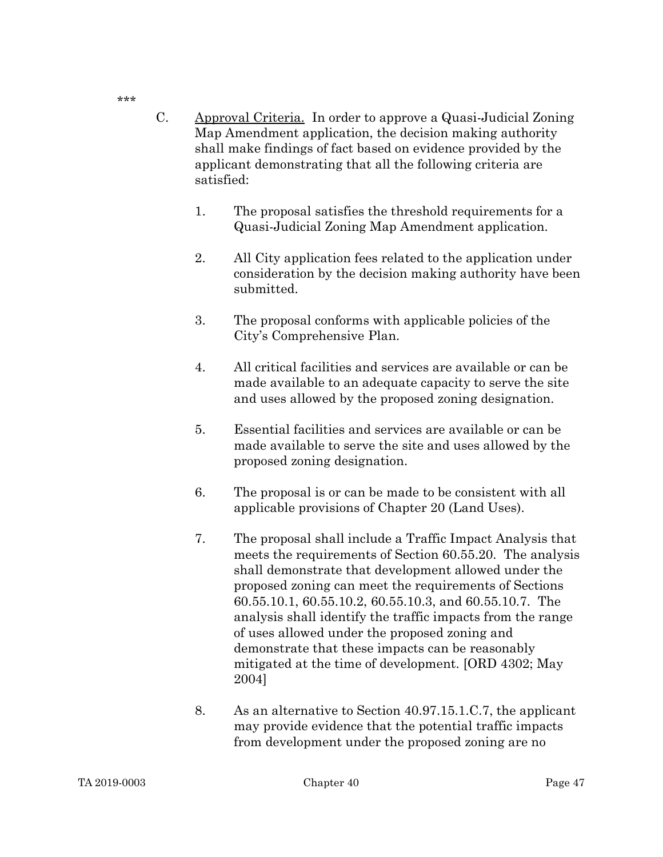- C. Approval Criteria. In order to approve a Quasi-Judicial Zoning Map Amendment application, the decision making authority shall make findings of fact based on evidence provided by the applicant demonstrating that all the following criteria are satisfied:
	- 1. The proposal satisfies the threshold requirements for a Quasi-Judicial Zoning Map Amendment application.
	- 2. All City application fees related to the application under consideration by the decision making authority have been submitted.
	- 3. The proposal conforms with applicable policies of the City's Comprehensive Plan.
	- 4. All critical facilities and services are available or can be made available to an adequate capacity to serve the site and uses allowed by the proposed zoning designation.
	- 5. Essential facilities and services are available or can be made available to serve the site and uses allowed by the proposed zoning designation.
	- 6. The proposal is or can be made to be consistent with all applicable provisions of Chapter 20 (Land Uses).
	- 7. The proposal shall include a Traffic Impact Analysis that meets the requirements of Section 60.55.20. The analysis shall demonstrate that development allowed under the proposed zoning can meet the requirements of Sections 60.55.10.1, 60.55.10.2, 60.55.10.3, and 60.55.10.7. The analysis shall identify the traffic impacts from the range of uses allowed under the proposed zoning and demonstrate that these impacts can be reasonably mitigated at the time of development. [ORD 4302; May 2004]
	- 8. As an alternative to Section 40.97.15.1.C.7, the applicant may provide evidence that the potential traffic impacts from development under the proposed zoning are no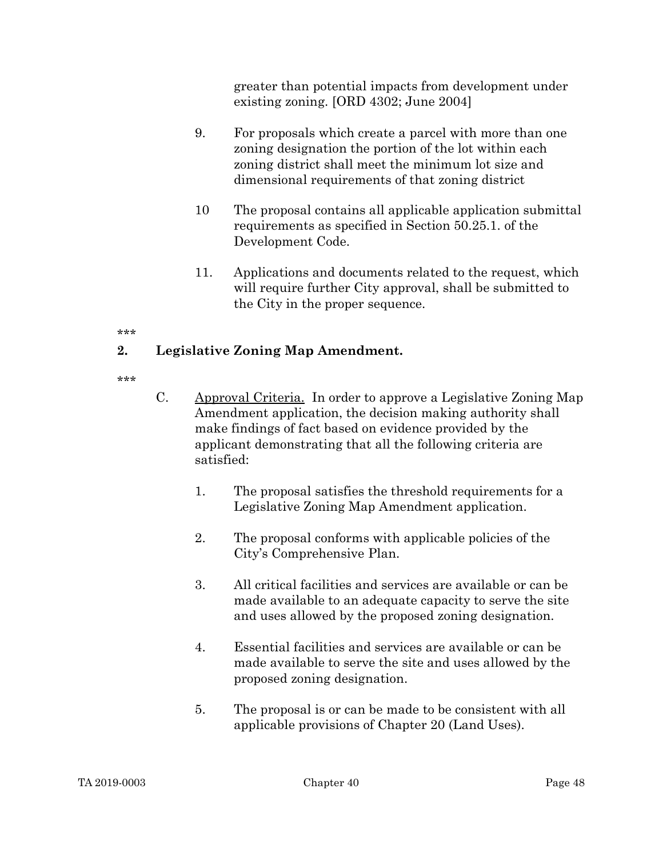greater than potential impacts from development under existing zoning. [ORD 4302; June 2004]

- 9. For proposals which create a parcel with more than one zoning designation the portion of the lot within each zoning district shall meet the minimum lot size and dimensional requirements of that zoning district
- 10 The proposal contains all applicable application submittal requirements as specified in Section 50.25.1. of the Development Code.
- 11. Applications and documents related to the request, which will require further City approval, shall be submitted to the City in the proper sequence.

#### \*\*\*

# 2. Legislative Zoning Map Amendment.

- C. Approval Criteria. In order to approve a Legislative Zoning Map Amendment application, the decision making authority shall make findings of fact based on evidence provided by the applicant demonstrating that all the following criteria are satisfied:
	- 1. The proposal satisfies the threshold requirements for a Legislative Zoning Map Amendment application.
	- 2. The proposal conforms with applicable policies of the City's Comprehensive Plan.
	- 3. All critical facilities and services are available or can be made available to an adequate capacity to serve the site and uses allowed by the proposed zoning designation.
	- 4. Essential facilities and services are available or can be made available to serve the site and uses allowed by the proposed zoning designation.
	- 5. The proposal is or can be made to be consistent with all applicable provisions of Chapter 20 (Land Uses).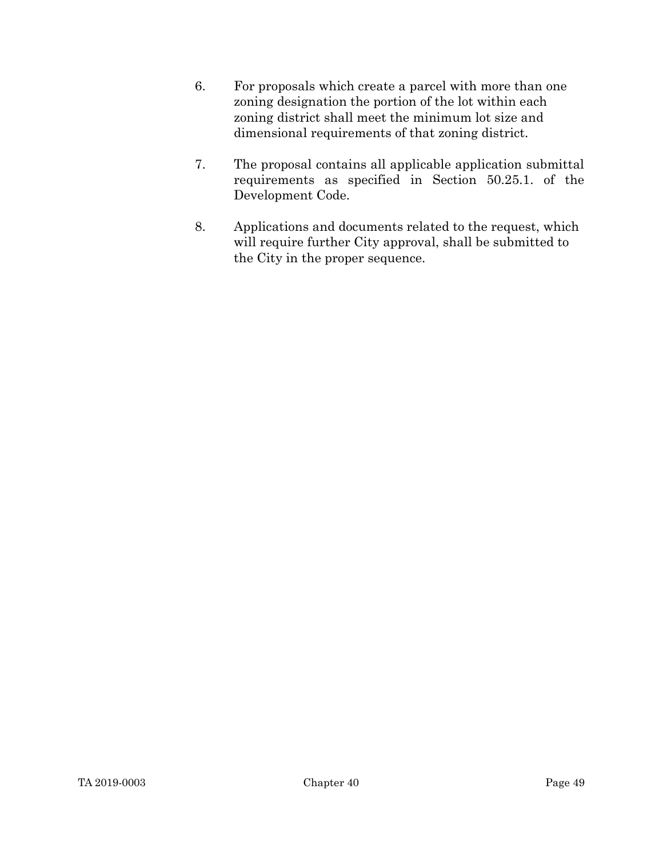- 6. For proposals which create a parcel with more than one zoning designation the portion of the lot within each zoning district shall meet the minimum lot size and dimensional requirements of that zoning district.
- 7. The proposal contains all applicable application submittal requirements as specified in Section 50.25.1. of the Development Code.
- 8. Applications and documents related to the request, which will require further City approval, shall be submitted to the City in the proper sequence.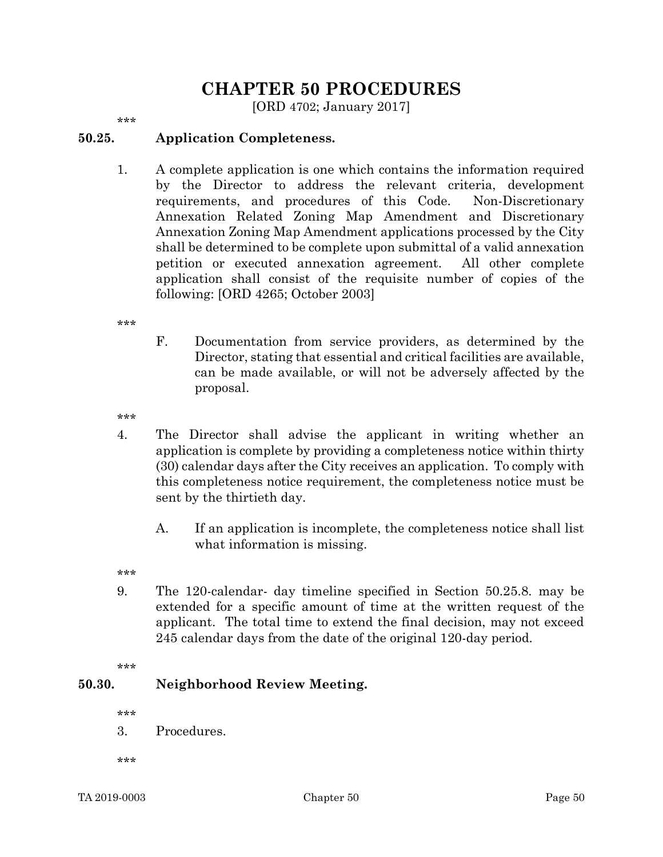# CHAPTER 50 PROCEDURES

[ORD 4702; January 2017]

\*\*\*

### 50.25. Application Completeness.

1. A complete application is one which contains the information required by the Director to address the relevant criteria, development requirements, and procedures of this Code. Non-Discretionary Annexation Related Zoning Map Amendment and Discretionary Annexation Zoning Map Amendment applications processed by the City shall be determined to be complete upon submittal of a valid annexation petition or executed annexation agreement. All other complete application shall consist of the requisite number of copies of the following: [ORD 4265; October 2003]

\*\*\*

F. Documentation from service providers, as determined by the Director, stating that essential and critical facilities are available, can be made available, or will not be adversely affected by the proposal.

\*\*\*

- 4. The Director shall advise the applicant in writing whether an application is complete by providing a completeness notice within thirty (30) calendar days after the City receives an application. To comply with this completeness notice requirement, the completeness notice must be sent by the thirtieth day.
	- A. If an application is incomplete, the completeness notice shall list what information is missing.

\*\*\*

9. The 120-calendar- day timeline specified in Section 50.25.8. may be extended for a specific amount of time at the written request of the applicant. The total time to extend the final decision, may not exceed 245 calendar days from the date of the original 120-day period.

\*\*\*

#### 50.30. Neighborhood Review Meeting.

\*\*\*

3. Procedures.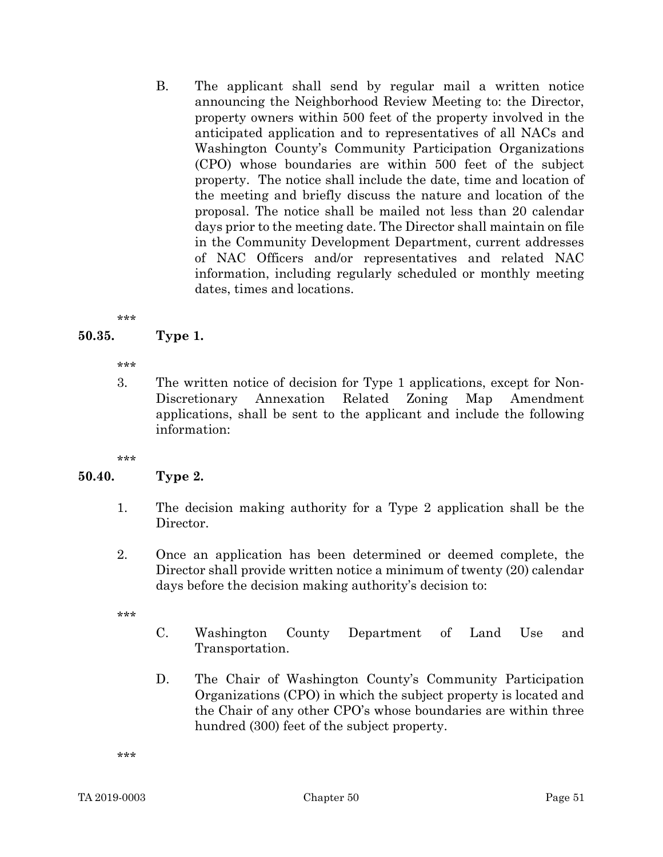B. The applicant shall send by regular mail a written notice announcing the Neighborhood Review Meeting to: the Director, property owners within 500 feet of the property involved in the anticipated application and to representatives of all NACs and Washington County's Community Participation Organizations (CPO) whose boundaries are within 500 feet of the subject property. The notice shall include the date, time and location of the meeting and briefly discuss the nature and location of the proposal. The notice shall be mailed not less than 20 calendar days prior to the meeting date. The Director shall maintain on file in the Community Development Department, current addresses of NAC Officers and/or representatives and related NAC information, including regularly scheduled or monthly meeting dates, times and locations.

```
***
```
# 50.35. Type 1.

\*\*\*

3. The written notice of decision for Type 1 applications, except for Non-Discretionary Annexation Related Zoning Map Amendment applications, shall be sent to the applicant and include the following information:

\*\*\*

# 50.40. Type 2.

- 1. The decision making authority for a Type 2 application shall be the Director.
- 2. Once an application has been determined or deemed complete, the Director shall provide written notice a minimum of twenty (20) calendar days before the decision making authority's decision to:

\*\*\*

- C. Washington County Department of Land Use and Transportation.
- D. The Chair of Washington County's Community Participation Organizations (CPO) in which the subject property is located and the Chair of any other CPO's whose boundaries are within three hundred (300) feet of the subject property.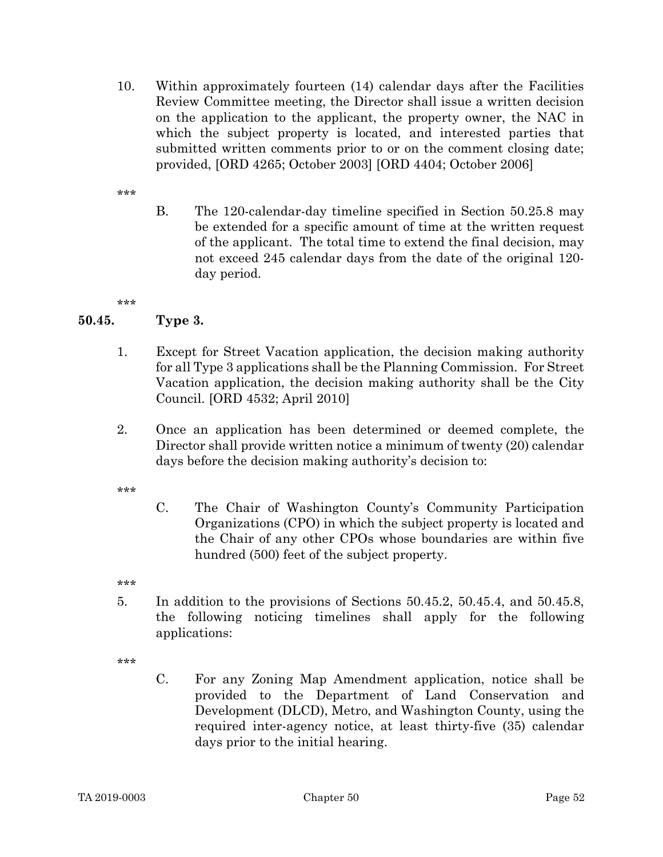10. Within approximately fourteen (14) calendar days after the Facilities Review Committee meeting, the Director shall issue a written decision on the application to the applicant, the property owner, the NAC in which the subject property is located, and interested parties that submitted written comments prior to or on the comment closing date; provided, [ORD 4265; October 2003] [ORD 4404; October 2006]

\*\*\*

B. The 120-calendar-day timeline specified in Section 50.25.8 may be extended for a specific amount of time at the written request of the applicant. The total time to extend the final decision, may not exceed 245 calendar days from the date of the original 120 day period.

\*\*\*

# 50.45. Type 3.

- 1. Except for Street Vacation application, the decision making authority for all Type 3 applications shall be the Planning Commission. For Street Vacation application, the decision making authority shall be the City Council. [ORD 4532; April 2010]
- 2. Once an application has been determined or deemed complete, the Director shall provide written notice a minimum of twenty (20) calendar days before the decision making authority's decision to:

\*\*\*

C. The Chair of Washington County's Community Participation Organizations (CPO) in which the subject property is located and the Chair of any other CPOs whose boundaries are within five hundred (500) feet of the subject property.

\*\*\*

5. In addition to the provisions of Sections 50.45.2, 50.45.4, and 50.45.8, the following noticing timelines shall apply for the following applications:

\*\*\*

C. For any Zoning Map Amendment application, notice shall be provided to the Department of Land Conservation and Development (DLCD), Metro, and Washington County, using the required inter-agency notice, at least thirty-five (35) calendar days prior to the initial hearing.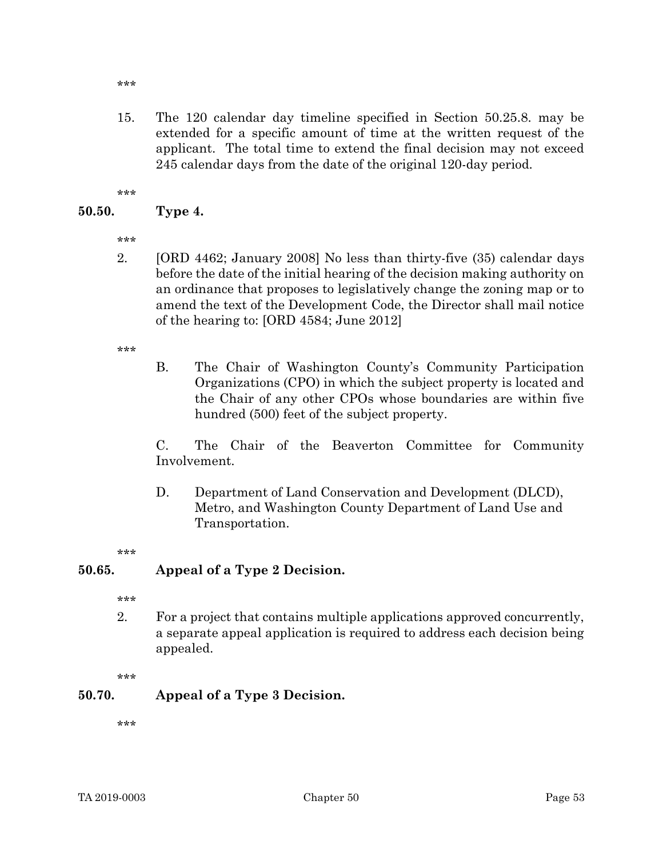\*\*\*

15. The 120 calendar day timeline specified in Section 50.25.8. may be extended for a specific amount of time at the written request of the applicant. The total time to extend the final decision may not exceed 245 calendar days from the date of the original 120-day period.

\*\*\*

### 50.50. Type 4.

- \*\*\*
- 2. [ORD 4462; January 2008] No less than thirty-five (35) calendar days before the date of the initial hearing of the decision making authority on an ordinance that proposes to legislatively change the zoning map or to amend the text of the Development Code, the Director shall mail notice of the hearing to: [ORD 4584; June 2012]

\*\*\*

B. The Chair of Washington County's Community Participation Organizations (CPO) in which the subject property is located and the Chair of any other CPOs whose boundaries are within five hundred (500) feet of the subject property.

C. The Chair of the Beaverton Committee for Community Involvement.

D. Department of Land Conservation and Development (DLCD), Metro, and Washington County Department of Land Use and Transportation.

\*\*\*

#### 50.65. Appeal of a Type 2 Decision.

\*\*\*

2. For a project that contains multiple applications approved concurrently, a separate appeal application is required to address each decision being appealed.

\*\*\*

# 50.70. Appeal of a Type 3 Decision.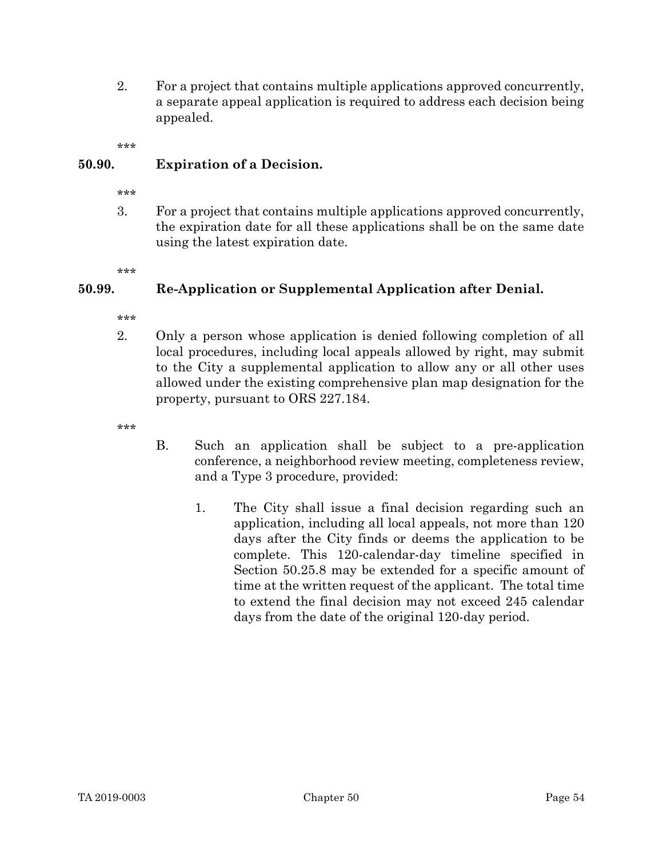2. For a project that contains multiple applications approved concurrently, a separate appeal application is required to address each decision being appealed.

\*\*\*

# 50.90. Expiration of a Decision.

- \*\*\*
- 3. For a project that contains multiple applications approved concurrently, the expiration date for all these applications shall be on the same date using the latest expiration date.
- \*\*\*

# 50.99. Re-Application or Supplemental Application after Denial.

- \*\*\*
- 2. Only a person whose application is denied following completion of all local procedures, including local appeals allowed by right, may submit to the City a supplemental application to allow any or all other uses allowed under the existing comprehensive plan map designation for the property, pursuant to ORS 227.184.
- \*\*\*
- B. Such an application shall be subject to a pre-application conference, a neighborhood review meeting, completeness review, and a Type 3 procedure, provided:
	- 1. The City shall issue a final decision regarding such an application, including all local appeals, not more than 120 days after the City finds or deems the application to be complete. This 120-calendar-day timeline specified in Section 50.25.8 may be extended for a specific amount of time at the written request of the applicant. The total time to extend the final decision may not exceed 245 calendar days from the date of the original 120-day period.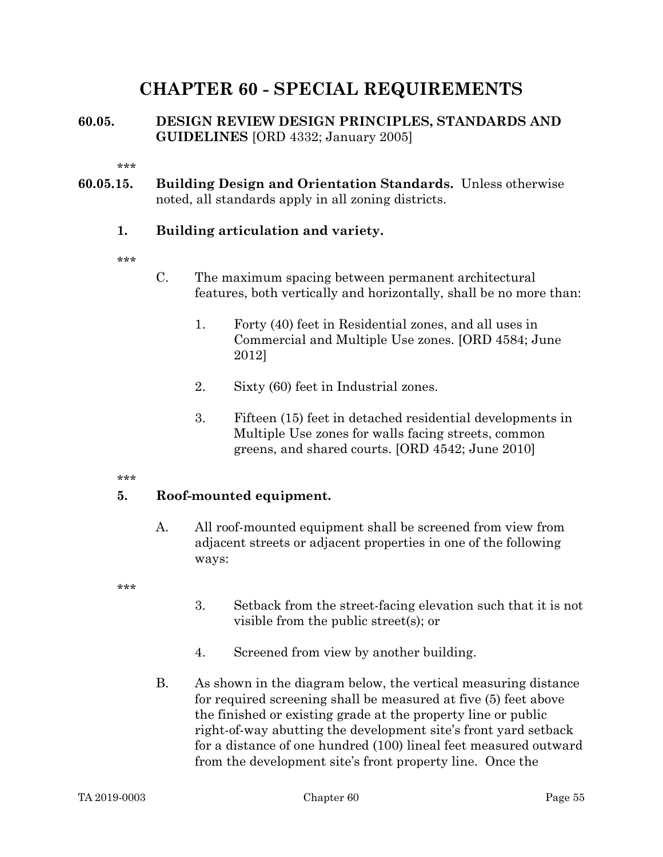# CHAPTER 60 - SPECIAL REQUIREMENTS

# 60.05. DESIGN REVIEW DESIGN PRINCIPLES, STANDARDS AND GUIDELINES [ORD 4332; January 2005]

\*\*\*

60.05.15. Building Design and Orientation Standards. Unless otherwise noted, all standards apply in all zoning districts.

# 1. Building articulation and variety.

\*\*\*

- C. The maximum spacing between permanent architectural features, both vertically and horizontally, shall be no more than:
	- 1. Forty (40) feet in Residential zones, and all uses in Commercial and Multiple Use zones. [ORD 4584; June 2012]
	- 2. Sixty (60) feet in Industrial zones.
	- 3. Fifteen (15) feet in detached residential developments in Multiple Use zones for walls facing streets, common greens, and shared courts. [ORD 4542; June 2010]

\*\*\*

# 5. Roof-mounted equipment.

A. All roof-mounted equipment shall be screened from view from adjacent streets or adjacent properties in one of the following ways:

- 3. Setback from the street-facing elevation such that it is not visible from the public street(s); or
- 4. Screened from view by another building.
- B. As shown in the diagram below, the vertical measuring distance for required screening shall be measured at five (5) feet above the finished or existing grade at the property line or public right-of-way abutting the development site's front yard setback for a distance of one hundred (100) lineal feet measured outward from the development site's front property line. Once the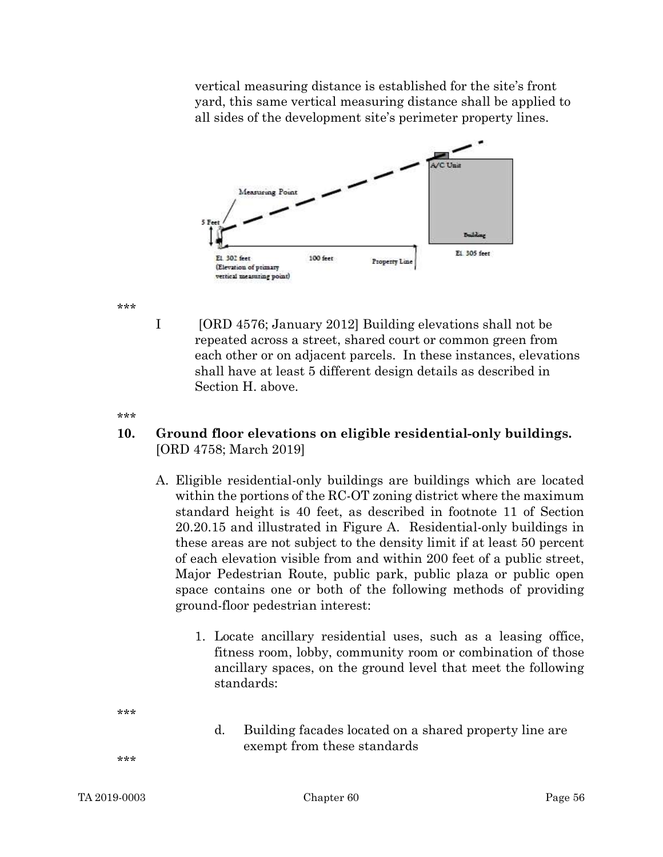vertical measuring distance is established for the site's front yard, this same vertical measuring distance shall be applied to all sides of the development site's perimeter property lines.



\*\*\*

I [ORD 4576; January 2012] Building elevations shall not be repeated across a street, shared court or common green from each other or on adjacent parcels. In these instances, elevations shall have at least 5 different design details as described in Section H. above.

.<br>ماه ماه ماه

# 10. Ground floor elevations on eligible residential-only buildings. [ORD 4758; March 2019]

- A. Eligible residential-only buildings are buildings which are located within the portions of the RC-OT zoning district where the maximum standard height is 40 feet, as described in footnote 11 of Section 20.20.15 and illustrated in Figure A. Residential-only buildings in these areas are not subject to the density limit if at least 50 percent of each elevation visible from and within 200 feet of a public street, Major Pedestrian Route, public park, public plaza or public open space contains one or both of the following methods of providing ground-floor pedestrian interest:
	- 1. Locate ancillary residential uses, such as a leasing office, fitness room, lobby, community room or combination of those ancillary spaces, on the ground level that meet the following standards:
- \*\*\*
- d. Building facades located on a shared property line are exempt from these standards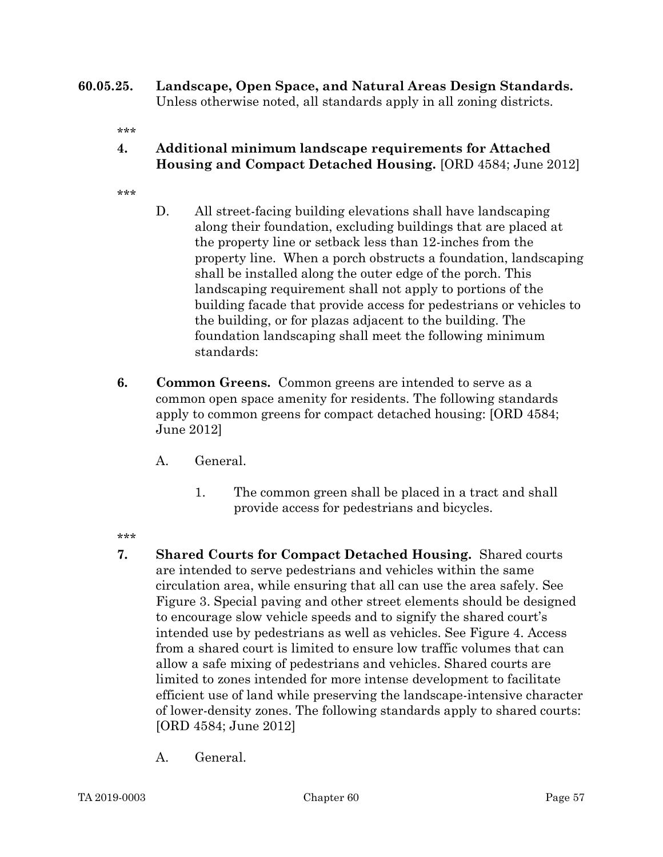60.05.25. Landscape, Open Space, and Natural Areas Design Standards. Unless otherwise noted, all standards apply in all zoning districts.

- 4. Additional minimum landscape requirements for Attached Housing and Compact Detached Housing. [ORD 4584; June 2012]
- \*\*\*
- D. All street-facing building elevations shall have landscaping along their foundation, excluding buildings that are placed at the property line or setback less than 12-inches from the property line. When a porch obstructs a foundation, landscaping shall be installed along the outer edge of the porch. This landscaping requirement shall not apply to portions of the building facade that provide access for pedestrians or vehicles to the building, or for plazas adjacent to the building. The foundation landscaping shall meet the following minimum standards:
- 6. Common Greens. Common greens are intended to serve as a common open space amenity for residents. The following standards apply to common greens for compact detached housing: [ORD 4584; June 2012]
	- A. General.
		- 1. The common green shall be placed in a tract and shall provide access for pedestrians and bicycles.
- \*\*\*
- 7. Shared Courts for Compact Detached Housing. Shared courts are intended to serve pedestrians and vehicles within the same circulation area, while ensuring that all can use the area safely. See Figure 3. Special paving and other street elements should be designed to encourage slow vehicle speeds and to signify the shared court's intended use by pedestrians as well as vehicles. See Figure 4. Access from a shared court is limited to ensure low traffic volumes that can allow a safe mixing of pedestrians and vehicles. Shared courts are limited to zones intended for more intense development to facilitate efficient use of land while preserving the landscape-intensive character of lower-density zones. The following standards apply to shared courts: [ORD 4584; June 2012]
	- A. General.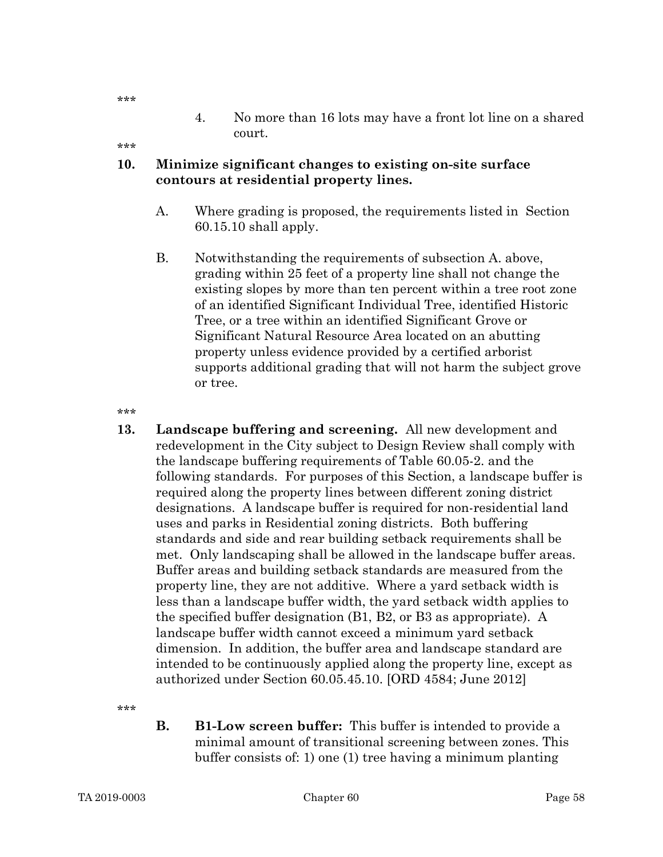4. No more than 16 lots may have a front lot line on a shared court.

\*\*\*

\*\*\*

### 10. Minimize significant changes to existing on-site surface contours at residential property lines.

- A. Where grading is proposed, the requirements listed in Section 60.15.10 shall apply.
- B. Notwithstanding the requirements of subsection A. above, grading within 25 feet of a property line shall not change the existing slopes by more than ten percent within a tree root zone of an identified Significant Individual Tree, identified Historic Tree, or a tree within an identified Significant Grove or Significant Natural Resource Area located on an abutting property unless evidence provided by a certified arborist supports additional grading that will not harm the subject grove or tree.

\*\*\*

13. Landscape buffering and screening. All new development and redevelopment in the City subject to Design Review shall comply with the landscape buffering requirements of Table 60.05-2. and the following standards. For purposes of this Section, a landscape buffer is required along the property lines between different zoning district designations. A landscape buffer is required for non-residential land uses and parks in Residential zoning districts. Both buffering standards and side and rear building setback requirements shall be met. Only landscaping shall be allowed in the landscape buffer areas. Buffer areas and building setback standards are measured from the property line, they are not additive. Where a yard setback width is less than a landscape buffer width, the yard setback width applies to the specified buffer designation (B1, B2, or B3 as appropriate). A landscape buffer width cannot exceed a minimum yard setback dimension. In addition, the buffer area and landscape standard are intended to be continuously applied along the property line, except as authorized under Section 60.05.45.10. [ORD 4584; June 2012]

\*\*\*

B. B1-Low screen buffer: This buffer is intended to provide a minimal amount of transitional screening between zones. This buffer consists of: 1) one (1) tree having a minimum planting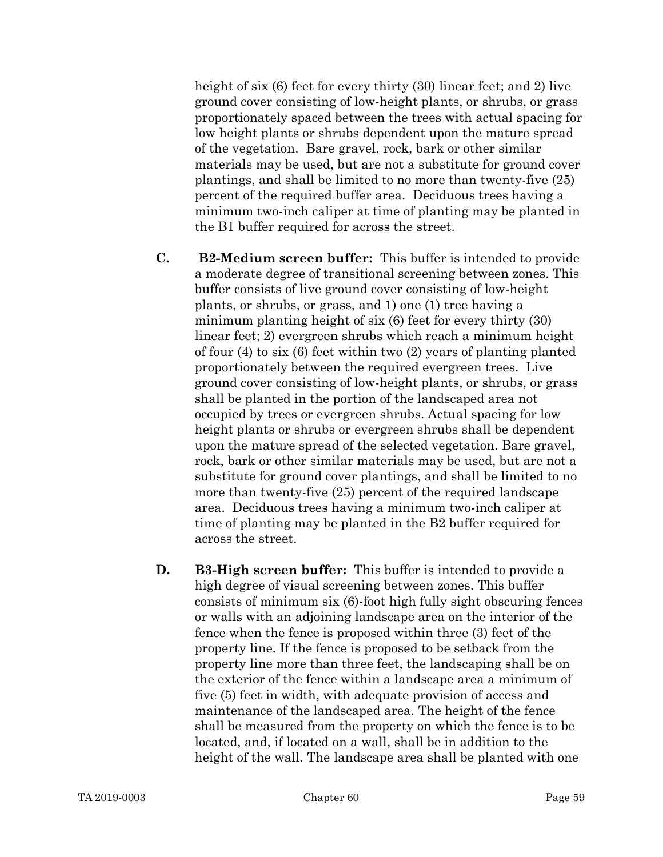height of six (6) feet for every thirty (30) linear feet; and 2) live ground cover consisting of low-height plants, or shrubs, or grass proportionately spaced between the trees with actual spacing for low height plants or shrubs dependent upon the mature spread of the vegetation. Bare gravel, rock, bark or other similar materials may be used, but are not a substitute for ground cover plantings, and shall be limited to no more than twenty-five (25) percent of the required buffer area. Deciduous trees having a minimum two-inch caliper at time of planting may be planted in the B1 buffer required for across the street.

- C. B2-Medium screen buffer: This buffer is intended to provide a moderate degree of transitional screening between zones. This buffer consists of live ground cover consisting of low-height plants, or shrubs, or grass, and 1) one (1) tree having a minimum planting height of six (6) feet for every thirty (30) linear feet; 2) evergreen shrubs which reach a minimum height of four (4) to six (6) feet within two (2) years of planting planted proportionately between the required evergreen trees. Live ground cover consisting of low-height plants, or shrubs, or grass shall be planted in the portion of the landscaped area not occupied by trees or evergreen shrubs. Actual spacing for low height plants or shrubs or evergreen shrubs shall be dependent upon the mature spread of the selected vegetation. Bare gravel, rock, bark or other similar materials may be used, but are not a substitute for ground cover plantings, and shall be limited to no more than twenty-five (25) percent of the required landscape area. Deciduous trees having a minimum two-inch caliper at time of planting may be planted in the B2 buffer required for across the street.
- D. B3-High screen buffer: This buffer is intended to provide a high degree of visual screening between zones. This buffer consists of minimum six (6)-foot high fully sight obscuring fences or walls with an adjoining landscape area on the interior of the fence when the fence is proposed within three (3) feet of the property line. If the fence is proposed to be setback from the property line more than three feet, the landscaping shall be on the exterior of the fence within a landscape area a minimum of five (5) feet in width, with adequate provision of access and maintenance of the landscaped area. The height of the fence shall be measured from the property on which the fence is to be located, and, if located on a wall, shall be in addition to the height of the wall. The landscape area shall be planted with one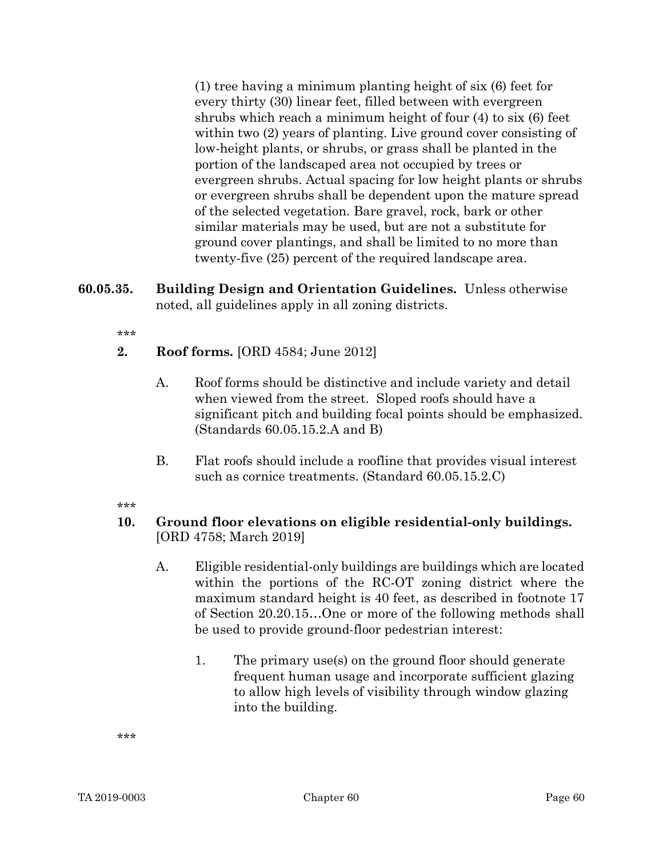(1) tree having a minimum planting height of six (6) feet for every thirty (30) linear feet, filled between with evergreen shrubs which reach a minimum height of four (4) to six (6) feet within two (2) years of planting. Live ground cover consisting of low-height plants, or shrubs, or grass shall be planted in the portion of the landscaped area not occupied by trees or evergreen shrubs. Actual spacing for low height plants or shrubs or evergreen shrubs shall be dependent upon the mature spread of the selected vegetation. Bare gravel, rock, bark or other similar materials may be used, but are not a substitute for ground cover plantings, and shall be limited to no more than twenty-five (25) percent of the required landscape area.

60.05.35. Building Design and Orientation Guidelines. Unless otherwise noted, all guidelines apply in all zoning districts.

\*\*\*

- 2. Roof forms. [ORD 4584; June 2012]
	- A. Roof forms should be distinctive and include variety and detail when viewed from the street. Sloped roofs should have a significant pitch and building focal points should be emphasized. (Standards 60.05.15.2.A and B)
	- B. Flat roofs should include a roofline that provides visual interest such as cornice treatments. (Standard 60.05.15.2.C)

\*\*\*

# 10. Ground floor elevations on eligible residential-only buildings. [ORD 4758; March 2019]

- A. Eligible residential-only buildings are buildings which are located within the portions of the RC-OT zoning district where the maximum standard height is 40 feet, as described in footnote 17 of Section 20.20.15…One or more of the following methods shall be used to provide ground-floor pedestrian interest:
	- 1. The primary use(s) on the ground floor should generate frequent human usage and incorporate sufficient glazing to allow high levels of visibility through window glazing into the building.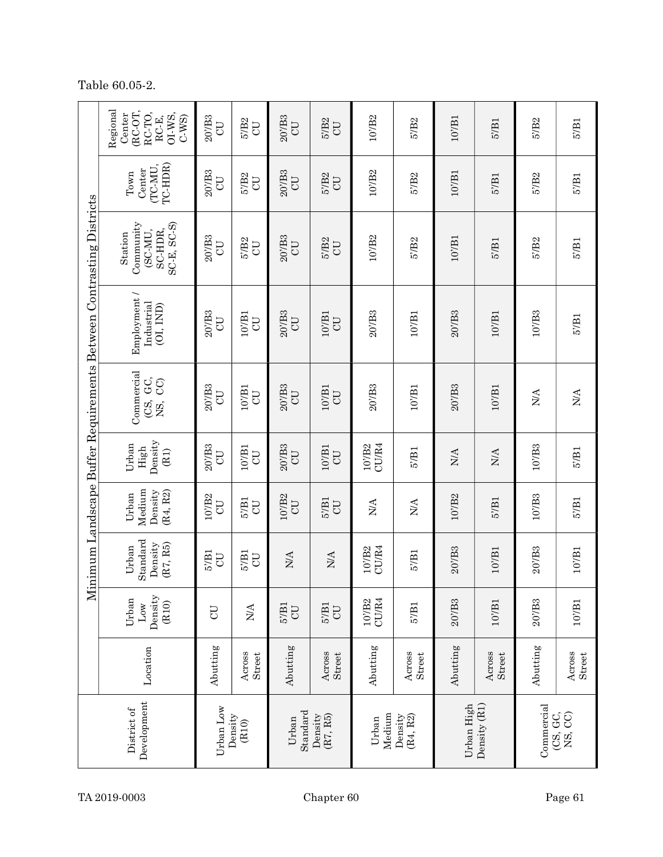| nimum Landscape Buffer Requirements Between Contrasting Districts | Regional<br>RC-OT,<br>RC-TO,<br>Center<br>OI-WS,<br>RC-E,<br>$C-WS$ | $20'$ /B3<br>UD       | $5′$ B <sub>2</sub><br>$\rm CO$ | $20'$ B3<br>CU                           | 5'/B <sub>2</sub><br>U         | 107B2                                  | 5'/B <sub>2</sub>          | $10^{\prime}/\mathrm{B1}$  | 5'/B1            | 5'/B <sub>2</sub>                 | $5'$ /B1                   |
|-------------------------------------------------------------------|---------------------------------------------------------------------|-----------------------|---------------------------------|------------------------------------------|--------------------------------|----------------------------------------|----------------------------|----------------------------|------------------|-----------------------------------|----------------------------|
|                                                                   | TC-HDR)<br>(TC-MU<br>Center<br>Town                                 | $20'$ B3<br><b>CD</b> | 5'/B <sub>2</sub><br><b>UD</b>  | $20'$ B <sub>3</sub><br>UU               | 5'/B <sub>2</sub><br><b>CD</b> | 10'/B2                                 | 5'/B <sub>2</sub>          | $10'$ B1                   | $5'$ B1          | 5'/B <sub>2</sub>                 | 57B1                       |
|                                                                   | Community<br>$SC-E, SC-S$<br>SC-HDR,<br>(SC-MU,<br>Station          | $20'$ B3<br>U         | 5'/B <sub>2</sub><br><b>UD</b>  | $20'$ B <sub>3</sub><br>UU               | 5'/B <sub>2</sub><br>U         | 10'/B2                                 | 5'/B <sub>2</sub>          | 10'/B1                     | $5'$ / $B1$      | 5'/B <sub>2</sub>                 | $5'$ /B1                   |
|                                                                   | Employment /<br>Industrial<br>(OI, IND)                             | 207B3<br><b>CD</b>    | 107B1<br>UD                     | 207B3<br><b>CD</b>                       | 107B1<br>U                     | 207B3                                  | 107B1                      | $20'$ /B <sub>3</sub>      | 107B1            | $10'$ /B3                         | 57B1                       |
|                                                                   | Commercial<br>GC,<br>$\rm CO$<br>CS,<br>ΧŚ,                         | $20'$ B3<br><b>CD</b> | $10'$ B1<br>$\overline{C}$      | $20'$ B <sub>3</sub><br><b>CD</b>        | $10'$ /B1<br><b>CD</b>         | $20'$ B3                               | $10'$ /B1                  | $20'$ B3                   | $10'$ /B1        | N/A                               | $\mathop{\rm NA}\nolimits$ |
|                                                                   | Density<br>Urban<br>High<br>(B1)                                    | $20'$ /B3<br>UD       | $10'$ B1<br>UU                  | $20'$ B3<br>UD                           | $10'$ /B1<br>UD                | 107B2<br>CU/R4                         | 57B1                       | $\mathop{\rm NA}\nolimits$ | $\rm N/A$        | $10'$ /B3                         | 57B1                       |
|                                                                   | Medium<br>Density<br>(R4, R2)<br>Urban                              | 10'/B2<br>UD          | $5'$ B1<br><b>UD</b>            | 10'/B2<br><b>UD</b>                      | $5'$ B1<br><b>CD</b>           | N/A                                    | $\mathop{\rm NA}\nolimits$ | 107B2                      | $5^{\prime}/B1$  | $10'$ /B <sub>3</sub>             | 57B1                       |
|                                                                   | Standard<br>Density<br>(R7, R5)<br>Urban                            | $5'$ B1<br><b>UD</b>  | $5'$ B1<br>U                    | <b>N/A</b>                               | <b>N/A</b>                     | 10'/B2<br>CU/R4                        | $5'$ B1                    | $20'$ B3                   | $10'$ /B1        | $20'$ B3                          | $10^{\prime}/\mathrm{B1}$  |
| Ši                                                                | Density<br>Urban<br>(R10)<br>$_{\text{Low}}$                        | CU                    | <b>N/A</b>                      | $5'$ / $B1$<br>CU                        | $5'$ B1<br>UD                  | CU/R4<br>10'/B2                        | $5'$ B1                    | 207B3                      | 107B1            | 20/IB3                            | $10/_{\rm B1}$             |
|                                                                   | Location                                                            | Abutting              | Across<br>Street                | Abutting                                 | Across<br>Street               | Abutting                               | Across<br>Street           | Abutting                   | Across<br>Street | Abutting                          | Across<br>Street           |
| Development<br>District of                                        |                                                                     | Urban Low             | Density<br>(R10)                | Standard<br>Density<br>(R7, R5)<br>Urban |                                | Medium<br>(R4, R2)<br>Density<br>Urban |                            | Density (R1)<br>Urban High |                  | Commercial<br>(CS, GC,<br>NS, CC) |                            |

Table 60.05-2.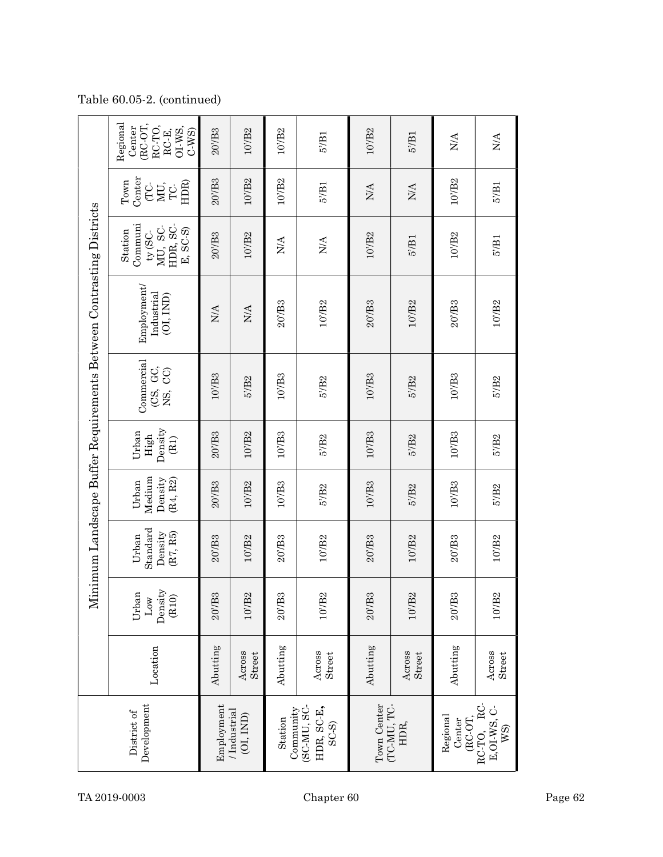| Regional<br>(RC-OT,<br>RC-TO,<br>Center<br>OI-WS,<br>RC-E,<br>$20'$ B3<br>$C-WS$<br>107B2<br>107B2<br>107B2<br>$5^{\prime}/B1$<br>57B1<br><b>N/A</b><br>N/A<br>Center<br>$20'$ B3<br>10'/B2<br>10'/B2<br>10'/B <sub>2</sub><br>$_{\rm Town}$<br>HDR)<br>5'/B1<br>MU,<br>$5′$ B <sub>1</sub><br>CC-<br>$\mathop{\rm NA}\nolimits$<br>$\rm N/A$<br>$\Gamma$ C-<br>Communi<br>MU, SC-<br>HDR, SC.<br>E, SC-S)<br>$\tt{ty}$ (SC-<br>Station<br>10'/B2<br>$20'$ B3<br>10'/B2<br>10'/B2<br>$5'$ B1<br>$5'$ B1<br>$\rm N/A$<br>$\rm N\!A$<br>Employment<br>Industrial<br>(0I, IND)<br>20/IB3<br>$20/$ B3<br>107B2<br>207B <sub>3</sub><br>107B2<br>107B2<br>$\rm N\!A$<br>N/A<br>Commercial<br>(CS, GC,<br>NS, CC)<br>$10'$ B3<br>10'/B3<br>$10'\overline{B}3$<br>$10'$ B3<br>5'/B <sub>2</sub><br>5'/B2<br>5'/B <sub>2</sub><br>5'/B <sub>2</sub><br>Density<br>Urban<br>$20'$ B <sub>3</sub><br>10'/B2<br>$10'$ B3<br>$10'\overline{B}3$<br>$10'$ B3<br>High<br>5'/B <sub>2</sub><br>5'/B2<br>5'/B <sub>2</sub><br>(B1)<br>Medium<br>Density<br>$(\mathrm{R4},\, \mathrm{R2})$<br>Urban<br>$10'$ B2<br>$10'$ B3<br>$10^{\circ}/\mathrm{B}3$<br>$10'$ /B3<br>$20'$ /B <sub>3</sub><br>$5'$ B <sub>2</sub><br>5'/B <sub>2</sub><br>5'/B <sub>2</sub> |
|-----------------------------------------------------------------------------------------------------------------------------------------------------------------------------------------------------------------------------------------------------------------------------------------------------------------------------------------------------------------------------------------------------------------------------------------------------------------------------------------------------------------------------------------------------------------------------------------------------------------------------------------------------------------------------------------------------------------------------------------------------------------------------------------------------------------------------------------------------------------------------------------------------------------------------------------------------------------------------------------------------------------------------------------------------------------------------------------------------------------------------------------------------------------------------------------------------------------------------------------------|
|                                                                                                                                                                                                                                                                                                                                                                                                                                                                                                                                                                                                                                                                                                                                                                                                                                                                                                                                                                                                                                                                                                                                                                                                                                               |
|                                                                                                                                                                                                                                                                                                                                                                                                                                                                                                                                                                                                                                                                                                                                                                                                                                                                                                                                                                                                                                                                                                                                                                                                                                               |
|                                                                                                                                                                                                                                                                                                                                                                                                                                                                                                                                                                                                                                                                                                                                                                                                                                                                                                                                                                                                                                                                                                                                                                                                                                               |
|                                                                                                                                                                                                                                                                                                                                                                                                                                                                                                                                                                                                                                                                                                                                                                                                                                                                                                                                                                                                                                                                                                                                                                                                                                               |
|                                                                                                                                                                                                                                                                                                                                                                                                                                                                                                                                                                                                                                                                                                                                                                                                                                                                                                                                                                                                                                                                                                                                                                                                                                               |
|                                                                                                                                                                                                                                                                                                                                                                                                                                                                                                                                                                                                                                                                                                                                                                                                                                                                                                                                                                                                                                                                                                                                                                                                                                               |
|                                                                                                                                                                                                                                                                                                                                                                                                                                                                                                                                                                                                                                                                                                                                                                                                                                                                                                                                                                                                                                                                                                                                                                                                                                               |
|                                                                                                                                                                                                                                                                                                                                                                                                                                                                                                                                                                                                                                                                                                                                                                                                                                                                                                                                                                                                                                                                                                                                                                                                                                               |
|                                                                                                                                                                                                                                                                                                                                                                                                                                                                                                                                                                                                                                                                                                                                                                                                                                                                                                                                                                                                                                                                                                                                                                                                                                               |

Table 60.05-2. (continued)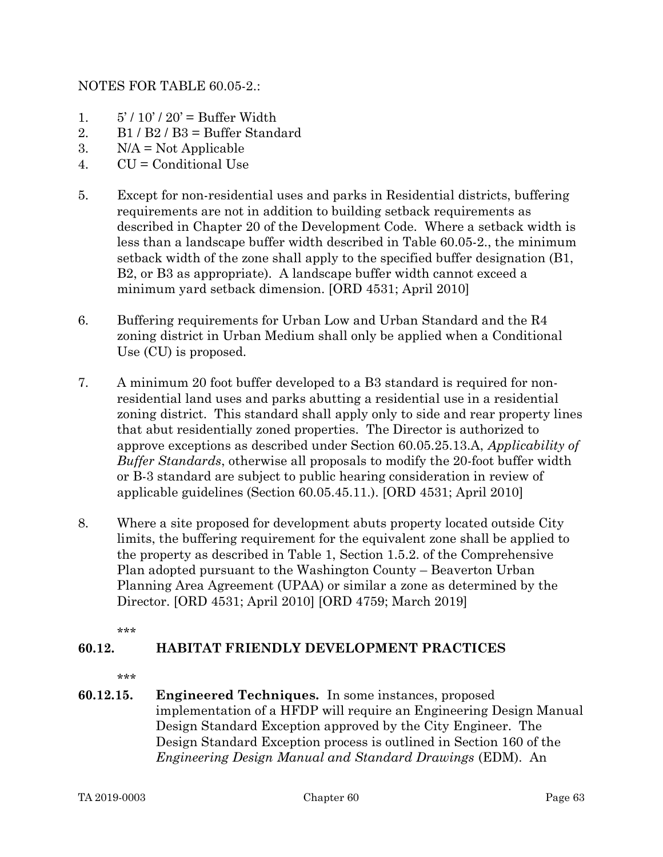# NOTES FOR TABLE 60.05-2.:

- 1.  $5'/10'/20'$  = Buffer Width
- 2. B1 / B2 / B3 = Buffer Standard
- 3.  $N/A = Not Applicable$
- 4. CU = Conditional Use
- 5. Except for non-residential uses and parks in Residential districts, buffering requirements are not in addition to building setback requirements as described in Chapter 20 of the Development Code. Where a setback width is less than a landscape buffer width described in Table 60.05-2., the minimum setback width of the zone shall apply to the specified buffer designation (B1, B2, or B3 as appropriate). A landscape buffer width cannot exceed a minimum yard setback dimension. [ORD 4531; April 2010]
- 6. Buffering requirements for Urban Low and Urban Standard and the R4 zoning district in Urban Medium shall only be applied when a Conditional Use (CU) is proposed.
- 7. A minimum 20 foot buffer developed to a B3 standard is required for nonresidential land uses and parks abutting a residential use in a residential zoning district. This standard shall apply only to side and rear property lines that abut residentially zoned properties. The Director is authorized to approve exceptions as described under Section 60.05.25.13.A, Applicability of Buffer Standards, otherwise all proposals to modify the 20-foot buffer width or B-3 standard are subject to public hearing consideration in review of applicable guidelines (Section 60.05.45.11.). [ORD 4531; April 2010]
- 8. Where a site proposed for development abuts property located outside City limits, the buffering requirement for the equivalent zone shall be applied to the property as described in Table 1, Section 1.5.2. of the Comprehensive Plan adopted pursuant to the Washington County – Beaverton Urban Planning Area Agreement (UPAA) or similar a zone as determined by the Director. [ORD 4531; April 2010] [ORD 4759; March 2019]

\*\*\*

# 60.12. HABITAT FRIENDLY DEVELOPMENT PRACTICES

\*\*\*

60.12.15. Engineered Techniques. In some instances, proposed implementation of a HFDP will require an Engineering Design Manual Design Standard Exception approved by the City Engineer. The Design Standard Exception process is outlined in Section 160 of the Engineering Design Manual and Standard Drawings (EDM). An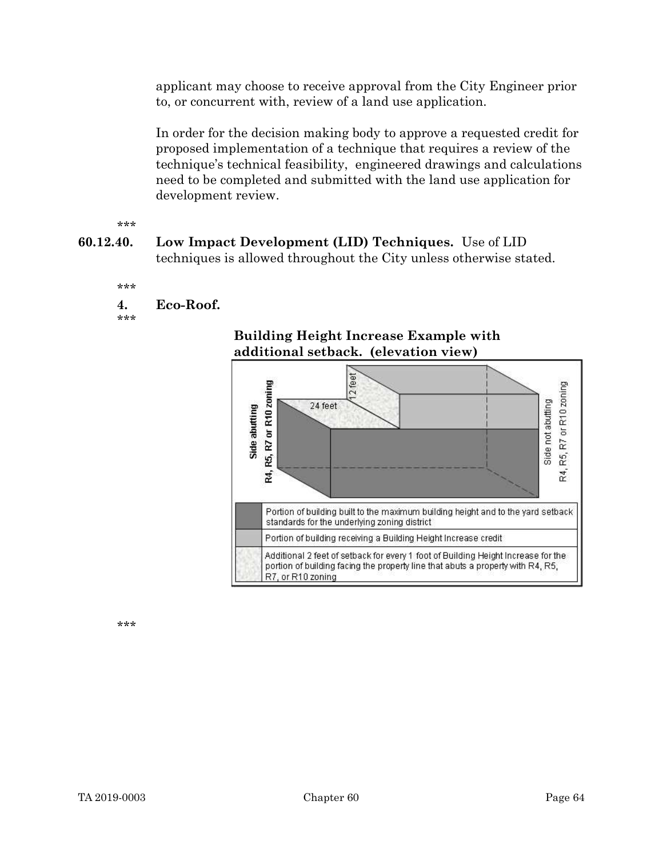applicant may choose to receive approval from the City Engineer prior to, or concurrent with, review of a land use application.

In order for the decision making body to approve a requested credit for proposed implementation of a technique that requires a review of the technique's technical feasibility, engineered drawings and calculations need to be completed and submitted with the land use application for development review.

\*\*\*

60.12.40. Low Impact Development (LID) Techniques. Use of LID techniques is allowed throughout the City unless otherwise stated.

```
***
```
4. Eco-Roof.

\*\*\*



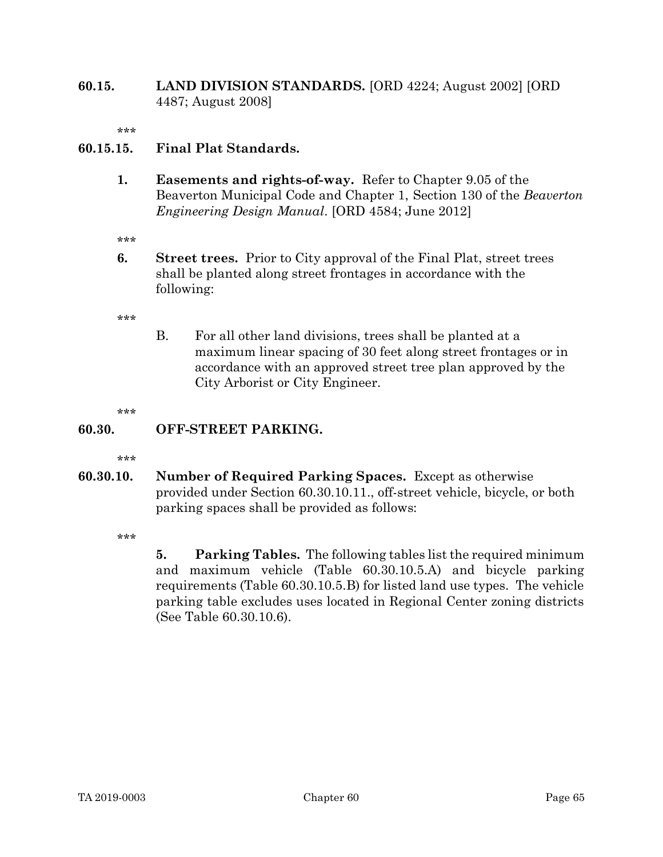### 60.15. LAND DIVISION STANDARDS. [ORD 4224; August 2002] [ORD 4487; August 2008]

\*\*\*

# 60.15.15. Final Plat Standards.

1. Easements and rights-of-way. Refer to Chapter 9.05 of the Beaverton Municipal Code and Chapter 1, Section 130 of the Beaverton Engineering Design Manual. [ORD 4584; June 2012]

\*\*\*

6. Street trees. Prior to City approval of the Final Plat, street trees shall be planted along street frontages in accordance with the following:

\*\*\*

B. For all other land divisions, trees shall be planted at a maximum linear spacing of 30 feet along street frontages or in accordance with an approved street tree plan approved by the City Arborist or City Engineer.

\*\*\*

#### 60.30. OFF-STREET PARKING.

\*\*\*

60.30.10. Number of Required Parking Spaces. Except as otherwise provided under Section 60.30.10.11., off-street vehicle, bicycle, or both parking spaces shall be provided as follows:

\*\*\*

5. Parking Tables. The following tables list the required minimum and maximum vehicle (Table 60.30.10.5.A) and bicycle parking requirements (Table 60.30.10.5.B) for listed land use types. The vehicle parking table excludes uses located in Regional Center zoning districts (See Table 60.30.10.6).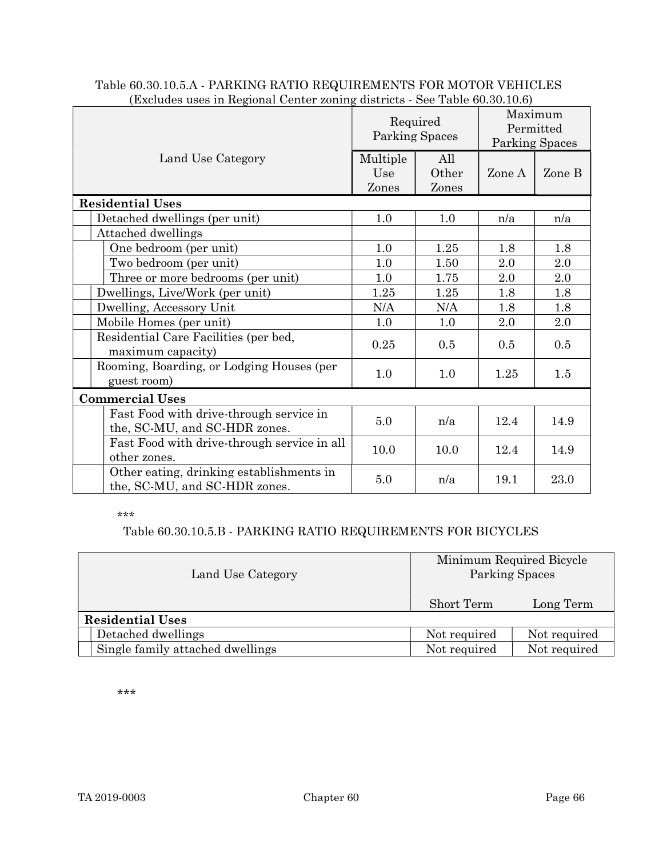| (Excludes uses in Regional Center zoning districts - See Table 60.30.10.6) |                            |                       |                                        |        |  |  |  |
|----------------------------------------------------------------------------|----------------------------|-----------------------|----------------------------------------|--------|--|--|--|
|                                                                            | Required<br>Parking Spaces |                       | Maximum<br>Permitted<br>Parking Spaces |        |  |  |  |
| Land Use Category                                                          | Multiple<br>Use<br>Zones   | All<br>Other<br>Zones | Zone A                                 | Zone B |  |  |  |
| <b>Residential Uses</b>                                                    |                            |                       |                                        |        |  |  |  |
| Detached dwellings (per unit)                                              | 1.0                        | 1.0                   | n/a                                    | n/a    |  |  |  |
| Attached dwellings                                                         |                            |                       |                                        |        |  |  |  |
| One bedroom (per unit)                                                     | 1.0                        | 1.25                  | 1.8                                    | 1.8    |  |  |  |
| Two bedroom (per unit)                                                     | 1.0                        | 1.50                  | 2.0                                    | 2.0    |  |  |  |
| Three or more bedrooms (per unit)                                          | 1.0                        | 1.75                  | 2.0                                    | 2.0    |  |  |  |
| Dwellings, Live/Work (per unit)                                            | 1.25                       | 1.25                  | 1.8                                    | 1.8    |  |  |  |
| Dwelling, Accessory Unit                                                   | N/A                        | N/A                   | 1.8                                    | 1.8    |  |  |  |
| Mobile Homes (per unit)                                                    | 1.0                        | 1.0                   | 2.0                                    | 2.0    |  |  |  |
| Residential Care Facilities (per bed,<br>maximum capacity)                 | 0.25                       | 0.5                   | 0.5                                    | 0.5    |  |  |  |
| Rooming, Boarding, or Lodging Houses (per<br>guest room)                   | 1.0                        | 1.0                   | 1.25                                   | 1.5    |  |  |  |
| <b>Commercial Uses</b>                                                     |                            |                       |                                        |        |  |  |  |
| Fast Food with drive-through service in<br>the, SC-MU, and SC-HDR zones.   | 5.0                        | n/a                   | 12.4                                   | 14.9   |  |  |  |
| Fast Food with drive-through service in all<br>other zones.                | 10.0                       | 10.0                  | 12.4                                   | 14.9   |  |  |  |
| Other eating, drinking establishments in<br>the, SC-MU, and SC-HDR zones.  | 5.0                        | n/a                   | 19.1                                   | 23.0   |  |  |  |

#### Table 60.30.10.5.A - PARKING RATIO REQUIREMENTS FOR MOTOR VEHICLES (Excludes uses in Regional Center zoning districts - See Table 60.30.10.6)

#### \*\*\*

# Table 60.30.10.5.B - PARKING RATIO REQUIREMENTS FOR BICYCLES

| Land Use Category                | Minimum Required Bicycle<br>Parking Spaces |              |  |  |  |  |  |
|----------------------------------|--------------------------------------------|--------------|--|--|--|--|--|
|                                  | Short Term                                 | Long Term    |  |  |  |  |  |
| <b>Residential Uses</b>          |                                            |              |  |  |  |  |  |
| Detached dwellings               | Not required                               | Not required |  |  |  |  |  |
| Single family attached dwellings | Not required                               | Not required |  |  |  |  |  |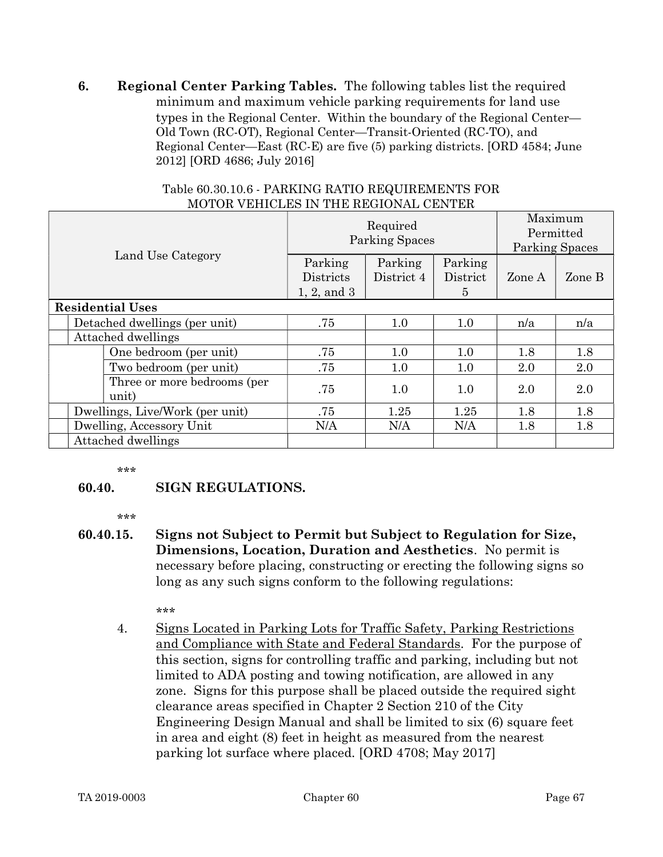6. Regional Center Parking Tables. The following tables list the required minimum and maximum vehicle parking requirements for land use types in the Regional Center. Within the boundary of the Regional Center— Old Town (RC-OT), Regional Center—Transit-Oriented (RC-TO), and Regional Center—East (RC-E) are five (5) parking districts. [ORD 4584; June 2012] [ORD 4686; July 2016]

|  |                                 |                                      | Required<br><b>Parking Spaces</b>          | Maximum<br>Permitted<br><b>Parking Spaces</b> |                          |        |        |
|--|---------------------------------|--------------------------------------|--------------------------------------------|-----------------------------------------------|--------------------------|--------|--------|
|  | Land Use Category               |                                      | Parking<br><b>Districts</b><br>1, 2, and 3 | Parking<br>District 4                         | Parking<br>District<br>5 | Zone A | Zone B |
|  |                                 | <b>Residential Uses</b>              |                                            |                                               |                          |        |        |
|  |                                 | Detached dwellings (per unit)        | .75                                        | 1.0                                           | 1.0                      | n/a    | n/a    |
|  | Attached dwellings              |                                      |                                            |                                               |                          |        |        |
|  |                                 | One bedroom (per unit)               | .75                                        | 1.0                                           | 1.0                      | 1.8    | 1.8    |
|  |                                 | Two bedroom (per unit)               | .75                                        | 1.0                                           | 1.0                      | 2.0    | 2.0    |
|  |                                 | Three or more bedrooms (per<br>unit) | .75                                        | 1.0                                           | 1.0                      | 2.0    | 2.0    |
|  | Dwellings, Live/Work (per unit) |                                      | .75                                        | 1.25                                          | 1.25                     | 1.8    | 1.8    |
|  | Dwelling, Accessory Unit        |                                      | N/A                                        | N/A                                           | N/A                      | 1.8    | 1.8    |
|  | Attached dwellings              |                                      |                                            |                                               |                          |        |        |

#### Table 60.30.10.6 - PARKING RATIO REQUIREMENTS FOR MOTOR VEHICLES IN THE REGIONAL CENTER

\*\*\*

# 60.40. SIGN REGULATIONS.

\*\*\*

60.40.15. Signs not Subject to Permit but Subject to Regulation for Size, Dimensions, Location, Duration and Aesthetics. No permit is necessary before placing, constructing or erecting the following signs so long as any such signs conform to the following regulations:

\*\*\*

4. Signs Located in Parking Lots for Traffic Safety, Parking Restrictions and Compliance with State and Federal Standards. For the purpose of this section, signs for controlling traffic and parking, including but not limited to ADA posting and towing notification, are allowed in any zone. Signs for this purpose shall be placed outside the required sight clearance areas specified in Chapter 2 Section 210 of the City Engineering Design Manual and shall be limited to six (6) square feet in area and eight (8) feet in height as measured from the nearest parking lot surface where placed. [ORD 4708; May 2017]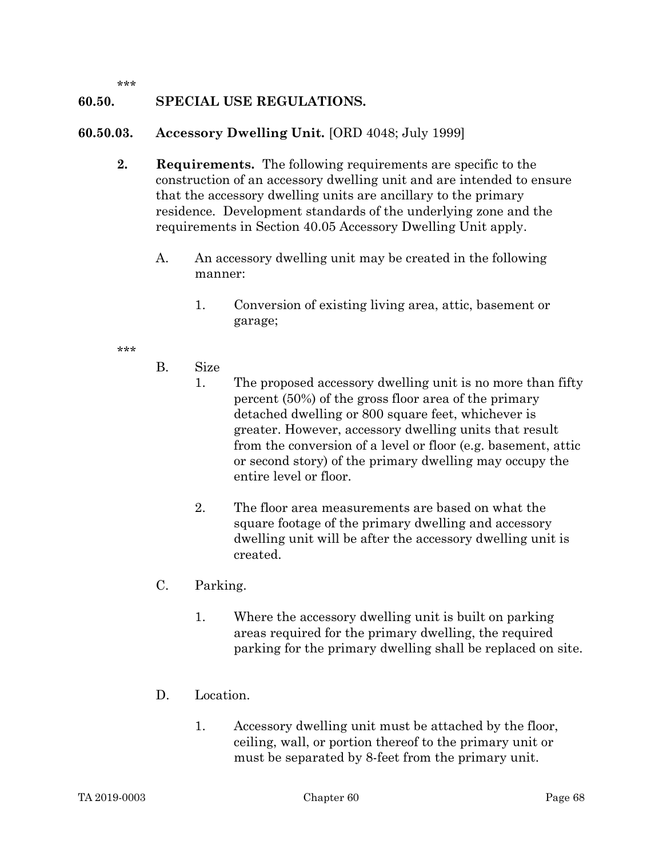\*\*\*

# 60.50. SPECIAL USE REGULATIONS.

### 60.50.03. Accessory Dwelling Unit. [ORD 4048; July 1999]

- 2. Requirements. The following requirements are specific to the construction of an accessory dwelling unit and are intended to ensure that the accessory dwelling units are ancillary to the primary residence. Development standards of the underlying zone and the requirements in Section 40.05 Accessory Dwelling Unit apply.
	- A. An accessory dwelling unit may be created in the following manner:
		- 1. Conversion of existing living area, attic, basement or garage;

- B. Size
	- 1. The proposed accessory dwelling unit is no more than fifty percent (50%) of the gross floor area of the primary detached dwelling or 800 square feet, whichever is greater. However, accessory dwelling units that result from the conversion of a level or floor (e.g. basement, attic or second story) of the primary dwelling may occupy the entire level or floor.
	- 2. The floor area measurements are based on what the square footage of the primary dwelling and accessory dwelling unit will be after the accessory dwelling unit is created.
- C. Parking.
	- 1. Where the accessory dwelling unit is built on parking areas required for the primary dwelling, the required parking for the primary dwelling shall be replaced on site.
- D. Location.
	- 1. Accessory dwelling unit must be attached by the floor, ceiling, wall, or portion thereof to the primary unit or must be separated by 8-feet from the primary unit.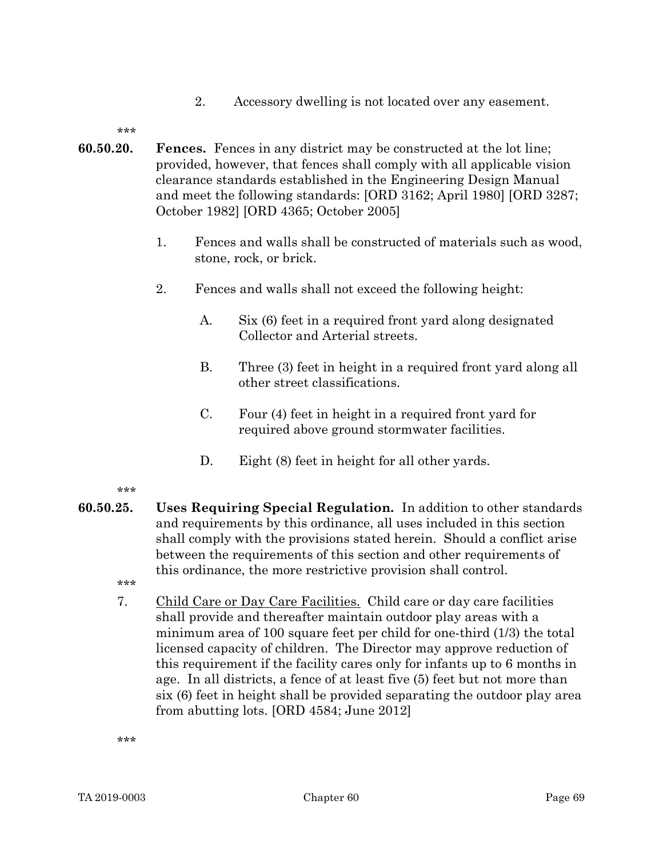2. Accessory dwelling is not located over any easement.

\*\*\*

- 60.50.20. Fences. Fences in any district may be constructed at the lot line; provided, however, that fences shall comply with all applicable vision clearance standards established in the Engineering Design Manual and meet the following standards: [ORD 3162; April 1980] [ORD 3287; October 1982] [ORD 4365; October 2005]
	- 1. Fences and walls shall be constructed of materials such as wood, stone, rock, or brick.
	- 2. Fences and walls shall not exceed the following height:
		- A. Six (6) feet in a required front yard along designated Collector and Arterial streets.
		- B. Three (3) feet in height in a required front yard along all other street classifications.
		- C. Four (4) feet in height in a required front yard for required above ground stormwater facilities.
		- D. Eight (8) feet in height for all other vards.

\*\*\*

- 60.50.25. Uses Requiring Special Regulation. In addition to other standards and requirements by this ordinance, all uses included in this section shall comply with the provisions stated herein. Should a conflict arise between the requirements of this section and other requirements of this ordinance, the more restrictive provision shall control.
	- \*\*\*
	- 7. Child Care or Day Care Facilities. Child care or day care facilities shall provide and thereafter maintain outdoor play areas with a minimum area of 100 square feet per child for one-third (1/3) the total licensed capacity of children. The Director may approve reduction of this requirement if the facility cares only for infants up to 6 months in age. In all districts, a fence of at least five (5) feet but not more than six (6) feet in height shall be provided separating the outdoor play area from abutting lots. [ORD 4584; June 2012]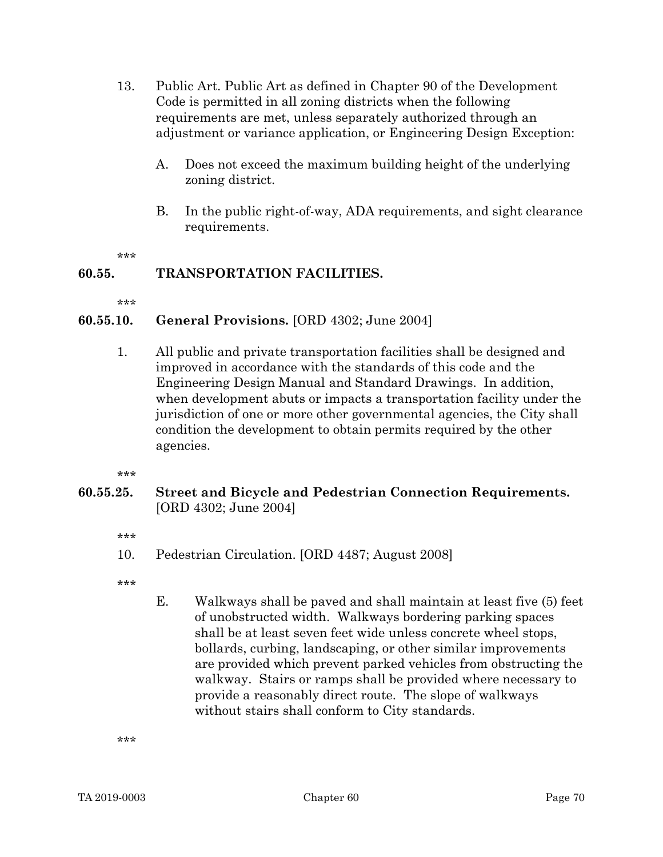- 13. Public Art. Public Art as defined in Chapter 90 of the Development Code is permitted in all zoning districts when the following requirements are met, unless separately authorized through an adjustment or variance application, or Engineering Design Exception:
	- A. Does not exceed the maximum building height of the underlying zoning district.
	- B. In the public right-of-way, ADA requirements, and sight clearance requirements.

\*\*\*

# 60.55. TRANSPORTATION FACILITIES.

\*\*\*

# 60.55.10. General Provisions. [ORD 4302; June 2004]

1. All public and private transportation facilities shall be designed and improved in accordance with the standards of this code and the Engineering Design Manual and Standard Drawings. In addition, when development abuts or impacts a transportation facility under the jurisdiction of one or more other governmental agencies, the City shall condition the development to obtain permits required by the other agencies.

.<br>ماه ماه ماه

# 60.55.25. Street and Bicycle and Pedestrian Connection Requirements. [ORD 4302; June 2004]

- \*\*\*
- 10. Pedestrian Circulation. [ORD 4487; August 2008]
- \*\*\*
- E. Walkways shall be paved and shall maintain at least five (5) feet of unobstructed width. Walkways bordering parking spaces shall be at least seven feet wide unless concrete wheel stops, bollards, curbing, landscaping, or other similar improvements are provided which prevent parked vehicles from obstructing the walkway. Stairs or ramps shall be provided where necessary to provide a reasonably direct route. The slope of walkways without stairs shall conform to City standards.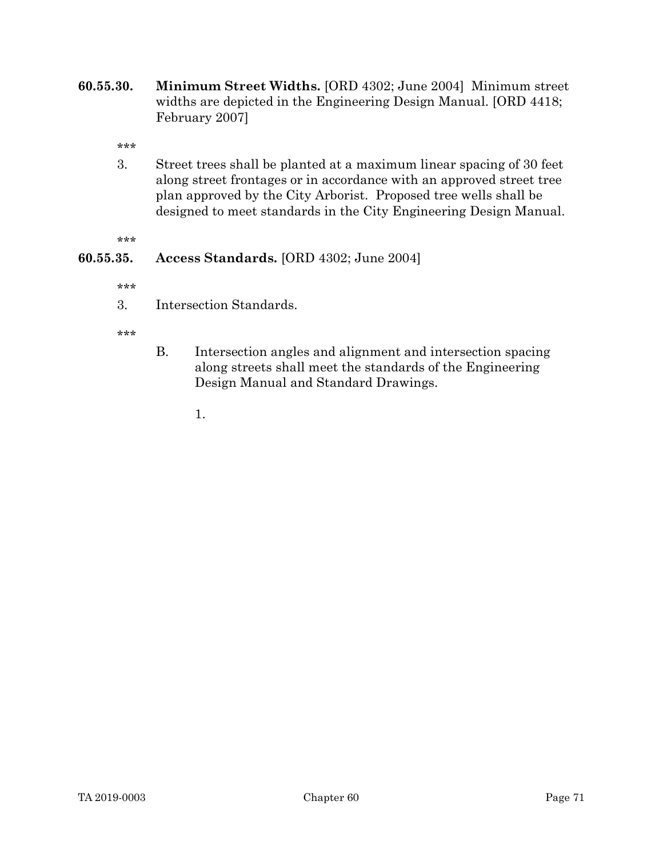60.55.30. Minimum Street Widths. [ORD 4302; June 2004] Minimum street widths are depicted in the Engineering Design Manual. [ORD 4418; February 2007]

\*\*\*

3. Street trees shall be planted at a maximum linear spacing of 30 feet along street frontages or in accordance with an approved street tree plan approved by the City Arborist. Proposed tree wells shall be designed to meet standards in the City Engineering Design Manual.

\*\*\*

# 60.55.35. Access Standards. [ORD 4302; June 2004]

\*\*\*

3. Intersection Standards.

\*\*\*

B. Intersection angles and alignment and intersection spacing along streets shall meet the standards of the Engineering Design Manual and Standard Drawings.

1.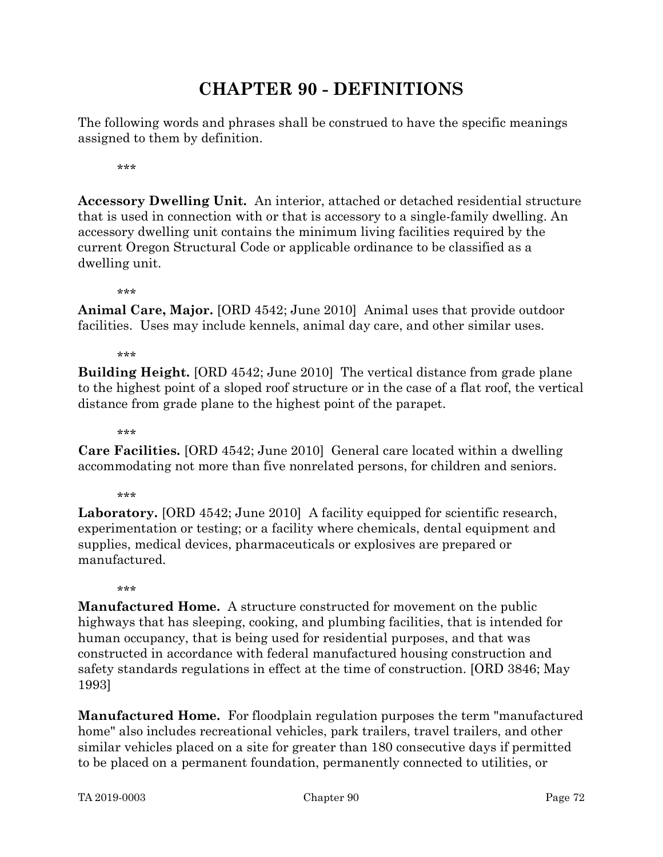# CHAPTER 90 - DEFINITIONS

The following words and phrases shall be construed to have the specific meanings assigned to them by definition.

\*\*\*

Accessory Dwelling Unit. An interior, attached or detached residential structure that is used in connection with or that is accessory to a single-family dwelling. An accessory dwelling unit contains the minimum living facilities required by the current Oregon Structural Code or applicable ordinance to be classified as a dwelling unit.

\*\*\*

Animal Care, Major. [ORD 4542; June 2010] Animal uses that provide outdoor facilities. Uses may include kennels, animal day care, and other similar uses.

\*\*\*

Building Height. [ORD 4542; June 2010] The vertical distance from grade plane to the highest point of a sloped roof structure or in the case of a flat roof, the vertical distance from grade plane to the highest point of the parapet.

\*\*\*

Care Facilities. [ORD 4542; June 2010] General care located within a dwelling accommodating not more than five nonrelated persons, for children and seniors.

\*\*\*

Laboratory. [ORD 4542; June 2010] A facility equipped for scientific research, experimentation or testing; or a facility where chemicals, dental equipment and supplies, medical devices, pharmaceuticals or explosives are prepared or manufactured.

.<br>ماه ماه ماه

Manufactured Home. A structure constructed for movement on the public highways that has sleeping, cooking, and plumbing facilities, that is intended for human occupancy, that is being used for residential purposes, and that was constructed in accordance with federal manufactured housing construction and safety standards regulations in effect at the time of construction. [ORD 3846; May 1993]

Manufactured Home. For floodplain regulation purposes the term "manufactured home" also includes recreational vehicles, park trailers, travel trailers, and other similar vehicles placed on a site for greater than 180 consecutive days if permitted to be placed on a permanent foundation, permanently connected to utilities, or